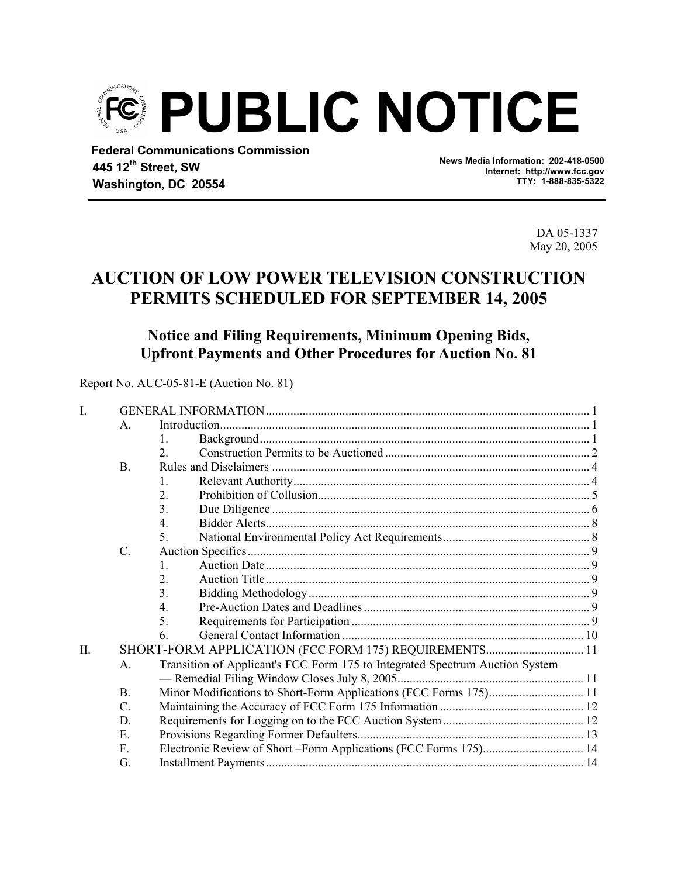

 **Federal Communications Commission 445 12th Street, SW Washington, DC 20554** 

**News Media Information: 202-418-0500 Internet: http://www.fcc.gov TTY: 1-888-835-5322**

> DA 05-1337 May 20, 2005

# **AUCTION OF LOW POWER TELEVISION CONSTRUCTION PERMITS SCHEDULED FOR SEPTEMBER 14, 2005**

# **Notice and Filing Requirements, Minimum Opening Bids, Upfront Payments and Other Procedures for Auction No. 81**

Report No. AUC-05-81-E (Auction No. 81)

| I.  |                 |                                                                              |  |  |  |  |
|-----|-----------------|------------------------------------------------------------------------------|--|--|--|--|
|     | $\mathsf{A}$ .  |                                                                              |  |  |  |  |
|     |                 |                                                                              |  |  |  |  |
|     |                 | $\mathfrak{D}$                                                               |  |  |  |  |
|     | <b>B.</b>       |                                                                              |  |  |  |  |
|     |                 | 1.                                                                           |  |  |  |  |
|     |                 | 2.                                                                           |  |  |  |  |
|     |                 | 3.                                                                           |  |  |  |  |
|     |                 | $\overline{4}$ .                                                             |  |  |  |  |
|     |                 | 5                                                                            |  |  |  |  |
|     | $\mathcal{C}$ . |                                                                              |  |  |  |  |
|     |                 |                                                                              |  |  |  |  |
|     |                 | 2.                                                                           |  |  |  |  |
|     |                 | 3.                                                                           |  |  |  |  |
|     |                 | 4.                                                                           |  |  |  |  |
|     |                 | 5.                                                                           |  |  |  |  |
|     |                 | 6.                                                                           |  |  |  |  |
| II. |                 | SHORT-FORM APPLICATION (FCC FORM 175) REQUIREMENTS 11                        |  |  |  |  |
|     | $A_{\cdot}$     | Transition of Applicant's FCC Form 175 to Integrated Spectrum Auction System |  |  |  |  |
|     |                 |                                                                              |  |  |  |  |
|     | <b>B.</b>       | Minor Modifications to Short-Form Applications (FCC Forms 175) 11            |  |  |  |  |
|     | $C$ .           |                                                                              |  |  |  |  |
|     | D               |                                                                              |  |  |  |  |
|     | Е.              |                                                                              |  |  |  |  |
|     | $F_{\rm{L}}$    | Electronic Review of Short-Form Applications (FCC Forms 175) 14              |  |  |  |  |
|     | G.              |                                                                              |  |  |  |  |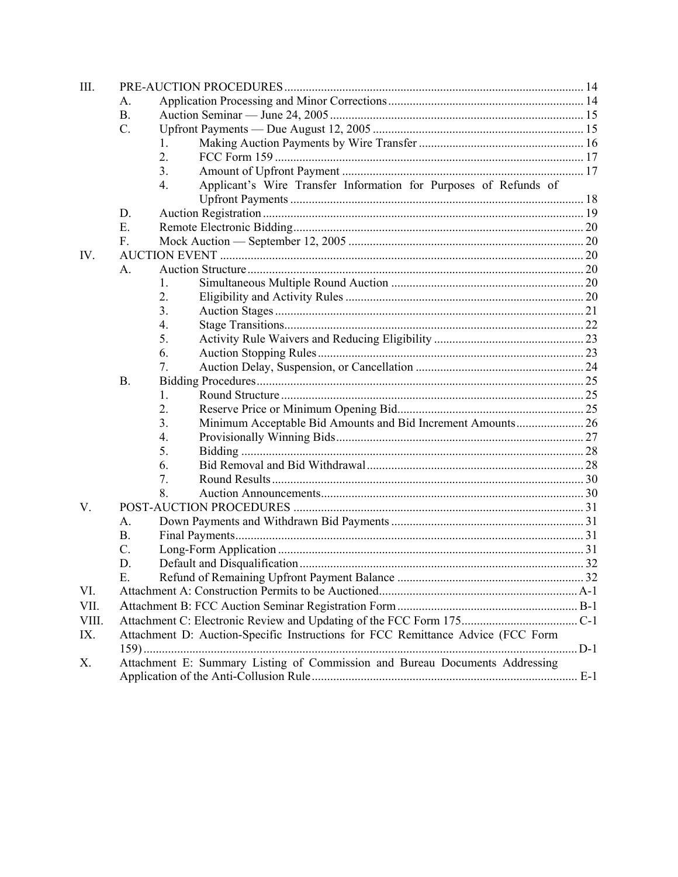| III.  |             |                                                                                 |  |
|-------|-------------|---------------------------------------------------------------------------------|--|
|       | А.          |                                                                                 |  |
|       | <b>B.</b>   |                                                                                 |  |
|       | $C$ .       |                                                                                 |  |
|       |             | 1.                                                                              |  |
|       |             | 2.                                                                              |  |
|       |             | 3.                                                                              |  |
|       |             | Applicant's Wire Transfer Information for Purposes of Refunds of<br>4.          |  |
|       |             |                                                                                 |  |
|       | D.          |                                                                                 |  |
|       | Е.          |                                                                                 |  |
|       | $F_{\rm c}$ |                                                                                 |  |
| IV.   |             |                                                                                 |  |
|       | A.          |                                                                                 |  |
|       |             | 1.                                                                              |  |
|       |             | 2.                                                                              |  |
|       |             | 3.                                                                              |  |
|       |             | 4.                                                                              |  |
|       |             | 5.                                                                              |  |
|       |             | 6.                                                                              |  |
|       |             | 7.                                                                              |  |
|       | <b>B.</b>   |                                                                                 |  |
|       |             | 1.                                                                              |  |
|       |             | 2.                                                                              |  |
|       |             | Minimum Acceptable Bid Amounts and Bid Increment Amounts 26<br>3.               |  |
|       |             | 4.                                                                              |  |
|       |             | 5.                                                                              |  |
|       |             | 6.                                                                              |  |
|       |             | 7.                                                                              |  |
|       |             | 8.                                                                              |  |
| V.    |             |                                                                                 |  |
|       | A.          |                                                                                 |  |
|       | <b>B.</b>   |                                                                                 |  |
|       | C.          |                                                                                 |  |
|       | D.          |                                                                                 |  |
|       | E           |                                                                                 |  |
| VI.   |             |                                                                                 |  |
| VII.  |             |                                                                                 |  |
| VIII. |             |                                                                                 |  |
| IX.   |             | Attachment D: Auction-Specific Instructions for FCC Remittance Advice (FCC Form |  |
|       |             |                                                                                 |  |
| Х.    |             | Attachment E: Summary Listing of Commission and Bureau Documents Addressing     |  |
|       |             |                                                                                 |  |
|       |             |                                                                                 |  |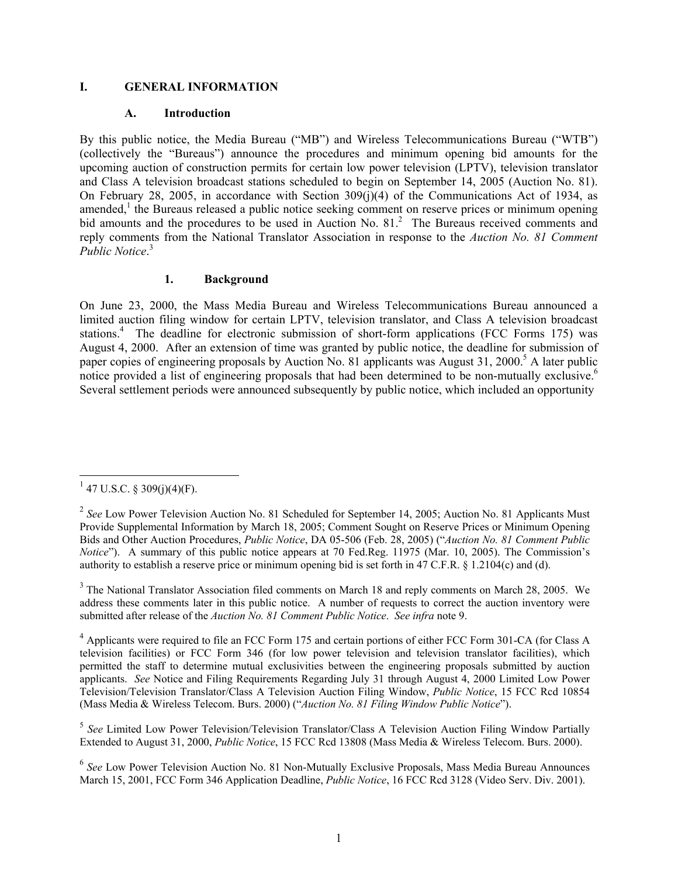#### **I. GENERAL INFORMATION**

#### **A. Introduction**

By this public notice, the Media Bureau ("MB") and Wireless Telecommunications Bureau ("WTB") (collectively the "Bureaus") announce the procedures and minimum opening bid amounts for the upcoming auction of construction permits for certain low power television (LPTV), television translator and Class A television broadcast stations scheduled to begin on September 14, 2005 (Auction No. 81). On February 28, 2005, in accordance with Section 309(j)(4) of the Communications Act of 1934, as amended, $1$  the Bureaus released a public notice seeking comment on reserve prices or minimum opening bid amounts and the procedures to be used in Auction No. 81.<sup>2</sup> The Bureaus received comments and reply comments from the National Translator Association in response to the *Auction No. 81 Comment Public Notice*. 3

#### **1. Background**

On June 23, 2000, the Mass Media Bureau and Wireless Telecommunications Bureau announced a limited auction filing window for certain LPTV, television translator, and Class A television broadcast stations.<sup>4</sup> The deadline for electronic submission of short-form applications (FCC Forms 175) was August 4, 2000. After an extension of time was granted by public notice, the deadline for submission of paper copies of engineering proposals by Auction No. 81 applicants was August 31, 2000.<sup>5</sup> A later public notice provided a list of engineering proposals that had been determined to be non-mutually exclusive.<sup>6</sup> Several settlement periods were announced subsequently by public notice, which included an opportunity

 $\overline{a}$ 

 $1$  47 U.S.C. § 309(j)(4)(F).

<sup>&</sup>lt;sup>2</sup> See Low Power Television Auction No. 81 Scheduled for September 14, 2005; Auction No. 81 Applicants Must Provide Supplemental Information by March 18, 2005; Comment Sought on Reserve Prices or Minimum Opening Bids and Other Auction Procedures, *Public Notice*, DA 05-506 (Feb. 28, 2005) ("*Auction No. 81 Comment Public Notice*"). A summary of this public notice appears at 70 Fed.Reg. 11975 (Mar. 10, 2005). The Commission's authority to establish a reserve price or minimum opening bid is set forth in 47 C.F.R. § 1.2104(c) and (d).

 $3$  The National Translator Association filed comments on March 18 and reply comments on March 28, 2005. We address these comments later in this public notice. A number of requests to correct the auction inventory were submitted after release of the *Auction No. 81 Comment Public Notice*. *See infra* note 9.

<sup>&</sup>lt;sup>4</sup> Applicants were required to file an FCC Form 175 and certain portions of either FCC Form 301-CA (for Class A television facilities) or FCC Form 346 (for low power television and television translator facilities), which permitted the staff to determine mutual exclusivities between the engineering proposals submitted by auction applicants. *See* Notice and Filing Requirements Regarding July 31 through August 4, 2000 Limited Low Power Television/Television Translator/Class A Television Auction Filing Window, *Public Notice*, 15 FCC Rcd 10854 (Mass Media & Wireless Telecom. Burs. 2000) ("*Auction No. 81 Filing Window Public Notice*").

<sup>5</sup> *See* Limited Low Power Television/Television Translator/Class A Television Auction Filing Window Partially Extended to August 31, 2000, *Public Notice*, 15 FCC Rcd 13808 (Mass Media & Wireless Telecom. Burs. 2000).

<sup>6</sup> *See* Low Power Television Auction No. 81 Non-Mutually Exclusive Proposals, Mass Media Bureau Announces March 15, 2001, FCC Form 346 Application Deadline, *Public Notice*, 16 FCC Rcd 3128 (Video Serv. Div. 2001).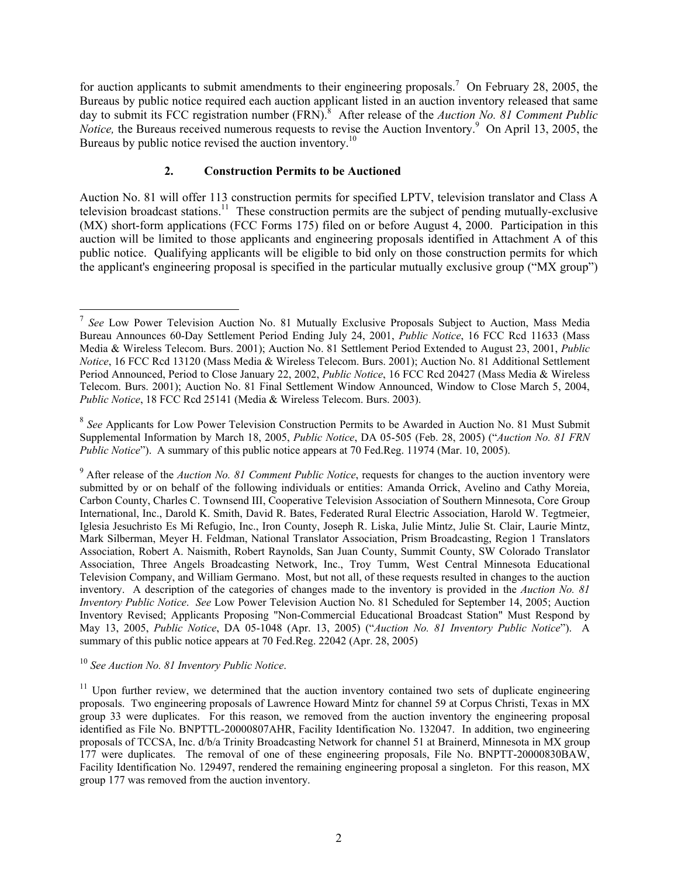for auction applicants to submit amendments to their engineering proposals.<sup>7</sup> On February 28, 2005, the Bureaus by public notice required each auction applicant listed in an auction inventory released that same day to submit its FCC registration number (FRN).<sup>8</sup> After release of the *Auction No. 81 Comment Public Notice*, the Bureaus received numerous requests to revise the Auction Inventory.<sup>9</sup> On April 13, 2005, the Bureaus by public notice revised the auction inventory.<sup>10</sup>

#### **2. Construction Permits to be Auctioned**

Auction No. 81 will offer 113 construction permits for specified LPTV, television translator and Class A television broadcast stations.11 These construction permits are the subject of pending mutually-exclusive (MX) short-form applications (FCC Forms 175) filed on or before August 4, 2000. Participation in this auction will be limited to those applicants and engineering proposals identified in Attachment A of this public notice. Qualifying applicants will be eligible to bid only on those construction permits for which the applicant's engineering proposal is specified in the particular mutually exclusive group ("MX group")

<sup>10</sup> *See Auction No. 81 Inventory Public Notice*.

1

<sup>7</sup> *See* Low Power Television Auction No. 81 Mutually Exclusive Proposals Subject to Auction, Mass Media Bureau Announces 60-Day Settlement Period Ending July 24, 2001, *Public Notice*, 16 FCC Rcd 11633 (Mass Media & Wireless Telecom. Burs. 2001); Auction No. 81 Settlement Period Extended to August 23, 2001, *Public Notice*, 16 FCC Rcd 13120 (Mass Media & Wireless Telecom. Burs. 2001); Auction No. 81 Additional Settlement Period Announced, Period to Close January 22, 2002, *Public Notice*, 16 FCC Rcd 20427 (Mass Media & Wireless Telecom. Burs. 2001); Auction No. 81 Final Settlement Window Announced, Window to Close March 5, 2004, *Public Notice*, 18 FCC Rcd 25141 (Media & Wireless Telecom. Burs. 2003).

<sup>&</sup>lt;sup>8</sup> See Applicants for Low Power Television Construction Permits to be Awarded in Auction No. 81 Must Submit Supplemental Information by March 18, 2005, *Public Notice*, DA 05-505 (Feb. 28, 2005) ("*Auction No. 81 FRN Public Notice*"). A summary of this public notice appears at 70 Fed.Reg. 11974 (Mar. 10, 2005).

<sup>9</sup> After release of the *Auction No. 81 Comment Public Notice*, requests for changes to the auction inventory were submitted by or on behalf of the following individuals or entities: Amanda Orrick, Avelino and Cathy Moreia, Carbon County, Charles C. Townsend III, Cooperative Television Association of Southern Minnesota, Core Group International, Inc., Darold K. Smith, David R. Bates, Federated Rural Electric Association, Harold W. Tegtmeier, Iglesia Jesuchristo Es Mi Refugio, Inc., Iron County, Joseph R. Liska, Julie Mintz, Julie St. Clair, Laurie Mintz, Mark Silberman, Meyer H. Feldman, National Translator Association, Prism Broadcasting, Region 1 Translators Association, Robert A. Naismith, Robert Raynolds, San Juan County, Summit County, SW Colorado Translator Association, Three Angels Broadcasting Network, Inc., Troy Tumm, West Central Minnesota Educational Television Company, and William Germano. Most, but not all, of these requests resulted in changes to the auction inventory. A description of the categories of changes made to the inventory is provided in the *Auction No. 81 Inventory Public Notice*. *See* Low Power Television Auction No. 81 Scheduled for September 14, 2005; Auction Inventory Revised; Applicants Proposing "Non-Commercial Educational Broadcast Station" Must Respond by May 13, 2005, *Public Notice*, DA 05-1048 (Apr. 13, 2005) ("*Auction No. 81 Inventory Public Notice*"). A summary of this public notice appears at 70 Fed.Reg. 22042 (Apr. 28, 2005)

 $11$  Upon further review, we determined that the auction inventory contained two sets of duplicate engineering proposals. Two engineering proposals of Lawrence Howard Mintz for channel 59 at Corpus Christi, Texas in MX group 33 were duplicates. For this reason, we removed from the auction inventory the engineering proposal identified as File No. BNPTTL-20000807AHR, Facility Identification No. 132047. In addition, two engineering proposals of TCCSA, Inc. d/b/a Trinity Broadcasting Network for channel 51 at Brainerd, Minnesota in MX group 177 were duplicates. The removal of one of these engineering proposals, File No. BNPTT-20000830BAW, Facility Identification No. 129497, rendered the remaining engineering proposal a singleton. For this reason, MX group 177 was removed from the auction inventory.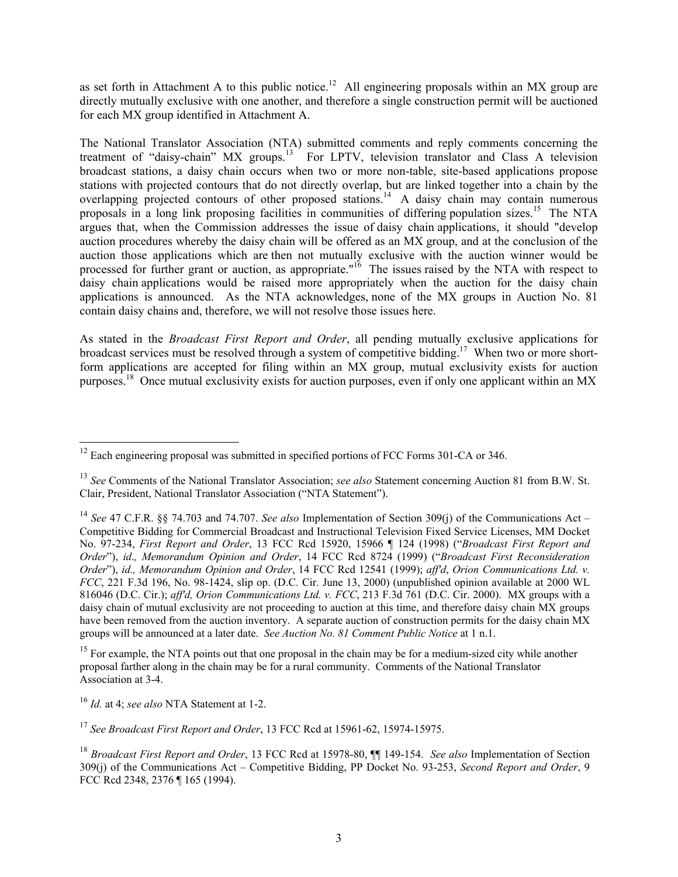as set forth in Attachment A to this public notice.<sup>12</sup> All engineering proposals within an MX group are directly mutually exclusive with one another, and therefore a single construction permit will be auctioned for each MX group identified in Attachment A.

The National Translator Association (NTA) submitted comments and reply comments concerning the treatment of "daisy-chain" MX groups.<sup>13</sup> For LPTV, television translator and Class A television broadcast stations, a daisy chain occurs when two or more non-table, site-based applications propose stations with projected contours that do not directly overlap, but are linked together into a chain by the overlapping projected contours of other proposed stations.<sup>14</sup> A daisy chain may contain numerous proposals in a long link proposing facilities in communities of differing population sizes.<sup>15</sup> The NTA argues that, when the Commission addresses the issue of daisy chain applications, it should "develop auction procedures whereby the daisy chain will be offered as an MX group, and at the conclusion of the auction those applications which are then not mutually exclusive with the auction winner would be processed for further grant or auction, as appropriate.<sup>"16</sup> The issues raised by the NTA with respect to daisy chain applications would be raised more appropriately when the auction for the daisy chain applications is announced. As the NTA acknowledges, none of the MX groups in Auction No. 81 contain daisy chains and, therefore, we will not resolve those issues here.

As stated in the *Broadcast First Report and Order*, all pending mutually exclusive applications for broadcast services must be resolved through a system of competitive bidding.17 When two or more shortform applications are accepted for filing within an MX group, mutual exclusivity exists for auction purposes.<sup>18</sup> Once mutual exclusivity exists for auction purposes, even if only one applicant within an MX

<sup>15</sup> For example, the NTA points out that one proposal in the chain may be for a medium-sized city while another proposal farther along in the chain may be for a rural community. Comments of the National Translator Association at 3-4.

l

<sup>17</sup> *See Broadcast First Report and Order*, 13 FCC Rcd at 15961-62, 15974-15975.

 $12$  Each engineering proposal was submitted in specified portions of FCC Forms 301-CA or 346.

<sup>13</sup> *See* Comments of the National Translator Association; *see also* Statement concerning Auction 81 from B.W. St. Clair, President, National Translator Association ("NTA Statement").

<sup>14</sup> *See* 47 C.F.R. §§ 74.703 and 74.707. *See also* Implementation of Section 309(j) of the Communications Act – Competitive Bidding for Commercial Broadcast and Instructional Television Fixed Service Licenses, MM Docket No. 97-234, *First Report and Order*, 13 FCC Rcd 15920, 15966 ¶ 124 (1998) ("*Broadcast First Report and Order*"), *id*.*, Memorandum Opinion and Order*, 14 FCC Rcd 8724 (1999) ("*Broadcast First Reconsideration Order*"), *id., Memorandum Opinion and Order*, 14 FCC Rcd 12541 (1999); *aff'd*, *Orion Communications Ltd. v. FCC*, 221 F.3d 196, No. 98-1424, slip op. (D.C. Cir. June 13, 2000) (unpublished opinion available at 2000 WL 816046 (D.C. Cir.); *aff'd, Orion Communications Ltd. v. FCC*, 213 F.3d 761 (D.C. Cir. 2000). MX groups with a daisy chain of mutual exclusivity are not proceeding to auction at this time, and therefore daisy chain MX groups have been removed from the auction inventory. A separate auction of construction permits for the daisy chain MX groups will be announced at a later date. *See Auction No. 81 Comment Public Notice* at 1 n.1.

<sup>16</sup> *Id.* at 4; *see also* NTA Statement at 1-2.

<sup>18</sup> *Broadcast First Report and Order*, 13 FCC Rcd at 15978-80, ¶¶ 149-154. *See also* Implementation of Section 309(j) of the Communications Act – Competitive Bidding, PP Docket No. 93-253, *Second Report and Order*, 9 FCC Rcd 2348, 2376 ¶ 165 (1994).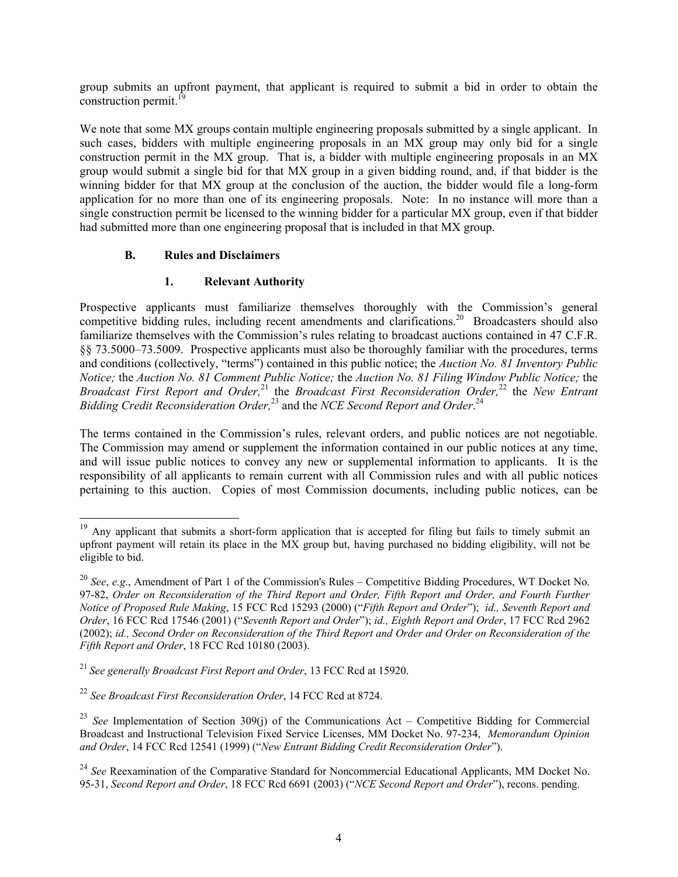group submits an upfront payment, that applicant is required to submit a bid in order to obtain the construction permit. $^{19}$ 

We note that some MX groups contain multiple engineering proposals submitted by a single applicant. In such cases, bidders with multiple engineering proposals in an MX group may only bid for a single construction permit in the MX group. That is, a bidder with multiple engineering proposals in an MX group would submit a single bid for that MX group in a given bidding round, and, if that bidder is the winning bidder for that MX group at the conclusion of the auction, the bidder would file a long-form application for no more than one of its engineering proposals. Note: In no instance will more than a single construction permit be licensed to the winning bidder for a particular MX group, even if that bidder had submitted more than one engineering proposal that is included in that MX group.

#### **B. Rules and Disclaimers**

l

#### **1. Relevant Authority**

Prospective applicants must familiarize themselves thoroughly with the Commission's general competitive bidding rules, including recent amendments and clarifications.<sup>20</sup> Broadcasters should also familiarize themselves with the Commission's rules relating to broadcast auctions contained in 47 C.F.R. §§ 73.5000–73.5009. Prospective applicants must also be thoroughly familiar with the procedures, terms and conditions (collectively, "terms") contained in this public notice; the *Auction No. 81 Inventory Public Notice;* the *Auction No. 81 Comment Public Notice;* the *Auction No. 81 Filing Window Public Notice;* the *Broadcast First Report and Order*,<sup>21</sup> the *Broadcast First Reconsideration Order*,<sup>22</sup> the *New Entrant* Bidding Credit Reconsideration Order,<sup>23</sup> and the *NCE Second Report and Order*.<sup>24</sup>

The terms contained in the Commission's rules, relevant orders, and public notices are not negotiable. The Commission may amend or supplement the information contained in our public notices at any time, and will issue public notices to convey any new or supplemental information to applicants. It is the responsibility of all applicants to remain current with all Commission rules and with all public notices pertaining to this auction. Copies of most Commission documents, including public notices, can be

<sup>&</sup>lt;sup>19</sup> Any applicant that submits a short-form application that is accepted for filing but fails to timely submit an upfront payment will retain its place in the MX group but, having purchased no bidding eligibility, will not be eligible to bid.

<sup>20</sup> *See*, *e.g*., Amendment of Part 1 of the Commission's Rules – Competitive Bidding Procedures, WT Docket No. 97-82, *Order on Reconsideration of the Third Report and Order, Fifth Report and Order, and Fourth Further Notice of Proposed Rule Making*, 15 FCC Rcd 15293 (2000) ("*Fifth Report and Order*"); *id., Seventh Report and Order*, 16 FCC Rcd 17546 (2001) ("*Seventh Report and Order*"); *id., Eighth Report and Order*, 17 FCC Rcd 2962 (2002); *id., Second Order on Reconsideration of the Third Report and Order and Order on Reconsideration of the Fifth Report and Order*, 18 FCC Rcd 10180 (2003).

<sup>21</sup>*See generally Broadcast First Report and Order*, 13 FCC Rcd at 15920.

<sup>22</sup> *See Broadcast First Reconsideration Order*, 14 FCC Rcd at 8724.

<sup>23</sup> *See* Implementation of Section 309(j) of the Communications Act – Competitive Bidding for Commercial Broadcast and Instructional Television Fixed Service Licenses, MM Docket No. 97-234, *Memorandum Opinion and Order*, 14 FCC Rcd 12541 (1999) ("*New Entrant Bidding Credit Reconsideration Order*").

<sup>&</sup>lt;sup>24</sup> See Reexamination of the Comparative Standard for Noncommercial Educational Applicants, MM Docket No. 95-31, *Second Report and Order*, 18 FCC Rcd 6691 (2003) ("*NCE Second Report and Order*"), recons. pending.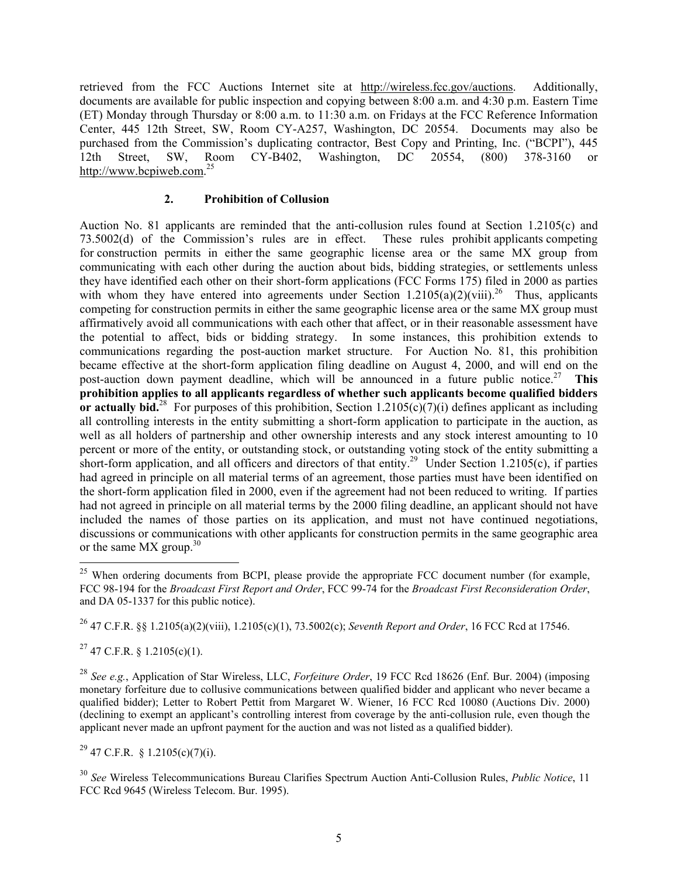retrieved from the FCC Auctions Internet site at http://wireless.fcc.gov/auctions. Additionally, documents are available for public inspection and copying between 8:00 a.m. and 4:30 p.m. Eastern Time (ET) Monday through Thursday or 8:00 a.m. to 11:30 a.m. on Fridays at the FCC Reference Information Center, 445 12th Street, SW, Room CY-A257, Washington, DC 20554. Documents may also be purchased from the Commission's duplicating contractor, Best Copy and Printing, Inc. ("BCPI"), 445 12th Street, SW, Room CY-B402, Washington, DC 20554, (800) 378-3160 or http://www.bcpiweb.com.<sup>25</sup>

#### **2. Prohibition of Collusion**

Auction No. 81 applicants are reminded that the anti-collusion rules found at Section 1.2105(c) and 73.5002(d) of the Commission's rules are in effect. These rules prohibit applicants competing for construction permits in either the same geographic license area or the same MX group from communicating with each other during the auction about bids, bidding strategies, or settlements unless they have identified each other on their short-form applications (FCC Forms 175) filed in 2000 as parties with whom they have entered into agreements under Section  $1.2105(a)(2)(viii)$ <sup>26</sup> Thus, applicants competing for construction permits in either the same geographic license area or the same MX group must affirmatively avoid all communications with each other that affect, or in their reasonable assessment have the potential to affect, bids or bidding strategy. In some instances, this prohibition extends to communications regarding the post-auction market structure. For Auction No. 81, this prohibition became effective at the short-form application filing deadline on August 4, 2000, and will end on the post-auction down payment deadline, which will be announced in a future public notice.27 **This prohibition applies to all applicants regardless of whether such applicants become qualified bidders or actually bid.**<sup>28</sup> For purposes of this prohibition, Section 1.2105( $\overline{c}$ )( $\overline{7}$ )(i) defines applicant as including all controlling interests in the entity submitting a short-form application to participate in the auction, as well as all holders of partnership and other ownership interests and any stock interest amounting to 10 percent or more of the entity, or outstanding stock, or outstanding voting stock of the entity submitting a short-form application, and all officers and directors of that entity.<sup>29</sup> Under Section 1.2105(c), if parties had agreed in principle on all material terms of an agreement, those parties must have been identified on the short-form application filed in 2000, even if the agreement had not been reduced to writing. If parties had not agreed in principle on all material terms by the 2000 filing deadline, an applicant should not have included the names of those parties on its application, and must not have continued negotiations, discussions or communications with other applicants for construction permits in the same geographic area or the same  $MX$  group.<sup>30</sup>

26 47 C.F.R. §§ 1.2105(a)(2)(viii), 1.2105(c)(1), 73.5002(c); *Seventh Report and Order*, 16 FCC Rcd at 17546.

 $27$  47 C.F.R. § 1.2105(c)(1).

 $\overline{a}$ 

<sup>28</sup> *See e.g.*, Application of Star Wireless, LLC, *Forfeiture Order*, 19 FCC Rcd 18626 (Enf. Bur. 2004) (imposing monetary forfeiture due to collusive communications between qualified bidder and applicant who never became a qualified bidder); Letter to Robert Pettit from Margaret W. Wiener, 16 FCC Rcd 10080 (Auctions Div. 2000) (declining to exempt an applicant's controlling interest from coverage by the anti-collusion rule, even though the applicant never made an upfront payment for the auction and was not listed as a qualified bidder).

 $^{29}$  47 C.F.R. § 1.2105(c)(7)(i).

<sup>30</sup> *See* Wireless Telecommunications Bureau Clarifies Spectrum Auction Anti-Collusion Rules, *Public Notice*, 11 FCC Rcd 9645 (Wireless Telecom. Bur. 1995).

 $25$  When ordering documents from BCPI, please provide the appropriate FCC document number (for example, FCC 98-194 for the *Broadcast First Report and Order*, FCC 99-74 for the *Broadcast First Reconsideration Order*, and DA 05-1337 for this public notice).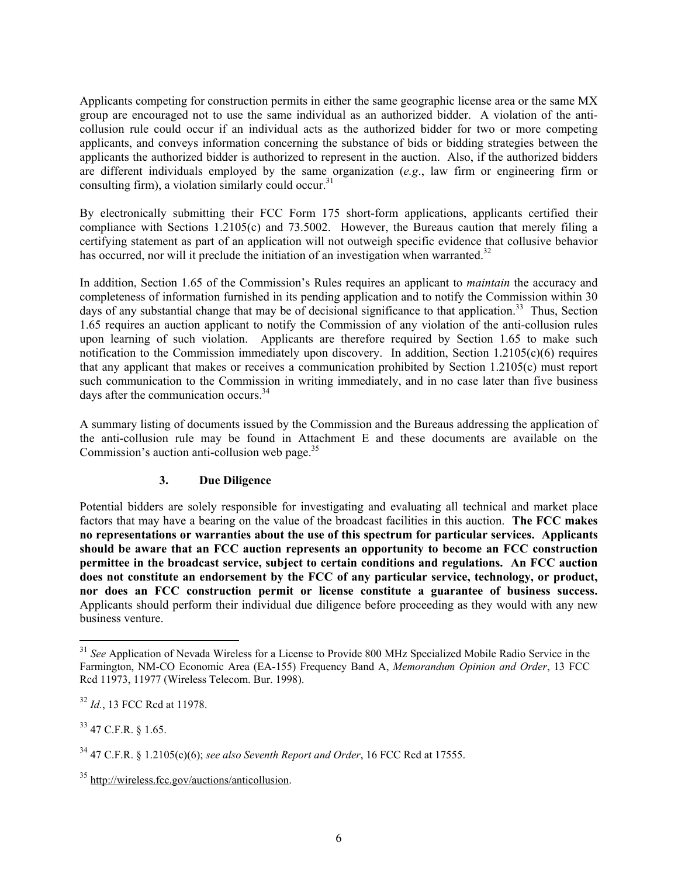Applicants competing for construction permits in either the same geographic license area or the same MX group are encouraged not to use the same individual as an authorized bidder. A violation of the anticollusion rule could occur if an individual acts as the authorized bidder for two or more competing applicants, and conveys information concerning the substance of bids or bidding strategies between the applicants the authorized bidder is authorized to represent in the auction. Also, if the authorized bidders are different individuals employed by the same organization (*e.g*., law firm or engineering firm or consulting firm), a violation similarly could occur. $31$ 

By electronically submitting their FCC Form 175 short-form applications, applicants certified their compliance with Sections 1.2105(c) and 73.5002. However, the Bureaus caution that merely filing a certifying statement as part of an application will not outweigh specific evidence that collusive behavior has occurred, nor will it preclude the initiation of an investigation when warranted.<sup>32</sup>

In addition, Section 1.65 of the Commission's Rules requires an applicant to *maintain* the accuracy and completeness of information furnished in its pending application and to notify the Commission within 30 days of any substantial change that may be of decisional significance to that application.<sup>33</sup> Thus, Section 1.65 requires an auction applicant to notify the Commission of any violation of the anti-collusion rules upon learning of such violation. Applicants are therefore required by Section 1.65 to make such notification to the Commission immediately upon discovery. In addition, Section 1.2105(c)(6) requires that any applicant that makes or receives a communication prohibited by Section 1.2105(c) must report such communication to the Commission in writing immediately, and in no case later than five business days after the communication occurs.<sup>34</sup>

A summary listing of documents issued by the Commission and the Bureaus addressing the application of the anti-collusion rule may be found in Attachment E and these documents are available on the Commission's auction anti-collusion web page. $35$ 

#### **3. Due Diligence**

Potential bidders are solely responsible for investigating and evaluating all technical and market place factors that may have a bearing on the value of the broadcast facilities in this auction. **The FCC makes no representations or warranties about the use of this spectrum for particular services. Applicants should be aware that an FCC auction represents an opportunity to become an FCC construction permittee in the broadcast service, subject to certain conditions and regulations. An FCC auction does not constitute an endorsement by the FCC of any particular service, technology, or product, nor does an FCC construction permit or license constitute a guarantee of business success.** Applicants should perform their individual due diligence before proceeding as they would with any new business venture.

33 47 C.F.R. § 1.65.

<sup>&</sup>lt;sup>31</sup> See Application of Nevada Wireless for a License to Provide 800 MHz Specialized Mobile Radio Service in the Farmington, NM-CO Economic Area (EA-155) Frequency Band A, *Memorandum Opinion and Order*, 13 FCC Rcd 11973, 11977 (Wireless Telecom. Bur. 1998).

<sup>32</sup> *Id.*, 13 FCC Rcd at 11978.

<sup>34 47</sup> C.F.R. § 1.2105(c)(6); *see also Seventh Report and Order*, 16 FCC Rcd at 17555.

<sup>35</sup> http://wireless.fcc.gov/auctions/anticollusion.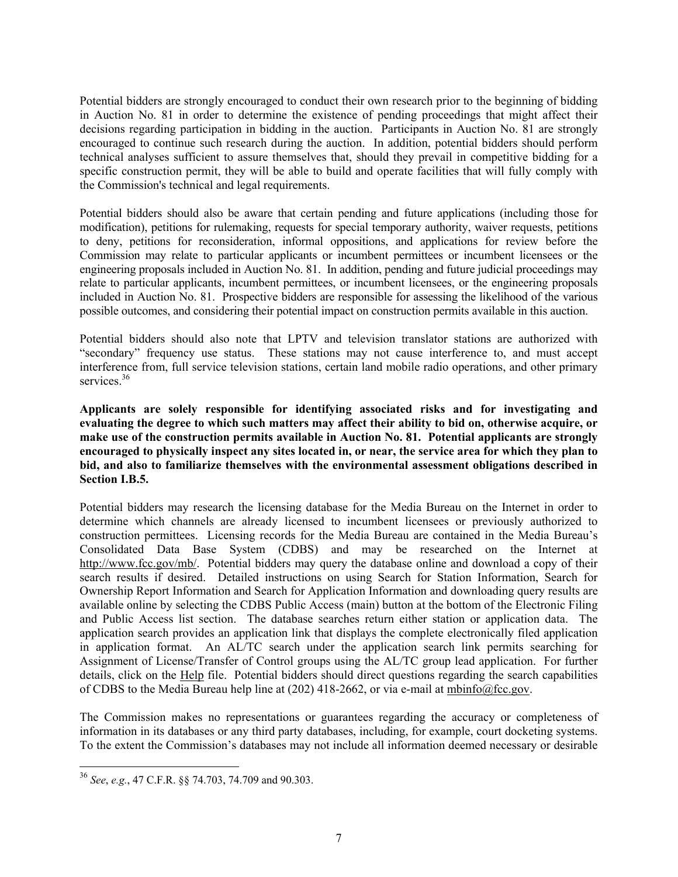Potential bidders are strongly encouraged to conduct their own research prior to the beginning of bidding in Auction No. 81 in order to determine the existence of pending proceedings that might affect their decisions regarding participation in bidding in the auction. Participants in Auction No. 81 are strongly encouraged to continue such research during the auction. In addition, potential bidders should perform technical analyses sufficient to assure themselves that, should they prevail in competitive bidding for a specific construction permit, they will be able to build and operate facilities that will fully comply with the Commission's technical and legal requirements.

Potential bidders should also be aware that certain pending and future applications (including those for modification), petitions for rulemaking, requests for special temporary authority, waiver requests, petitions to deny, petitions for reconsideration, informal oppositions, and applications for review before the Commission may relate to particular applicants or incumbent permittees or incumbent licensees or the engineering proposals included in Auction No. 81. In addition, pending and future judicial proceedings may relate to particular applicants, incumbent permittees, or incumbent licensees, or the engineering proposals included in Auction No. 81. Prospective bidders are responsible for assessing the likelihood of the various possible outcomes, and considering their potential impact on construction permits available in this auction.

Potential bidders should also note that LPTV and television translator stations are authorized with "secondary" frequency use status. These stations may not cause interference to, and must accept interference from, full service television stations, certain land mobile radio operations, and other primary services.<sup>36</sup>

**Applicants are solely responsible for identifying associated risks and for investigating and evaluating the degree to which such matters may affect their ability to bid on, otherwise acquire, or make use of the construction permits available in Auction No. 81. Potential applicants are strongly encouraged to physically inspect any sites located in, or near, the service area for which they plan to bid, and also to familiarize themselves with the environmental assessment obligations described in Section I.B.5.** 

Potential bidders may research the licensing database for the Media Bureau on the Internet in order to determine which channels are already licensed to incumbent licensees or previously authorized to construction permittees. Licensing records for the Media Bureau are contained in the Media Bureau's Consolidated Data Base System (CDBS) and may be researched on the Internet at http://www.fcc.gov/mb/. Potential bidders may query the database online and download a copy of their search results if desired. Detailed instructions on using Search for Station Information, Search for Ownership Report Information and Search for Application Information and downloading query results are available online by selecting the CDBS Public Access (main) button at the bottom of the Electronic Filing and Public Access list section. The database searches return either station or application data. The application search provides an application link that displays the complete electronically filed application in application format. An AL/TC search under the application search link permits searching for Assignment of License/Transfer of Control groups using the AL/TC group lead application. For further details, click on the Help file. Potential bidders should direct questions regarding the search capabilities of CDBS to the Media Bureau help line at (202) 418-2662, or via e-mail at mbinfo@fcc.gov.

The Commission makes no representations or guarantees regarding the accuracy or completeness of information in its databases or any third party databases, including, for example, court docketing systems. To the extent the Commission's databases may not include all information deemed necessary or desirable

<sup>36</sup> *See*, *e.g.*, 47 C.F.R. §§ 74.703, 74.709 and 90.303.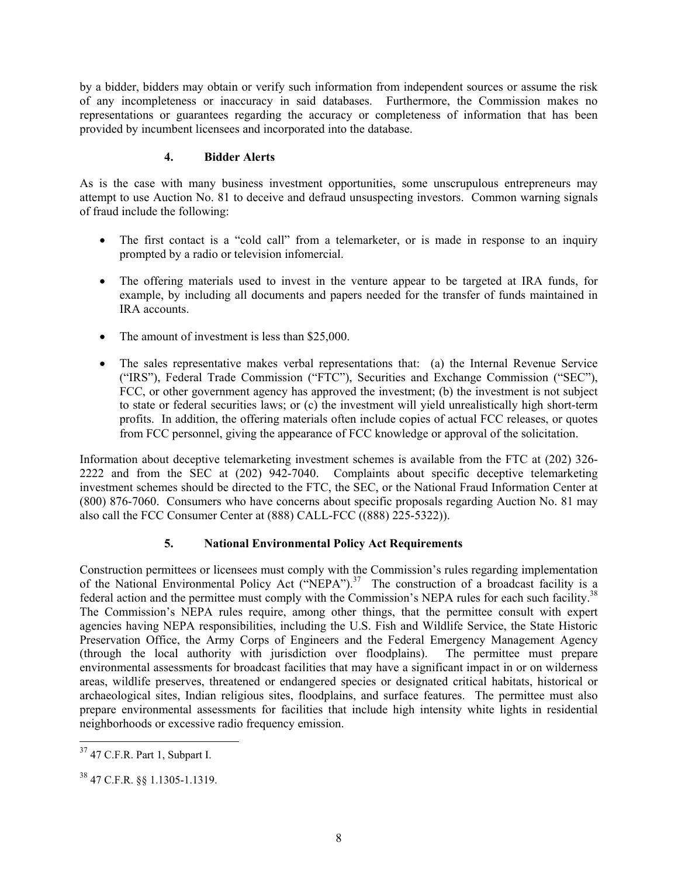by a bidder, bidders may obtain or verify such information from independent sources or assume the risk of any incompleteness or inaccuracy in said databases. Furthermore, the Commission makes no representations or guarantees regarding the accuracy or completeness of information that has been provided by incumbent licensees and incorporated into the database.

#### **4. Bidder Alerts**

As is the case with many business investment opportunities, some unscrupulous entrepreneurs may attempt to use Auction No. 81 to deceive and defraud unsuspecting investors. Common warning signals of fraud include the following:

- The first contact is a "cold call" from a telemarketer, or is made in response to an inquiry prompted by a radio or television infomercial.
- The offering materials used to invest in the venture appear to be targeted at IRA funds, for example, by including all documents and papers needed for the transfer of funds maintained in IRA accounts.
- The amount of investment is less than \$25,000.
- The sales representative makes verbal representations that: (a) the Internal Revenue Service ("IRS"), Federal Trade Commission ("FTC"), Securities and Exchange Commission ("SEC"), FCC, or other government agency has approved the investment; (b) the investment is not subject to state or federal securities laws; or (c) the investment will yield unrealistically high short-term profits. In addition, the offering materials often include copies of actual FCC releases, or quotes from FCC personnel, giving the appearance of FCC knowledge or approval of the solicitation.

Information about deceptive telemarketing investment schemes is available from the FTC at (202) 326- 2222 and from the SEC at (202) 942-7040. Complaints about specific deceptive telemarketing investment schemes should be directed to the FTC, the SEC, or the National Fraud Information Center at (800) 876-7060. Consumers who have concerns about specific proposals regarding Auction No. 81 may also call the FCC Consumer Center at (888) CALL-FCC ((888) 225-5322)).

### **5. National Environmental Policy Act Requirements**

Construction permittees or licensees must comply with the Commission's rules regarding implementation of the National Environmental Policy Act ("NEPA").<sup>37</sup> The construction of a broadcast facility is a federal action and the permittee must comply with the Commission's NEPA rules for each such facility.<sup>38</sup> The Commission's NEPA rules require, among other things, that the permittee consult with expert agencies having NEPA responsibilities, including the U.S. Fish and Wildlife Service, the State Historic Preservation Office, the Army Corps of Engineers and the Federal Emergency Management Agency (through the local authority with jurisdiction over floodplains). The permittee must prepare environmental assessments for broadcast facilities that may have a significant impact in or on wilderness areas, wildlife preserves, threatened or endangered species or designated critical habitats, historical or archaeological sites, Indian religious sites, floodplains, and surface features. The permittee must also prepare environmental assessments for facilities that include high intensity white lights in residential neighborhoods or excessive radio frequency emission.

 $\overline{a}$ 

 $37$  47 C.F.R. Part 1, Subpart I.

<sup>38 47</sup> C.F.R. §§ 1.1305-1.1319.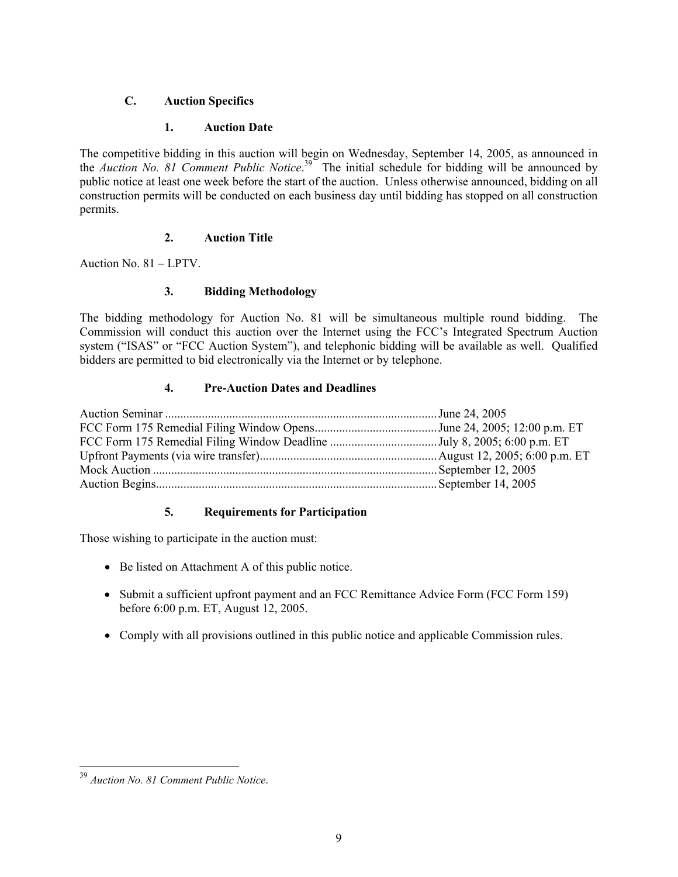#### **C. Auction Specifics**

#### **1. Auction Date**

The competitive bidding in this auction will begin on Wednesday, September 14, 2005, as announced in the *Auction No. 81 Comment Public Notice*. 39 The initial schedule for bidding will be announced by public notice at least one week before the start of the auction. Unless otherwise announced, bidding on all construction permits will be conducted on each business day until bidding has stopped on all construction permits.

#### **2. Auction Title**

Auction No. 81 – LPTV.

#### **3. Bidding Methodology**

The bidding methodology for Auction No. 81 will be simultaneous multiple round bidding. The Commission will conduct this auction over the Internet using the FCC's Integrated Spectrum Auction system ("ISAS" or "FCC Auction System"), and telephonic bidding will be available as well. Qualified bidders are permitted to bid electronically via the Internet or by telephone.

#### **4. Pre-Auction Dates and Deadlines**

#### **5. Requirements for Participation**

Those wishing to participate in the auction must:

- Be listed on Attachment A of this public notice.
- Submit a sufficient upfront payment and an FCC Remittance Advice Form (FCC Form 159) before 6:00 p.m. ET, August 12, 2005.
- Comply with all provisions outlined in this public notice and applicable Commission rules.

<sup>39</sup> *Auction No. 81 Comment Public Notice*.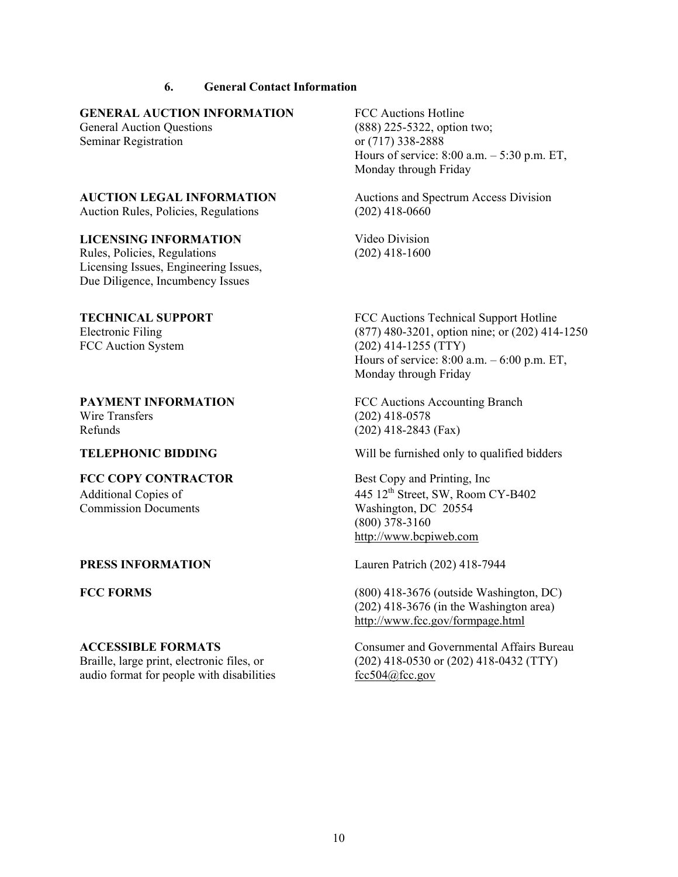#### **6. General Contact Information**

#### **GENERAL AUCTION INFORMATION** FCC Auctions Hotline

Seminar Registration or (717) 338-2888

Auction Rules, Policies, Regulations (202) 418-0660

#### **LICENSING INFORMATION** Video Division

Rules, Policies, Regulations Licensing Issues, Engineering Issues, Due Diligence, Incumbency Issues

# Wire Transfers (202) 418-0578 Refunds (202) 418-2843 (Fax)

# **FCC COPY CONTRACTOR** Best Copy and Printing, Inc Commission Documents Washington, DC 20554

# audio format for people with disabilities  $\frac{fcc504@fcc.gov}{c}$

General Auction Questions (888) 225-5322, option two; Hours of service: 8:00 a.m. – 5:30 p.m. ET, Monday through Friday

**AUCTION LEGAL INFORMATION** Auctions and Spectrum Access Division

(202) 418-1600

**TECHNICAL SUPPORT FCC** Auctions Technical Support Hotline Electronic Filing (877) 480-3201, option nine; or (202) 414-1250 FCC Auction System (202) 414-1255 (TTY) Hours of service: 8:00 a.m. – 6:00 p.m. ET, Monday through Friday

**PAYMENT INFORMATION FCC Auctions Accounting Branch** 

**TELEPHONIC BIDDING** Will be furnished only to qualified bidders

Additional Copies of 445 12<sup>th</sup> Street, SW, Room CY-B402 (800) 378-3160 http://www.bcpiweb.com

**PRESS INFORMATION** Lauren Patrich (202) 418-7944

**FCC FORMS** (800) 418-3676 (outside Washington, DC) (202) 418-3676 (in the Washington area) http://www.fcc.gov/formpage.html

**ACCESSIBLE FORMATS** Consumer and Governmental Affairs Bureau Braille, large print, electronic files, or (202) 418-0530 or (202) 418-0432 (TTY)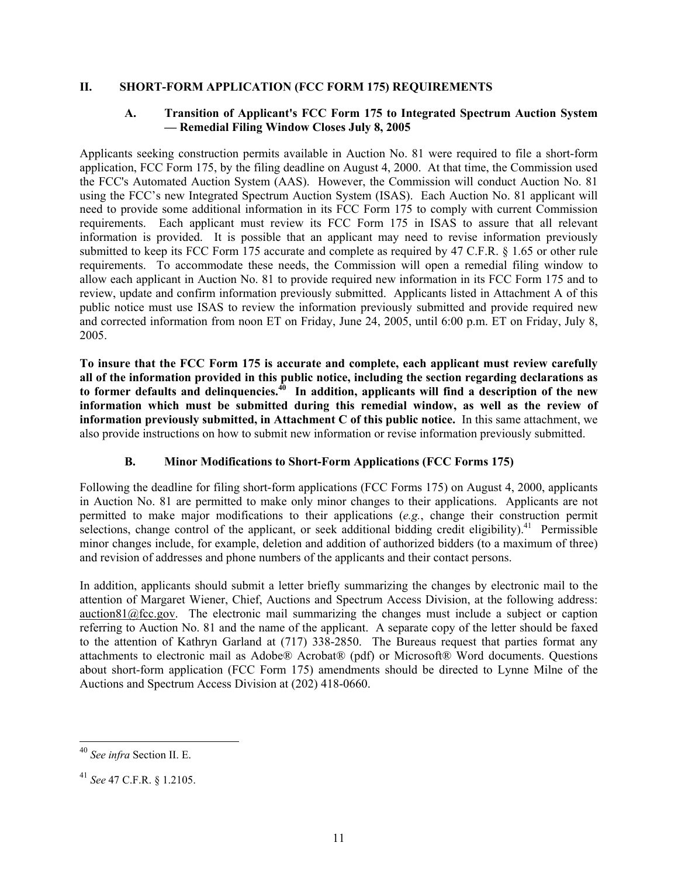#### **II. SHORT-FORM APPLICATION (FCC FORM 175) REQUIREMENTS**

#### **A. Transition of Applicant's FCC Form 175 to Integrated Spectrum Auction System — Remedial Filing Window Closes July 8, 2005**

Applicants seeking construction permits available in Auction No. 81 were required to file a short-form application, FCC Form 175, by the filing deadline on August 4, 2000. At that time, the Commission used the FCC's Automated Auction System (AAS). However, the Commission will conduct Auction No. 81 using the FCC's new Integrated Spectrum Auction System (ISAS). Each Auction No. 81 applicant will need to provide some additional information in its FCC Form 175 to comply with current Commission requirements. Each applicant must review its FCC Form 175 in ISAS to assure that all relevant information is provided. It is possible that an applicant may need to revise information previously submitted to keep its FCC Form 175 accurate and complete as required by 47 C.F.R. § 1.65 or other rule requirements. To accommodate these needs, the Commission will open a remedial filing window to allow each applicant in Auction No. 81 to provide required new information in its FCC Form 175 and to review, update and confirm information previously submitted. Applicants listed in Attachment A of this public notice must use ISAS to review the information previously submitted and provide required new and corrected information from noon ET on Friday, June 24, 2005, until 6:00 p.m. ET on Friday, July 8, 2005.

**To insure that the FCC Form 175 is accurate and complete, each applicant must review carefully all of the information provided in this public notice, including the section regarding declarations as to former defaults and delinquencies.40 In addition, applicants will find a description of the new information which must be submitted during this remedial window, as well as the review of information previously submitted, in Attachment C of this public notice.** In this same attachment, we also provide instructions on how to submit new information or revise information previously submitted.

#### **B. Minor Modifications to Short-Form Applications (FCC Forms 175)**

Following the deadline for filing short-form applications (FCC Forms 175) on August 4, 2000, applicants in Auction No. 81 are permitted to make only minor changes to their applications. Applicants are not permitted to make major modifications to their applications (*e.g.*, change their construction permit selections, change control of the applicant, or seek additional bidding credit eligibility).<sup>41</sup> Permissible minor changes include, for example, deletion and addition of authorized bidders (to a maximum of three) and revision of addresses and phone numbers of the applicants and their contact persons.

In addition, applicants should submit a letter briefly summarizing the changes by electronic mail to the attention of Margaret Wiener, Chief, Auctions and Spectrum Access Division, at the following address:  $\arctan81$  ( $\hat{Q}$  fcc.gov. The electronic mail summarizing the changes must include a subject or caption referring to Auction No. 81 and the name of the applicant. A separate copy of the letter should be faxed to the attention of Kathryn Garland at (717) 338-2850. The Bureaus request that parties format any attachments to electronic mail as Adobe® Acrobat® (pdf) or Microsoft® Word documents. Questions about short-form application (FCC Form 175) amendments should be directed to Lynne Milne of the Auctions and Spectrum Access Division at (202) 418-0660.

 $\overline{a}$ 

<sup>40</sup> *See infra* Section II. E.

<sup>41</sup> *See* 47 C.F.R. § 1.2105.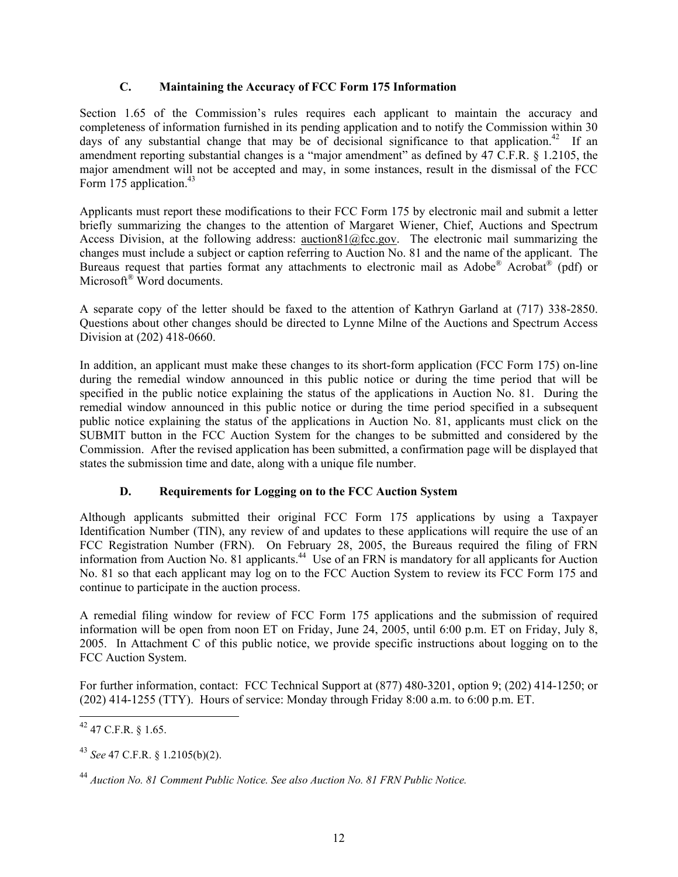#### **C. Maintaining the Accuracy of FCC Form 175 Information**

Section 1.65 of the Commission's rules requires each applicant to maintain the accuracy and completeness of information furnished in its pending application and to notify the Commission within 30 days of any substantial change that may be of decisional significance to that application.<sup>42</sup> If an amendment reporting substantial changes is a "major amendment" as defined by 47 C.F.R. § 1.2105, the major amendment will not be accepted and may, in some instances, result in the dismissal of the FCC Form 175 application. $43$ 

Applicants must report these modifications to their FCC Form 175 by electronic mail and submit a letter briefly summarizing the changes to the attention of Margaret Wiener, Chief, Auctions and Spectrum Access Division, at the following address: auction81@fcc.gov. The electronic mail summarizing the changes must include a subject or caption referring to Auction No. 81 and the name of the applicant. The Bureaus request that parties format any attachments to electronic mail as  $\text{Adobe}^{\&}$  Acrobat<sup>®</sup> (pdf) or Microsoft<sup>®</sup> Word documents.

A separate copy of the letter should be faxed to the attention of Kathryn Garland at (717) 338-2850. Questions about other changes should be directed to Lynne Milne of the Auctions and Spectrum Access Division at (202) 418-0660.

In addition, an applicant must make these changes to its short-form application (FCC Form 175) on-line during the remedial window announced in this public notice or during the time period that will be specified in the public notice explaining the status of the applications in Auction No. 81. During the remedial window announced in this public notice or during the time period specified in a subsequent public notice explaining the status of the applications in Auction No. 81, applicants must click on the SUBMIT button in the FCC Auction System for the changes to be submitted and considered by the Commission. After the revised application has been submitted, a confirmation page will be displayed that states the submission time and date, along with a unique file number.

#### **D. Requirements for Logging on to the FCC Auction System**

Although applicants submitted their original FCC Form 175 applications by using a Taxpayer Identification Number (TIN), any review of and updates to these applications will require the use of an FCC Registration Number (FRN). On February 28, 2005, the Bureaus required the filing of FRN information from Auction No. 81 applicants.44 Use of an FRN is mandatory for all applicants for Auction No. 81 so that each applicant may log on to the FCC Auction System to review its FCC Form 175 and continue to participate in the auction process.

A remedial filing window for review of FCC Form 175 applications and the submission of required information will be open from noon ET on Friday, June 24, 2005, until 6:00 p.m. ET on Friday, July 8, 2005. In Attachment C of this public notice, we provide specific instructions about logging on to the FCC Auction System.

For further information, contact: FCC Technical Support at (877) 480-3201, option 9; (202) 414-1250; or (202) 414-1255 (TTY). Hours of service: Monday through Friday 8:00 a.m. to 6:00 p.m. ET.

<sup>1</sup> 42 47 C.F.R. § 1.65.

<sup>43</sup> *See* 47 C.F.R. § 1.2105(b)(2).

<sup>44</sup> *Auction No. 81 Comment Public Notice. See also Auction No. 81 FRN Public Notice.*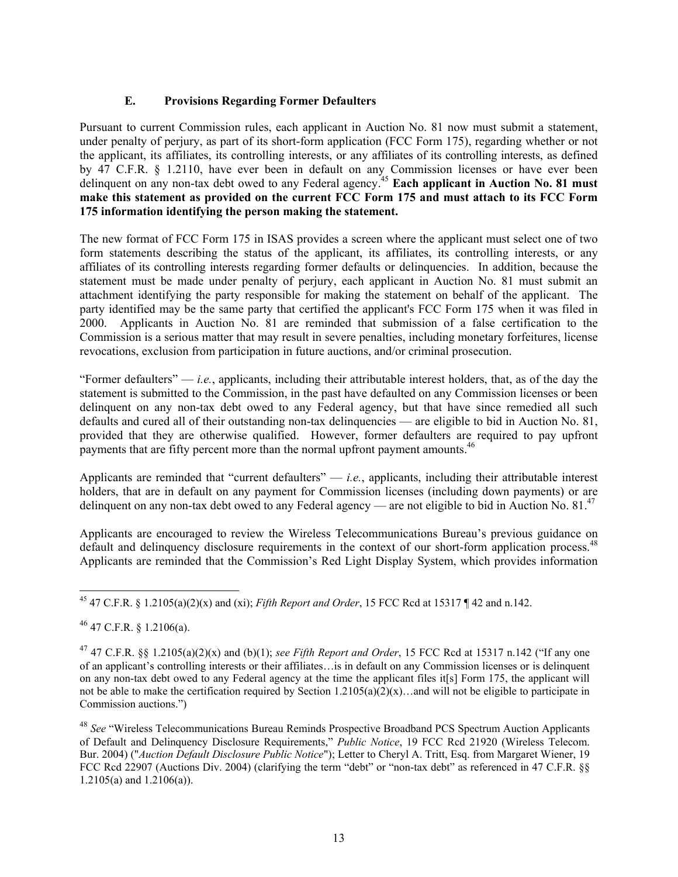#### **E. Provisions Regarding Former Defaulters**

Pursuant to current Commission rules, each applicant in Auction No. 81 now must submit a statement, under penalty of perjury, as part of its short-form application (FCC Form 175), regarding whether or not the applicant, its affiliates, its controlling interests, or any affiliates of its controlling interests, as defined by 47 C.F.R. § 1.2110, have ever been in default on any Commission licenses or have ever been delinquent on any non-tax debt owed to any Federal agency.<sup>45</sup> Each applicant in Auction No. 81 must **make this statement as provided on the current FCC Form 175 and must attach to its FCC Form 175 information identifying the person making the statement.** 

The new format of FCC Form 175 in ISAS provides a screen where the applicant must select one of two form statements describing the status of the applicant, its affiliates, its controlling interests, or any affiliates of its controlling interests regarding former defaults or delinquencies. In addition, because the statement must be made under penalty of perjury, each applicant in Auction No. 81 must submit an attachment identifying the party responsible for making the statement on behalf of the applicant. The party identified may be the same party that certified the applicant's FCC Form 175 when it was filed in 2000. Applicants in Auction No. 81 are reminded that submission of a false certification to the Commission is a serious matter that may result in severe penalties, including monetary forfeitures, license revocations, exclusion from participation in future auctions, and/or criminal prosecution.

"Former defaulters"  $-i.e.,$  applicants, including their attributable interest holders, that, as of the day the statement is submitted to the Commission, in the past have defaulted on any Commission licenses or been delinquent on any non-tax debt owed to any Federal agency, but that have since remedied all such defaults and cured all of their outstanding non-tax delinquencies — are eligible to bid in Auction No. 81, provided that they are otherwise qualified. However, former defaulters are required to pay upfront payments that are fifty percent more than the normal upfront payment amounts.<sup>46</sup>

Applicants are reminded that "current defaulters" — *i.e.*, applicants, including their attributable interest holders, that are in default on any payment for Commission licenses (including down payments) or are delinquent on any non-tax debt owed to any Federal agency — are not eligible to bid in Auction No.  $81<sup>47</sup>$ 

Applicants are encouraged to review the Wireless Telecommunications Bureau's previous guidance on default and delinquency disclosure requirements in the context of our short-form application process.<sup>48</sup> Applicants are reminded that the Commission's Red Light Display System, which provides information

 $46$  47 C.F.R. § 1.2106(a).

 $\overline{a}$ 45 47 C.F.R. § 1.2105(a)(2)(x) and (xi); *Fifth Report and Order*, 15 FCC Rcd at 15317 ¶ 42 and n.142.

<sup>&</sup>lt;sup>47</sup> 47 C.F.R. §§ 1.2105(a)(2)(x) and (b)(1); *see Fifth Report and Order*, 15 FCC Rcd at 15317 n.142 ("If any one of an applicant's controlling interests or their affiliates…is in default on any Commission licenses or is delinquent on any non-tax debt owed to any Federal agency at the time the applicant files it[s] Form 175, the applicant will not be able to make the certification required by Section  $1.2105(a)(2)(x)$ …and will not be eligible to participate in Commission auctions.")

<sup>48</sup> *See* "Wireless Telecommunications Bureau Reminds Prospective Broadband PCS Spectrum Auction Applicants of Default and Delinquency Disclosure Requirements," *Public Notice*, 19 FCC Rcd 21920 (Wireless Telecom. Bur. 2004) ("*Auction Default Disclosure Public Notice*"); Letter to Cheryl A. Tritt, Esq. from Margaret Wiener, 19 FCC Rcd 22907 (Auctions Div. 2004) (clarifying the term "debt" or "non-tax debt" as referenced in 47 C.F.R. §§ 1.2105(a) and 1.2106(a)).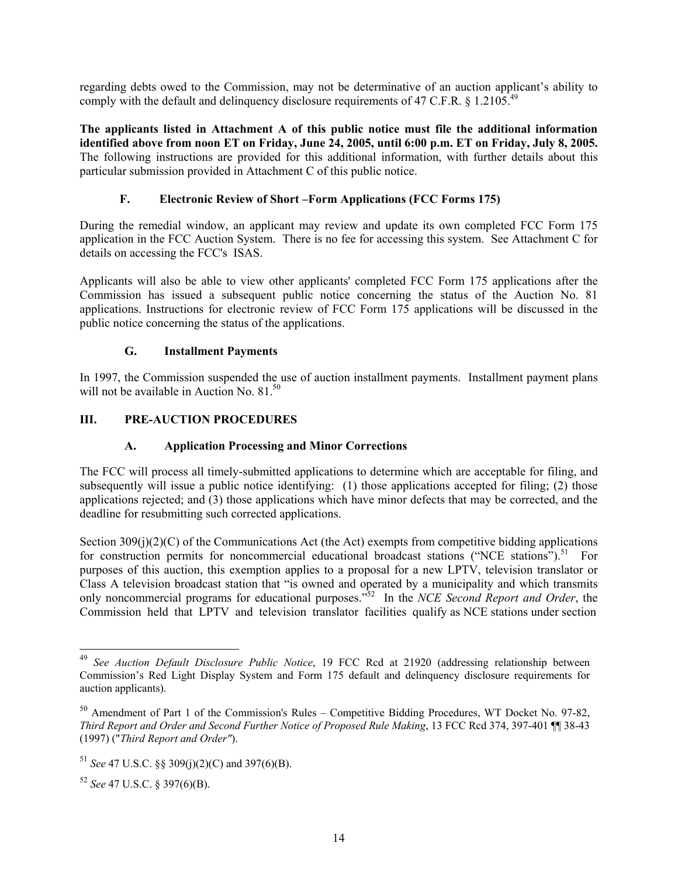regarding debts owed to the Commission, may not be determinative of an auction applicant's ability to comply with the default and delinquency disclosure requirements of 47 C.F.R.  $\frac{6}{9}$  1.2105.<sup>49</sup>

**The applicants listed in Attachment A of this public notice must file the additional information identified above from noon ET on Friday, June 24, 2005, until 6:00 p.m. ET on Friday, July 8, 2005.**  The following instructions are provided for this additional information, with further details about this particular submission provided in Attachment C of this public notice.

#### **F. Electronic Review of Short –Form Applications (FCC Forms 175)**

During the remedial window, an applicant may review and update its own completed FCC Form 175 application in the FCC Auction System. There is no fee for accessing this system. See Attachment C for details on accessing the FCC's ISAS.

Applicants will also be able to view other applicants' completed FCC Form 175 applications after the Commission has issued a subsequent public notice concerning the status of the Auction No. 81 applications. Instructions for electronic review of FCC Form 175 applications will be discussed in the public notice concerning the status of the applications.

#### **G. Installment Payments**

In 1997, the Commission suspended the use of auction installment payments. Installment payment plans will not be available in Auction No.  $81^{50}$ 

#### **III. PRE-AUCTION PROCEDURES**

#### **A. Application Processing and Minor Corrections**

The FCC will process all timely-submitted applications to determine which are acceptable for filing, and subsequently will issue a public notice identifying: (1) those applications accepted for filing; (2) those applications rejected; and (3) those applications which have minor defects that may be corrected, and the deadline for resubmitting such corrected applications.

Section 309(j)(2)(C) of the Communications Act (the Act) exempts from competitive bidding applications for construction permits for noncommercial educational broadcast stations ("NCE stations").<sup>51</sup> For purposes of this auction, this exemption applies to a proposal for a new LPTV, television translator or Class A television broadcast station that "is owned and operated by a municipality and which transmits only noncommercial programs for educational purposes."52 In the *NCE Second Report and Order*, the Commission held that LPTV and television translator facilities qualify as NCE stations under section

<sup>49</sup> <sup>49</sup> *See Auction Default Disclosure Public Notice*, 19 FCC Rcd at 21920 (addressing relationship between Commission's Red Light Display System and Form 175 default and delinquency disclosure requirements for auction applicants).

<sup>50</sup> Amendment of Part 1 of the Commission's Rules – Competitive Bidding Procedures, WT Docket No. 97-82, *Third Report and Order and Second Further Notice of Proposed Rule Making*, 13 FCC Rcd 374, 397-401 ¶¶ 38-43 (1997) ("*Third Report and Order"*).

<sup>51</sup> *See* 47 U.S.C. §§ 309(j)(2)(C) and 397(6)(B).

<sup>52</sup> *See* 47 U.S.C. § 397(6)(B).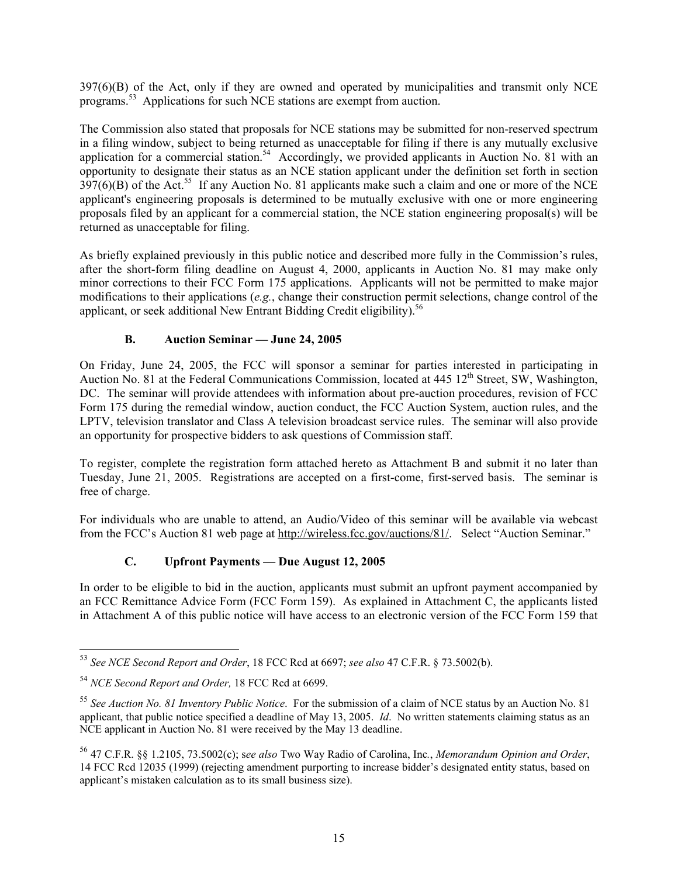397(6)(B) of the Act, only if they are owned and operated by municipalities and transmit only NCE programs.53 Applications for such NCE stations are exempt from auction.

The Commission also stated that proposals for NCE stations may be submitted for non-reserved spectrum in a filing window, subject to being returned as unacceptable for filing if there is any mutually exclusive application for a commercial station.<sup>54</sup> Accordingly, we provided applicants in Auction No. 81 with an opportunity to designate their status as an NCE station applicant under the definition set forth in section  $397(6)$ (B) of the Act.<sup>55</sup> If any Auction No. 81 applicants make such a claim and one or more of the NCE applicant's engineering proposals is determined to be mutually exclusive with one or more engineering proposals filed by an applicant for a commercial station, the NCE station engineering proposal(s) will be returned as unacceptable for filing.

As briefly explained previously in this public notice and described more fully in the Commission's rules, after the short-form filing deadline on August 4, 2000, applicants in Auction No. 81 may make only minor corrections to their FCC Form 175 applications. Applicants will not be permitted to make major modifications to their applications (*e.g.*, change their construction permit selections, change control of the applicant, or seek additional New Entrant Bidding Credit eligibility).<sup>56</sup>

#### **B. Auction Seminar — June 24, 2005**

On Friday, June 24, 2005, the FCC will sponsor a seminar for parties interested in participating in Auction No. 81 at the Federal Communications Commission, located at 445 12<sup>th</sup> Street, SW, Washington, DC. The seminar will provide attendees with information about pre-auction procedures, revision of FCC Form 175 during the remedial window, auction conduct, the FCC Auction System, auction rules, and the LPTV, television translator and Class A television broadcast service rules. The seminar will also provide an opportunity for prospective bidders to ask questions of Commission staff.

To register, complete the registration form attached hereto as Attachment B and submit it no later than Tuesday, June 21, 2005. Registrations are accepted on a first-come, first-served basis. The seminar is free of charge.

For individuals who are unable to attend, an Audio/Video of this seminar will be available via webcast from the FCC's Auction 81 web page at http://wireless.fcc.gov/auctions/81/. Select "Auction Seminar."

#### **C. Upfront Payments — Due August 12, 2005**

In order to be eligible to bid in the auction, applicants must submit an upfront payment accompanied by an FCC Remittance Advice Form (FCC Form 159). As explained in Attachment C, the applicants listed in Attachment A of this public notice will have access to an electronic version of the FCC Form 159 that

 $\overline{a}$ 

<sup>53</sup> *See NCE Second Report and Order*, 18 FCC Rcd at 6697; *see also* 47 C.F.R. § 73.5002(b).

<sup>54</sup> *NCE Second Report and Order,* 18 FCC Rcd at 6699.

<sup>55</sup> *See Auction No. 81 Inventory Public Notice*. For the submission of a claim of NCE status by an Auction No. 81 applicant, that public notice specified a deadline of May 13, 2005. *Id*. No written statements claiming status as an NCE applicant in Auction No. 81 were received by the May 13 deadline.

<sup>56 47</sup> C.F.R. §§ 1.2105, 73.5002(c); s*ee also* Two Way Radio of Carolina, Inc*.*, *Memorandum Opinion and Order*, 14 FCC Rcd 12035 (1999) (rejecting amendment purporting to increase bidder's designated entity status, based on applicant's mistaken calculation as to its small business size).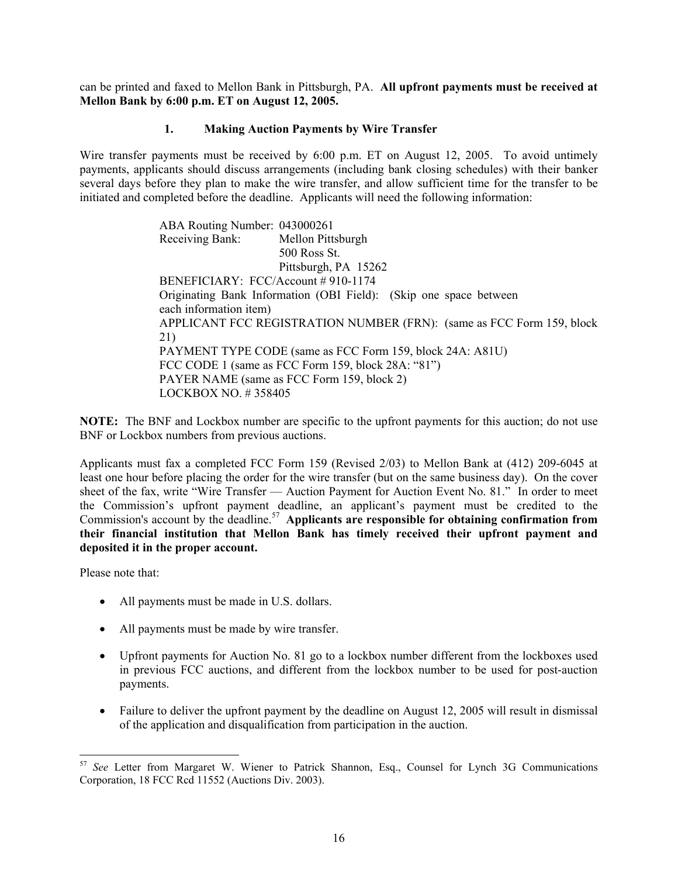can be printed and faxed to Mellon Bank in Pittsburgh, PA. **All upfront payments must be received at Mellon Bank by 6:00 p.m. ET on August 12, 2005.**

#### **1. Making Auction Payments by Wire Transfer**

Wire transfer payments must be received by 6:00 p.m. ET on August 12, 2005. To avoid untimely payments, applicants should discuss arrangements (including bank closing schedules) with their banker several days before they plan to make the wire transfer, and allow sufficient time for the transfer to be initiated and completed before the deadline. Applicants will need the following information:

> ABA Routing Number: 043000261 Receiving Bank: Mellon Pittsburgh 500 Ross St. Pittsburgh, PA 15262 BENEFICIARY: FCC/Account # 910-1174 Originating Bank Information (OBI Field): (Skip one space between each information item) APPLICANT FCC REGISTRATION NUMBER (FRN): (same as FCC Form 159, block 21) PAYMENT TYPE CODE (same as FCC Form 159, block 24A: A81U) FCC CODE 1 (same as FCC Form 159, block 28A: "81") PAYER NAME (same as FCC Form 159, block 2) LOCKBOX NO. # 358405

**NOTE:** The BNF and Lockbox number are specific to the upfront payments for this auction; do not use BNF or Lockbox numbers from previous auctions.

Applicants must fax a completed FCC Form 159 (Revised 2/03) to Mellon Bank at (412) 209-6045 at least one hour before placing the order for the wire transfer (but on the same business day). On the cover sheet of the fax, write "Wire Transfer — Auction Payment for Auction Event No. 81." In order to meet the Commission's upfront payment deadline, an applicant's payment must be credited to the Commission's account by the deadline.<sup>57</sup> Applicants are responsible for obtaining confirmation from **their financial institution that Mellon Bank has timely received their upfront payment and deposited it in the proper account.**

Please note that:

- All payments must be made in U.S. dollars.
- All payments must be made by wire transfer.
- Upfront payments for Auction No. 81 go to a lockbox number different from the lockboxes used in previous FCC auctions, and different from the lockbox number to be used for post-auction payments.
- Failure to deliver the upfront payment by the deadline on August 12, 2005 will result in dismissal of the application and disqualification from participation in the auction.

<sup>1</sup> <sup>57</sup> *See* Letter from Margaret W. Wiener to Patrick Shannon, Esq., Counsel for Lynch 3G Communications Corporation, 18 FCC Rcd 11552 (Auctions Div. 2003).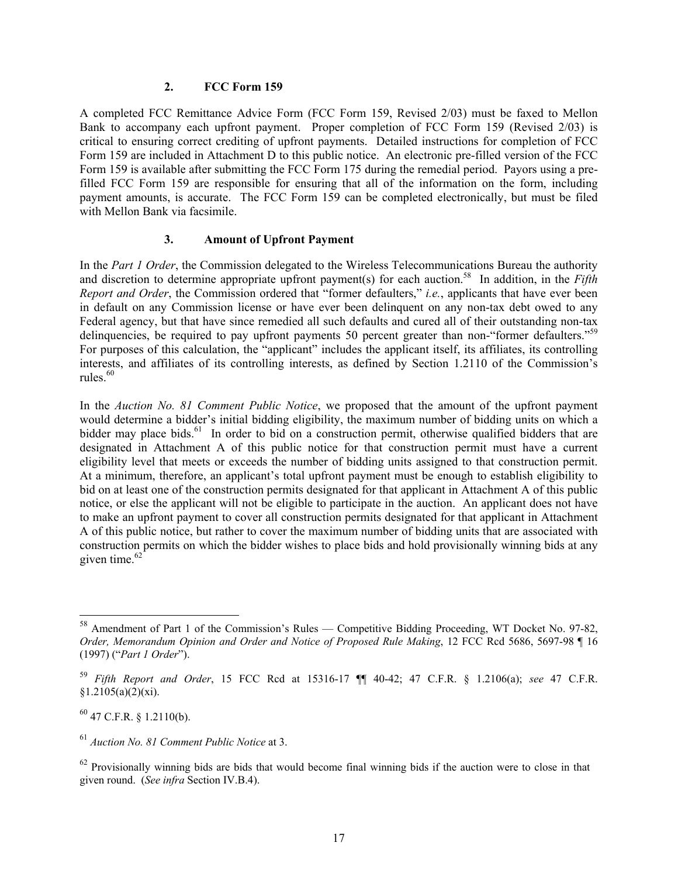#### **2. FCC Form 159**

A completed FCC Remittance Advice Form (FCC Form 159, Revised 2/03) must be faxed to Mellon Bank to accompany each upfront payment. Proper completion of FCC Form 159 (Revised 2/03) is critical to ensuring correct crediting of upfront payments. Detailed instructions for completion of FCC Form 159 are included in Attachment D to this public notice. An electronic pre-filled version of the FCC Form 159 is available after submitting the FCC Form 175 during the remedial period. Payors using a prefilled FCC Form 159 are responsible for ensuring that all of the information on the form, including payment amounts, is accurate. The FCC Form 159 can be completed electronically, but must be filed with Mellon Bank via facsimile.

#### **3. Amount of Upfront Payment**

In the *Part 1 Order*, the Commission delegated to the Wireless Telecommunications Bureau the authority and discretion to determine appropriate upfront payment(s) for each auction.<sup>58</sup> In addition, in the *Fifth Report and Order*, the Commission ordered that "former defaulters," *i.e.*, applicants that have ever been in default on any Commission license or have ever been delinquent on any non-tax debt owed to any Federal agency, but that have since remedied all such defaults and cured all of their outstanding non-tax delinquencies, be required to pay upfront payments 50 percent greater than non-"former defaulters."<sup>59</sup> For purposes of this calculation, the "applicant" includes the applicant itself, its affiliates, its controlling interests, and affiliates of its controlling interests, as defined by Section 1.2110 of the Commission's rules. $60$ 

In the *Auction No. 81 Comment Public Notice*, we proposed that the amount of the upfront payment would determine a bidder's initial bidding eligibility, the maximum number of bidding units on which a bidder may place bids.<sup>61</sup> In order to bid on a construction permit, otherwise qualified bidders that are designated in Attachment A of this public notice for that construction permit must have a current eligibility level that meets or exceeds the number of bidding units assigned to that construction permit. At a minimum, therefore, an applicant's total upfront payment must be enough to establish eligibility to bid on at least one of the construction permits designated for that applicant in Attachment A of this public notice, or else the applicant will not be eligible to participate in the auction. An applicant does not have to make an upfront payment to cover all construction permits designated for that applicant in Attachment A of this public notice, but rather to cover the maximum number of bidding units that are associated with construction permits on which the bidder wishes to place bids and hold provisionally winning bids at any given time. $62$ 

 $^{60}$  47 C.F.R. § 1.2110(b).

<sup>58</sup> Amendment of Part 1 of the Commission's Rules — Competitive Bidding Proceeding, WT Docket No. 97-82, *Order, Memorandum Opinion and Order and Notice of Proposed Rule Making*, 12 FCC Rcd 5686, 5697-98 ¶ 16 (1997) ("*Part 1 Order*").

<sup>59</sup> *Fifth Report and Order*, 15 FCC Rcd at 15316-17 ¶¶ 40-42; 47 C.F.R. § 1.2106(a); *see* 47 C.F.R.  $§1.2105(a)(2)(xi).$ 

<sup>61</sup> *Auction No. 81 Comment Public Notice* at 3.

 $62$  Provisionally winning bids are bids that would become final winning bids if the auction were to close in that given round. (*See infra* Section IV.B.4).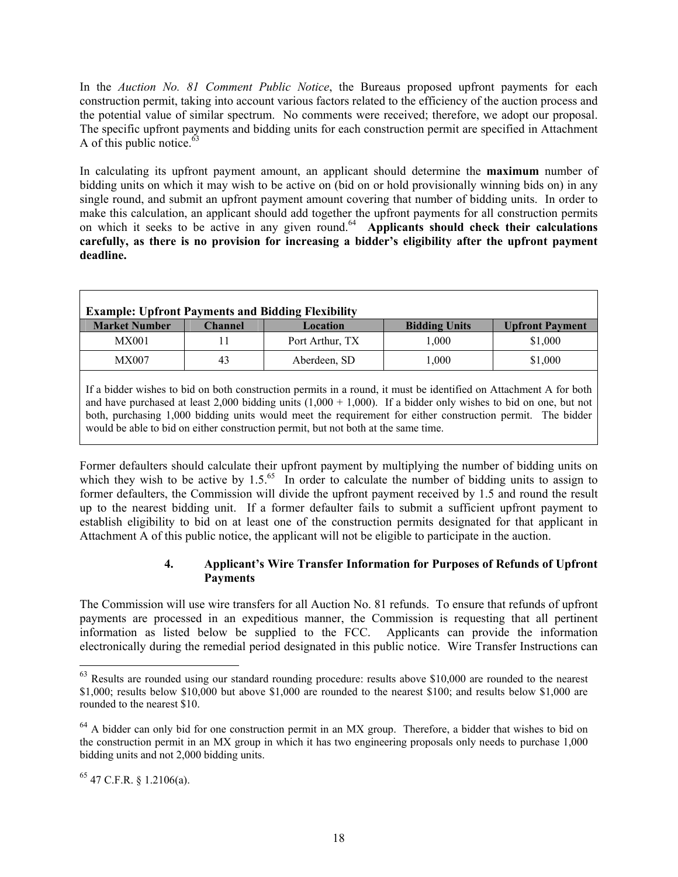In the *Auction No. 81 Comment Public Notice*, the Bureaus proposed upfront payments for each construction permit, taking into account various factors related to the efficiency of the auction process and the potential value of similar spectrum. No comments were received; therefore, we adopt our proposal. The specific upfront payments and bidding units for each construction permit are specified in Attachment A of this public notice.  $63$ 

In calculating its upfront payment amount, an applicant should determine the **maximum** number of bidding units on which it may wish to be active on (bid on or hold provisionally winning bids on) in any single round, and submit an upfront payment amount covering that number of bidding units. In order to make this calculation, an applicant should add together the upfront payments for all construction permits on which it seeks to be active in any given round.64 **Applicants should check their calculations carefully, as there is no provision for increasing a bidder's eligibility after the upfront payment deadline.** 

| <b>Example: Upfront Payments and Bidding Flexibility</b> |         |                 |                      |                        |
|----------------------------------------------------------|---------|-----------------|----------------------|------------------------|
| <b>Market Number</b>                                     | Channel | Location        | <b>Bidding Units</b> | <b>Upfront Payment</b> |
| MX001                                                    |         | Port Arthur, TX | 1.000                | \$1,000                |
| MX007                                                    | 43      | Aberdeen, SD    | 1.000                | \$1,000                |
|                                                          |         |                 |                      |                        |

If a bidder wishes to bid on both construction permits in a round, it must be identified on Attachment A for both and have purchased at least  $2,000$  bidding units  $(1,000 + 1,000)$ . If a bidder only wishes to bid on one, but not both, purchasing 1,000 bidding units would meet the requirement for either construction permit. The bidder would be able to bid on either construction permit, but not both at the same time.

Former defaulters should calculate their upfront payment by multiplying the number of bidding units on which they wish to be active by  $1.5<sup>65</sup>$  In order to calculate the number of bidding units to assign to former defaulters, the Commission will divide the upfront payment received by 1.5 and round the result up to the nearest bidding unit. If a former defaulter fails to submit a sufficient upfront payment to establish eligibility to bid on at least one of the construction permits designated for that applicant in Attachment A of this public notice, the applicant will not be eligible to participate in the auction.

#### **4. Applicant's Wire Transfer Information for Purposes of Refunds of Upfront Payments**

The Commission will use wire transfers for all Auction No. 81 refunds. To ensure that refunds of upfront payments are processed in an expeditious manner, the Commission is requesting that all pertinent information as listed below be supplied to the FCC. Applicants can provide the information electronically during the remedial period designated in this public notice. Wire Transfer Instructions can

 $\overline{a}$ 

 $63$  Results are rounded using our standard rounding procedure: results above \$10,000 are rounded to the nearest \$1,000; results below \$10,000 but above \$1,000 are rounded to the nearest \$100; and results below \$1,000 are rounded to the nearest \$10.

<sup>&</sup>lt;sup>64</sup> A bidder can only bid for one construction permit in an MX group. Therefore, a bidder that wishes to bid on the construction permit in an MX group in which it has two engineering proposals only needs to purchase 1,000 bidding units and not 2,000 bidding units.

 $65$  47 C.F.R. § 1.2106(a).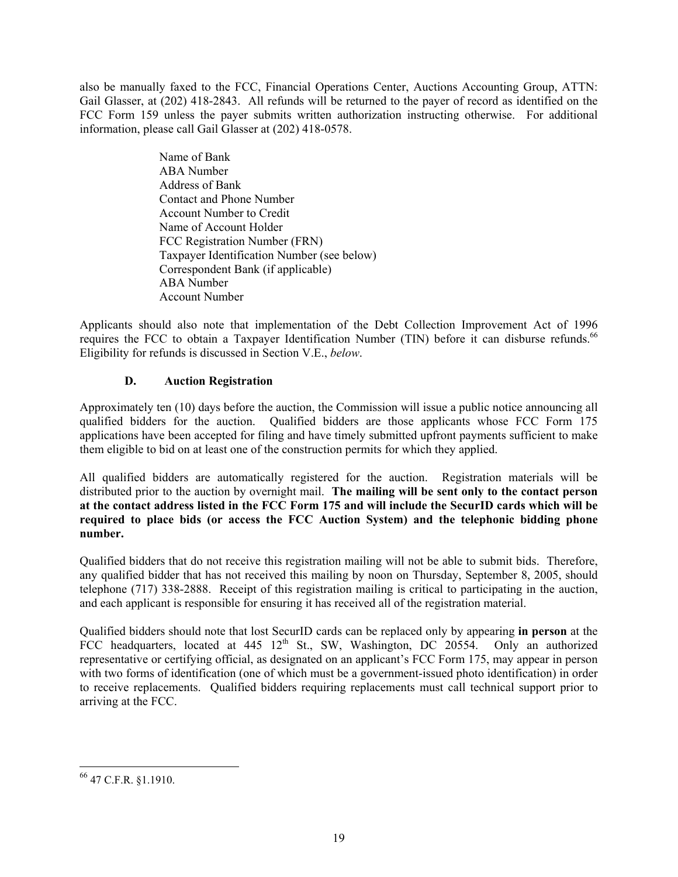also be manually faxed to the FCC, Financial Operations Center, Auctions Accounting Group, ATTN: Gail Glasser, at (202) 418-2843. All refunds will be returned to the payer of record as identified on the FCC Form 159 unless the payer submits written authorization instructing otherwise. For additional information, please call Gail Glasser at (202) 418-0578.

> Name of Bank ABA Number Address of Bank Contact and Phone Number Account Number to Credit Name of Account Holder FCC Registration Number (FRN) Taxpayer Identification Number (see below) Correspondent Bank (if applicable) ABA Number Account Number

Applicants should also note that implementation of the Debt Collection Improvement Act of 1996 requires the FCC to obtain a Taxpayer Identification Number (TIN) before it can disburse refunds.<sup>66</sup> Eligibility for refunds is discussed in Section V.E., *below*.

#### **D. Auction Registration**

Approximately ten (10) days before the auction, the Commission will issue a public notice announcing all qualified bidders for the auction. Qualified bidders are those applicants whose FCC Form 175 applications have been accepted for filing and have timely submitted upfront payments sufficient to make them eligible to bid on at least one of the construction permits for which they applied.

All qualified bidders are automatically registered for the auction. Registration materials will be distributed prior to the auction by overnight mail. **The mailing will be sent only to the contact person at the contact address listed in the FCC Form 175 and will include the SecurID cards which will be required to place bids (or access the FCC Auction System) and the telephonic bidding phone number.** 

Qualified bidders that do not receive this registration mailing will not be able to submit bids. Therefore, any qualified bidder that has not received this mailing by noon on Thursday, September 8, 2005, should telephone (717) 338-2888. Receipt of this registration mailing is critical to participating in the auction, and each applicant is responsible for ensuring it has received all of the registration material.

Qualified bidders should note that lost SecurID cards can be replaced only by appearing **in person** at the FCC headquarters, located at 445 12<sup>th</sup> St., SW, Washington, DC 20554. Only an authorized representative or certifying official, as designated on an applicant's FCC Form 175, may appear in person with two forms of identification (one of which must be a government-issued photo identification) in order to receive replacements. Qualified bidders requiring replacements must call technical support prior to arriving at the FCC.

<sup>66 47</sup> C.F.R. §1.1910.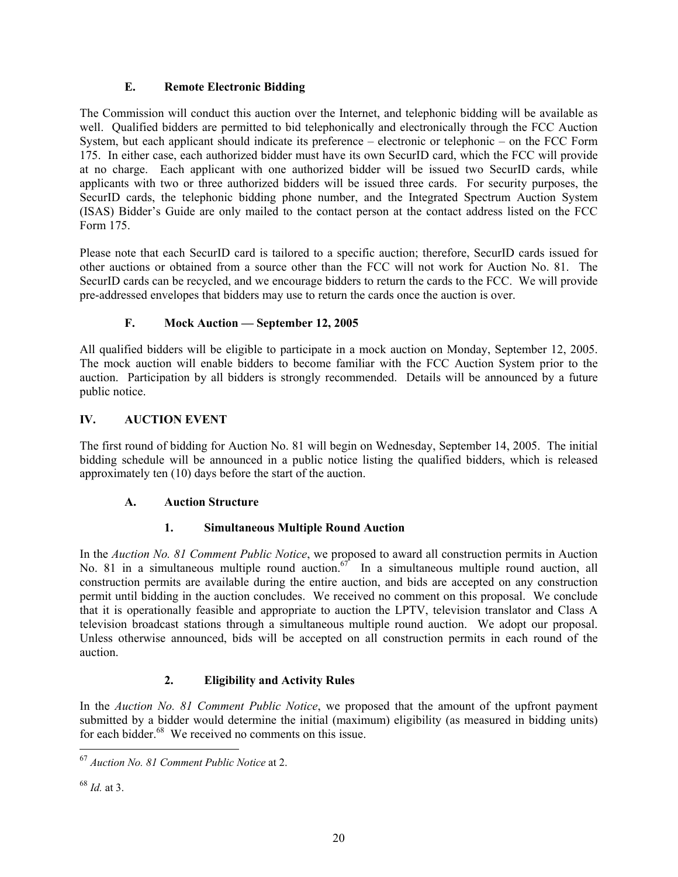#### **E. Remote Electronic Bidding**

The Commission will conduct this auction over the Internet, and telephonic bidding will be available as well. Qualified bidders are permitted to bid telephonically and electronically through the FCC Auction System, but each applicant should indicate its preference – electronic or telephonic – on the FCC Form 175. In either case, each authorized bidder must have its own SecurID card, which the FCC will provide at no charge. Each applicant with one authorized bidder will be issued two SecurID cards, while applicants with two or three authorized bidders will be issued three cards. For security purposes, the SecurID cards, the telephonic bidding phone number, and the Integrated Spectrum Auction System (ISAS) Bidder's Guide are only mailed to the contact person at the contact address listed on the FCC Form 175.

Please note that each SecurID card is tailored to a specific auction; therefore, SecurID cards issued for other auctions or obtained from a source other than the FCC will not work for Auction No. 81. The SecurID cards can be recycled, and we encourage bidders to return the cards to the FCC. We will provide pre-addressed envelopes that bidders may use to return the cards once the auction is over.

### **F. Mock Auction — September 12, 2005**

All qualified bidders will be eligible to participate in a mock auction on Monday, September 12, 2005. The mock auction will enable bidders to become familiar with the FCC Auction System prior to the auction. Participation by all bidders is strongly recommended. Details will be announced by a future public notice.

#### **IV. AUCTION EVENT**

The first round of bidding for Auction No. 81 will begin on Wednesday, September 14, 2005. The initial bidding schedule will be announced in a public notice listing the qualified bidders, which is released approximately ten (10) days before the start of the auction.

#### **A. Auction Structure**

#### **1. Simultaneous Multiple Round Auction**

In the *Auction No. 81 Comment Public Notice*, we proposed to award all construction permits in Auction No. 81 in a simultaneous multiple round auction.<sup>67</sup> In a simultaneous multiple round auction, all construction permits are available during the entire auction, and bids are accepted on any construction permit until bidding in the auction concludes. We received no comment on this proposal. We conclude that it is operationally feasible and appropriate to auction the LPTV, television translator and Class A television broadcast stations through a simultaneous multiple round auction. We adopt our proposal. Unless otherwise announced, bids will be accepted on all construction permits in each round of the auction.

### **2. Eligibility and Activity Rules**

In the *Auction No. 81 Comment Public Notice*, we proposed that the amount of the upfront payment submitted by a bidder would determine the initial (maximum) eligibility (as measured in bidding units) for each bidder.<sup>68</sup> We received no comments on this issue.

1

<sup>67</sup> *Auction No. 81 Comment Public Notice* at 2.

<sup>68</sup> *Id.* at 3.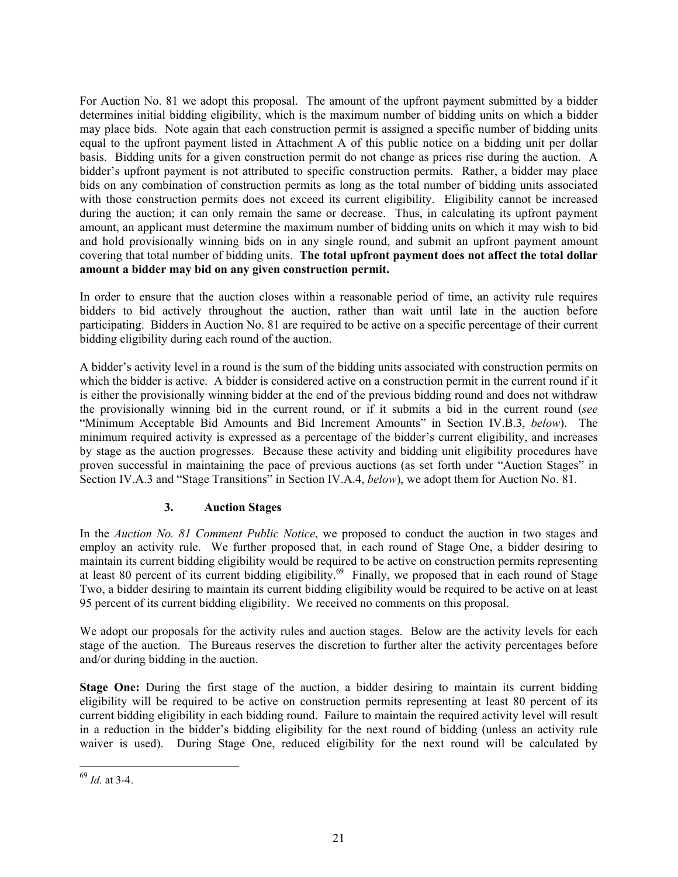For Auction No. 81 we adopt this proposal. The amount of the upfront payment submitted by a bidder determines initial bidding eligibility, which is the maximum number of bidding units on which a bidder may place bids. Note again that each construction permit is assigned a specific number of bidding units equal to the upfront payment listed in Attachment A of this public notice on a bidding unit per dollar basis. Bidding units for a given construction permit do not change as prices rise during the auction. A bidder's upfront payment is not attributed to specific construction permits. Rather, a bidder may place bids on any combination of construction permits as long as the total number of bidding units associated with those construction permits does not exceed its current eligibility. Eligibility cannot be increased during the auction; it can only remain the same or decrease. Thus, in calculating its upfront payment amount, an applicant must determine the maximum number of bidding units on which it may wish to bid and hold provisionally winning bids on in any single round, and submit an upfront payment amount covering that total number of bidding units. **The total upfront payment does not affect the total dollar amount a bidder may bid on any given construction permit.**

In order to ensure that the auction closes within a reasonable period of time, an activity rule requires bidders to bid actively throughout the auction, rather than wait until late in the auction before participating. Bidders in Auction No. 81 are required to be active on a specific percentage of their current bidding eligibility during each round of the auction.

A bidder's activity level in a round is the sum of the bidding units associated with construction permits on which the bidder is active. A bidder is considered active on a construction permit in the current round if it is either the provisionally winning bidder at the end of the previous bidding round and does not withdraw the provisionally winning bid in the current round, or if it submits a bid in the current round (*see* "Minimum Acceptable Bid Amounts and Bid Increment Amounts" in Section IV.B.3, *below*). The minimum required activity is expressed as a percentage of the bidder's current eligibility, and increases by stage as the auction progresses. Because these activity and bidding unit eligibility procedures have proven successful in maintaining the pace of previous auctions (as set forth under "Auction Stages" in Section IV.A.3 and "Stage Transitions" in Section IV.A.4, *below*), we adopt them for Auction No. 81.

### **3. Auction Stages**

In the *Auction No. 81 Comment Public Notice*, we proposed to conduct the auction in two stages and employ an activity rule. We further proposed that, in each round of Stage One, a bidder desiring to maintain its current bidding eligibility would be required to be active on construction permits representing at least 80 percent of its current bidding eligibility.<sup>69</sup> Finally, we proposed that in each round of Stage Two, a bidder desiring to maintain its current bidding eligibility would be required to be active on at least 95 percent of its current bidding eligibility. We received no comments on this proposal.

We adopt our proposals for the activity rules and auction stages. Below are the activity levels for each stage of the auction. The Bureaus reserves the discretion to further alter the activity percentages before and/or during bidding in the auction.

**Stage One:** During the first stage of the auction, a bidder desiring to maintain its current bidding eligibility will be required to be active on construction permits representing at least 80 percent of its current bidding eligibility in each bidding round. Failure to maintain the required activity level will result in a reduction in the bidder's bidding eligibility for the next round of bidding (unless an activity rule waiver is used). During Stage One, reduced eligibility for the next round will be calculated by

<sup>69</sup> *Id.* at 3-4.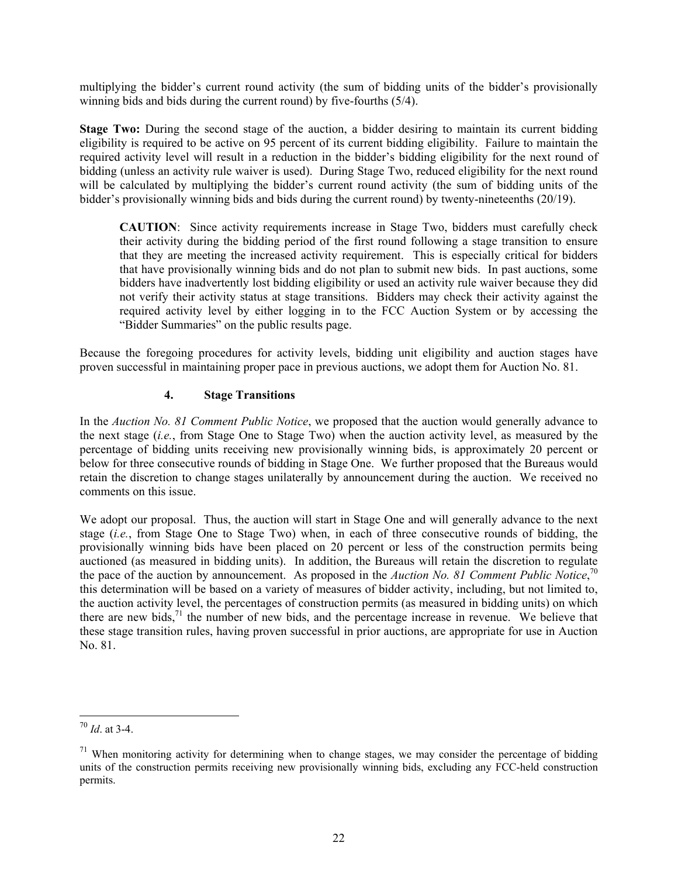multiplying the bidder's current round activity (the sum of bidding units of the bidder's provisionally winning bids and bids during the current round) by five-fourths (5/4).

**Stage Two:** During the second stage of the auction, a bidder desiring to maintain its current bidding eligibility is required to be active on 95 percent of its current bidding eligibility. Failure to maintain the required activity level will result in a reduction in the bidder's bidding eligibility for the next round of bidding (unless an activity rule waiver is used). During Stage Two, reduced eligibility for the next round will be calculated by multiplying the bidder's current round activity (the sum of bidding units of the bidder's provisionally winning bids and bids during the current round) by twenty-nineteenths (20/19).

**CAUTION**: Since activity requirements increase in Stage Two, bidders must carefully check their activity during the bidding period of the first round following a stage transition to ensure that they are meeting the increased activity requirement. This is especially critical for bidders that have provisionally winning bids and do not plan to submit new bids. In past auctions, some bidders have inadvertently lost bidding eligibility or used an activity rule waiver because they did not verify their activity status at stage transitions. Bidders may check their activity against the required activity level by either logging in to the FCC Auction System or by accessing the "Bidder Summaries" on the public results page.

Because the foregoing procedures for activity levels, bidding unit eligibility and auction stages have proven successful in maintaining proper pace in previous auctions, we adopt them for Auction No. 81.

#### **4. Stage Transitions**

In the *Auction No. 81 Comment Public Notice*, we proposed that the auction would generally advance to the next stage (*i.e.*, from Stage One to Stage Two) when the auction activity level, as measured by the percentage of bidding units receiving new provisionally winning bids, is approximately 20 percent or below for three consecutive rounds of bidding in Stage One. We further proposed that the Bureaus would retain the discretion to change stages unilaterally by announcement during the auction. We received no comments on this issue.

We adopt our proposal. Thus, the auction will start in Stage One and will generally advance to the next stage (*i.e.*, from Stage One to Stage Two) when, in each of three consecutive rounds of bidding, the provisionally winning bids have been placed on 20 percent or less of the construction permits being auctioned (as measured in bidding units). In addition, the Bureaus will retain the discretion to regulate the pace of the auction by announcement. As proposed in the *Auction No. 81 Comment Public Notice*, 70 this determination will be based on a variety of measures of bidder activity, including, but not limited to, the auction activity level, the percentages of construction permits (as measured in bidding units) on which there are new bids, $^{71}$  the number of new bids, and the percentage increase in revenue. We believe that these stage transition rules, having proven successful in prior auctions, are appropriate for use in Auction No. 81.

l <sup>70</sup> *Id*. at 3-4.

 $71$  When monitoring activity for determining when to change stages, we may consider the percentage of bidding units of the construction permits receiving new provisionally winning bids, excluding any FCC-held construction permits.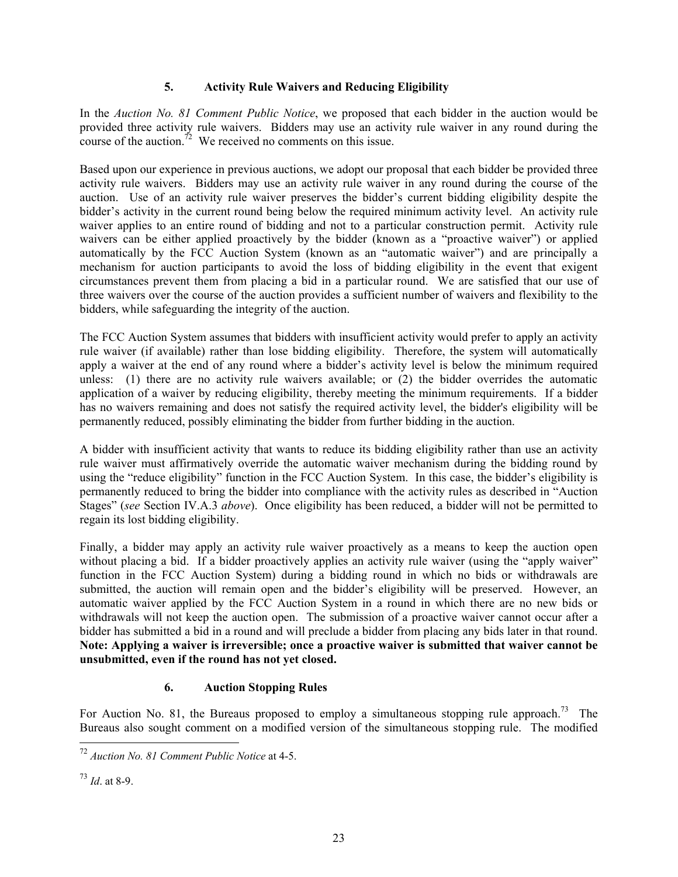#### **5. Activity Rule Waivers and Reducing Eligibility**

In the *Auction No. 81 Comment Public Notice*, we proposed that each bidder in the auction would be provided three activity rule waivers. Bidders may use an activity rule waiver in any round during the course of the auction.<sup> $\frac{7}{2}$ </sup> We received no comments on this issue.

Based upon our experience in previous auctions, we adopt our proposal that each bidder be provided three activity rule waivers. Bidders may use an activity rule waiver in any round during the course of the auction. Use of an activity rule waiver preserves the bidder's current bidding eligibility despite the bidder's activity in the current round being below the required minimum activity level. An activity rule waiver applies to an entire round of bidding and not to a particular construction permit. Activity rule waivers can be either applied proactively by the bidder (known as a "proactive waiver") or applied automatically by the FCC Auction System (known as an "automatic waiver") and are principally a mechanism for auction participants to avoid the loss of bidding eligibility in the event that exigent circumstances prevent them from placing a bid in a particular round. We are satisfied that our use of three waivers over the course of the auction provides a sufficient number of waivers and flexibility to the bidders, while safeguarding the integrity of the auction.

The FCC Auction System assumes that bidders with insufficient activity would prefer to apply an activity rule waiver (if available) rather than lose bidding eligibility. Therefore, the system will automatically apply a waiver at the end of any round where a bidder's activity level is below the minimum required unless: (1) there are no activity rule waivers available; or (2) the bidder overrides the automatic application of a waiver by reducing eligibility, thereby meeting the minimum requirements. If a bidder has no waivers remaining and does not satisfy the required activity level, the bidder's eligibility will be permanently reduced, possibly eliminating the bidder from further bidding in the auction.

A bidder with insufficient activity that wants to reduce its bidding eligibility rather than use an activity rule waiver must affirmatively override the automatic waiver mechanism during the bidding round by using the "reduce eligibility" function in the FCC Auction System. In this case, the bidder's eligibility is permanently reduced to bring the bidder into compliance with the activity rules as described in "Auction Stages" (*see* Section IV.A.3 *above*). Once eligibility has been reduced, a bidder will not be permitted to regain its lost bidding eligibility.

Finally, a bidder may apply an activity rule waiver proactively as a means to keep the auction open without placing a bid. If a bidder proactively applies an activity rule waiver (using the "apply waiver" function in the FCC Auction System) during a bidding round in which no bids or withdrawals are submitted, the auction will remain open and the bidder's eligibility will be preserved. However, an automatic waiver applied by the FCC Auction System in a round in which there are no new bids or withdrawals will not keep the auction open. The submission of a proactive waiver cannot occur after a bidder has submitted a bid in a round and will preclude a bidder from placing any bids later in that round. **Note: Applying a waiver is irreversible; once a proactive waiver is submitted that waiver cannot be unsubmitted, even if the round has not yet closed.** 

#### **6. Auction Stopping Rules**

For Auction No. 81, the Bureaus proposed to employ a simultaneous stopping rule approach.<sup>73</sup> The Bureaus also sought comment on a modified version of the simultaneous stopping rule. The modified

-

<sup>72</sup> *Auction No. 81 Comment Public Notice* at 4-5.

<sup>73</sup> *Id*. at 8-9.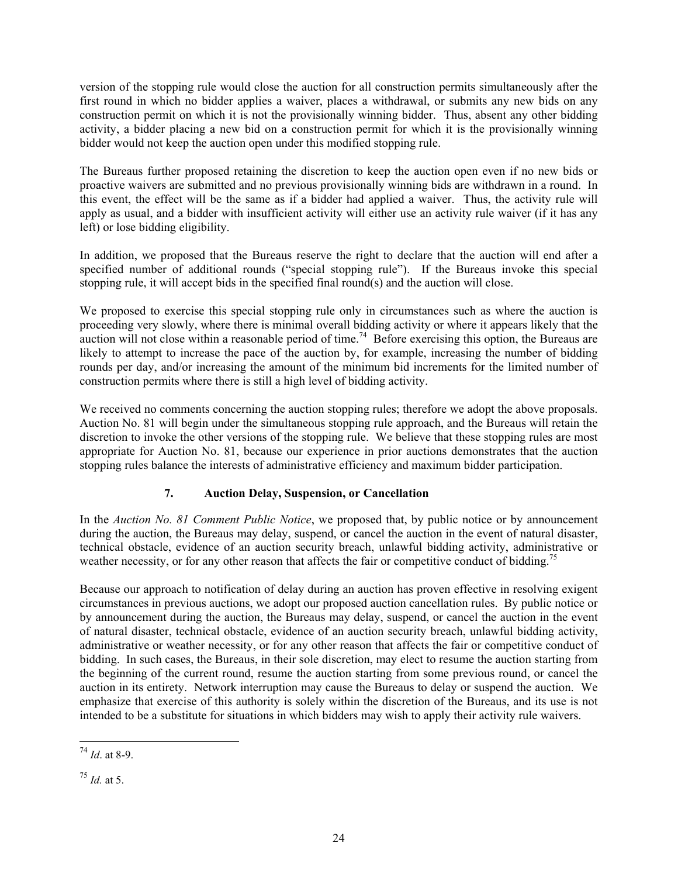version of the stopping rule would close the auction for all construction permits simultaneously after the first round in which no bidder applies a waiver, places a withdrawal, or submits any new bids on any construction permit on which it is not the provisionally winning bidder. Thus, absent any other bidding activity, a bidder placing a new bid on a construction permit for which it is the provisionally winning bidder would not keep the auction open under this modified stopping rule.

The Bureaus further proposed retaining the discretion to keep the auction open even if no new bids or proactive waivers are submitted and no previous provisionally winning bids are withdrawn in a round. In this event, the effect will be the same as if a bidder had applied a waiver. Thus, the activity rule will apply as usual, and a bidder with insufficient activity will either use an activity rule waiver (if it has any left) or lose bidding eligibility.

In addition, we proposed that the Bureaus reserve the right to declare that the auction will end after a specified number of additional rounds ("special stopping rule"). If the Bureaus invoke this special stopping rule, it will accept bids in the specified final round(s) and the auction will close.

We proposed to exercise this special stopping rule only in circumstances such as where the auction is proceeding very slowly, where there is minimal overall bidding activity or where it appears likely that the auction will not close within a reasonable period of time.<sup>74</sup> Before exercising this option, the Bureaus are likely to attempt to increase the pace of the auction by, for example, increasing the number of bidding rounds per day, and/or increasing the amount of the minimum bid increments for the limited number of construction permits where there is still a high level of bidding activity.

We received no comments concerning the auction stopping rules; therefore we adopt the above proposals. Auction No. 81 will begin under the simultaneous stopping rule approach, and the Bureaus will retain the discretion to invoke the other versions of the stopping rule. We believe that these stopping rules are most appropriate for Auction No. 81, because our experience in prior auctions demonstrates that the auction stopping rules balance the interests of administrative efficiency and maximum bidder participation.

#### **7. Auction Delay, Suspension, or Cancellation**

In the *Auction No. 81 Comment Public Notice*, we proposed that, by public notice or by announcement during the auction, the Bureaus may delay, suspend, or cancel the auction in the event of natural disaster, technical obstacle, evidence of an auction security breach, unlawful bidding activity, administrative or weather necessity, or for any other reason that affects the fair or competitive conduct of bidding.<sup>75</sup>

Because our approach to notification of delay during an auction has proven effective in resolving exigent circumstances in previous auctions, we adopt our proposed auction cancellation rules. By public notice or by announcement during the auction, the Bureaus may delay, suspend, or cancel the auction in the event of natural disaster, technical obstacle, evidence of an auction security breach, unlawful bidding activity, administrative or weather necessity, or for any other reason that affects the fair or competitive conduct of bidding. In such cases, the Bureaus, in their sole discretion, may elect to resume the auction starting from the beginning of the current round, resume the auction starting from some previous round, or cancel the auction in its entirety. Network interruption may cause the Bureaus to delay or suspend the auction. We emphasize that exercise of this authority is solely within the discretion of the Bureaus, and its use is not intended to be a substitute for situations in which bidders may wish to apply their activity rule waivers.

 $\overline{a}$ <sup>74</sup> *Id*. at 8-9.

<sup>75</sup> *Id.* at 5.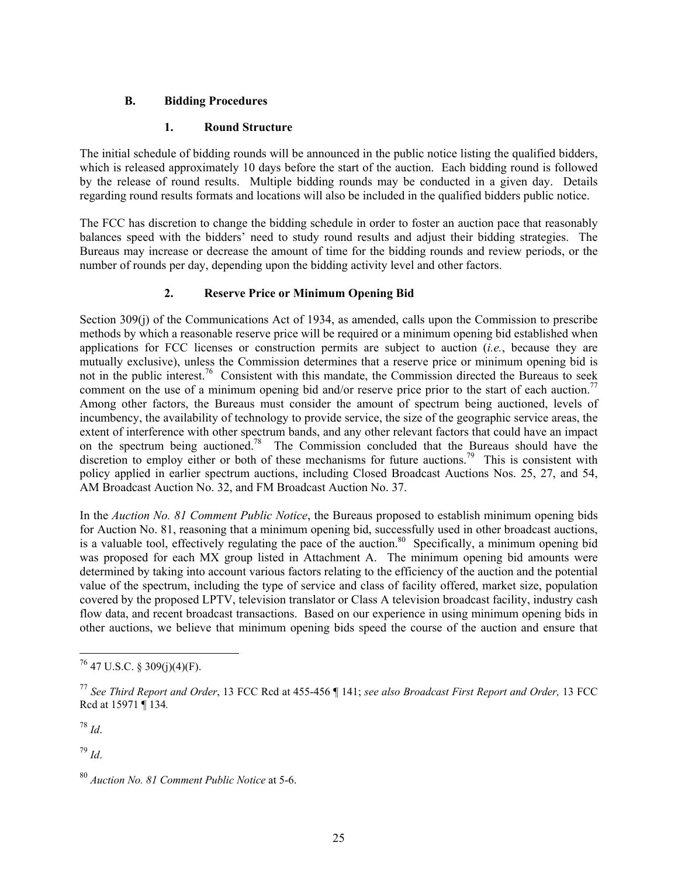#### **B. Bidding Procedures**

#### **1. Round Structure**

The initial schedule of bidding rounds will be announced in the public notice listing the qualified bidders, which is released approximately 10 days before the start of the auction. Each bidding round is followed by the release of round results. Multiple bidding rounds may be conducted in a given day. Details regarding round results formats and locations will also be included in the qualified bidders public notice.

The FCC has discretion to change the bidding schedule in order to foster an auction pace that reasonably balances speed with the bidders' need to study round results and adjust their bidding strategies. The Bureaus may increase or decrease the amount of time for the bidding rounds and review periods, or the number of rounds per day, depending upon the bidding activity level and other factors.

#### **2. Reserve Price or Minimum Opening Bid**

Section 309(j) of the Communications Act of 1934, as amended, calls upon the Commission to prescribe methods by which a reasonable reserve price will be required or a minimum opening bid established when applications for FCC licenses or construction permits are subject to auction (*i.e.*, because they are mutually exclusive), unless the Commission determines that a reserve price or minimum opening bid is not in the public interest.<sup>76</sup> Consistent with this mandate, the Commission directed the Bureaus to seek comment on the use of a minimum opening bid and/or reserve price prior to the start of each auction.<sup>77</sup> Among other factors, the Bureaus must consider the amount of spectrum being auctioned, levels of incumbency, the availability of technology to provide service, the size of the geographic service areas, the extent of interference with other spectrum bands, and any other relevant factors that could have an impact on the spectrum being auctioned.<sup>78</sup> The Commission concluded that the Bureaus should have the discretion to employ either or both of these mechanisms for future auctions.<sup>79</sup> This is consistent with policy applied in earlier spectrum auctions, including Closed Broadcast Auctions Nos. 25, 27, and 54, AM Broadcast Auction No. 32, and FM Broadcast Auction No. 37.

In the *Auction No. 81 Comment Public Notice*, the Bureaus proposed to establish minimum opening bids for Auction No. 81, reasoning that a minimum opening bid, successfully used in other broadcast auctions, is a valuable tool, effectively regulating the pace of the auction.<sup>80</sup> Specifically, a minimum opening bid was proposed for each MX group listed in Attachment A. The minimum opening bid amounts were determined by taking into account various factors relating to the efficiency of the auction and the potential value of the spectrum, including the type of service and class of facility offered, market size, population covered by the proposed LPTV, television translator or Class A television broadcast facility, industry cash flow data, and recent broadcast transactions. Based on our experience in using minimum opening bids in other auctions, we believe that minimum opening bids speed the course of the auction and ensure that

<sup>78</sup> *Id*.

1

<sup>79</sup> *Id*.

 $76$  47 U.S.C. § 309(j)(4)(F).

<sup>77</sup> *See Third Report and Order*, 13 FCC Rcd at 455-456 ¶ 141; *see also Broadcast First Report and Order,* 13 FCC Rcd at 15971 ¶ 134*.*

<sup>80</sup> *Auction No. 81 Comment Public Notice* at 5-6.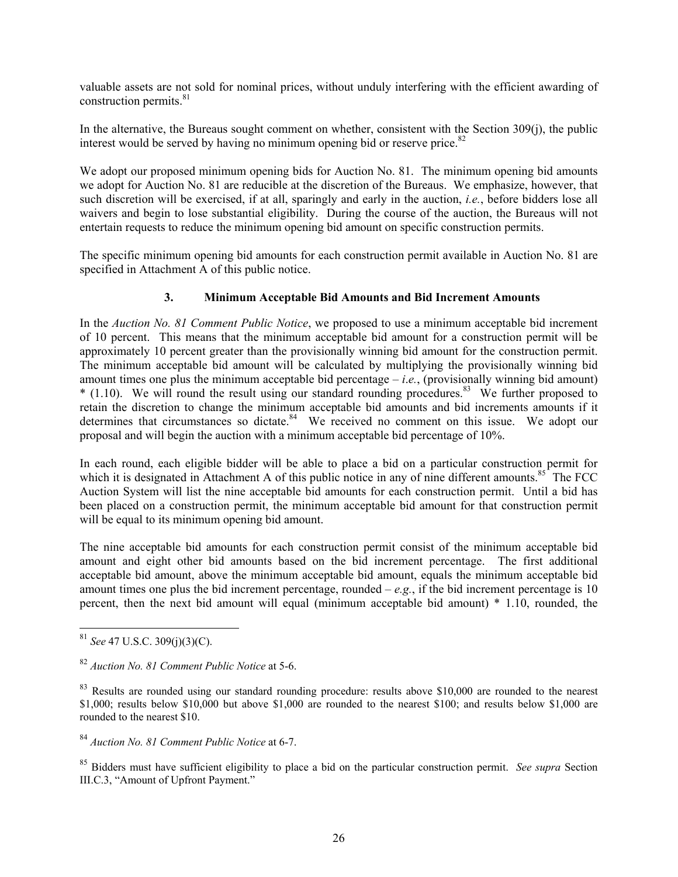valuable assets are not sold for nominal prices, without unduly interfering with the efficient awarding of construction permits. $81$ 

In the alternative, the Bureaus sought comment on whether, consistent with the Section 309(j), the public interest would be served by having no minimum opening bid or reserve price. $82$ 

We adopt our proposed minimum opening bids for Auction No. 81. The minimum opening bid amounts we adopt for Auction No. 81 are reducible at the discretion of the Bureaus. We emphasize, however, that such discretion will be exercised, if at all, sparingly and early in the auction, *i.e.*, before bidders lose all waivers and begin to lose substantial eligibility. During the course of the auction, the Bureaus will not entertain requests to reduce the minimum opening bid amount on specific construction permits.

The specific minimum opening bid amounts for each construction permit available in Auction No. 81 are specified in Attachment A of this public notice.

#### **3. Minimum Acceptable Bid Amounts and Bid Increment Amounts**

In the *Auction No. 81 Comment Public Notice*, we proposed to use a minimum acceptable bid increment of 10 percent. This means that the minimum acceptable bid amount for a construction permit will be approximately 10 percent greater than the provisionally winning bid amount for the construction permit. The minimum acceptable bid amount will be calculated by multiplying the provisionally winning bid amount times one plus the minimum acceptable bid percentage – *i*.*e.*, (provisionally winning bid amount)  $*$  (1.10). We will round the result using our standard rounding procedures.<sup>83</sup> We further proposed to retain the discretion to change the minimum acceptable bid amounts and bid increments amounts if it determines that circumstances so dictate.<sup>84</sup> We received no comment on this issue. We adopt our proposal and will begin the auction with a minimum acceptable bid percentage of 10%.

In each round, each eligible bidder will be able to place a bid on a particular construction permit for which it is designated in Attachment A of this public notice in any of nine different amounts.<sup>85</sup> The FCC Auction System will list the nine acceptable bid amounts for each construction permit. Until a bid has been placed on a construction permit, the minimum acceptable bid amount for that construction permit will be equal to its minimum opening bid amount.

The nine acceptable bid amounts for each construction permit consist of the minimum acceptable bid amount and eight other bid amounts based on the bid increment percentage. The first additional acceptable bid amount, above the minimum acceptable bid amount, equals the minimum acceptable bid amount times one plus the bid increment percentage, rounded  $-e.g.,$  if the bid increment percentage is 10 percent, then the next bid amount will equal (minimum acceptable bid amount) \* 1.10, rounded, the

-

<sup>81</sup> *See* 47 U.S.C. 309(j)(3)(C).

<sup>82</sup> *Auction No. 81 Comment Public Notice* at 5-6.

<sup>&</sup>lt;sup>83</sup> Results are rounded using our standard rounding procedure: results above \$10,000 are rounded to the nearest \$1,000; results below \$10,000 but above \$1,000 are rounded to the nearest \$100; and results below \$1,000 are rounded to the nearest \$10.

<sup>84</sup> *Auction No. 81 Comment Public Notice* at 6-7.

<sup>85</sup> Bidders must have sufficient eligibility to place a bid on the particular construction permit. *See supra* Section III.C.3, "Amount of Upfront Payment."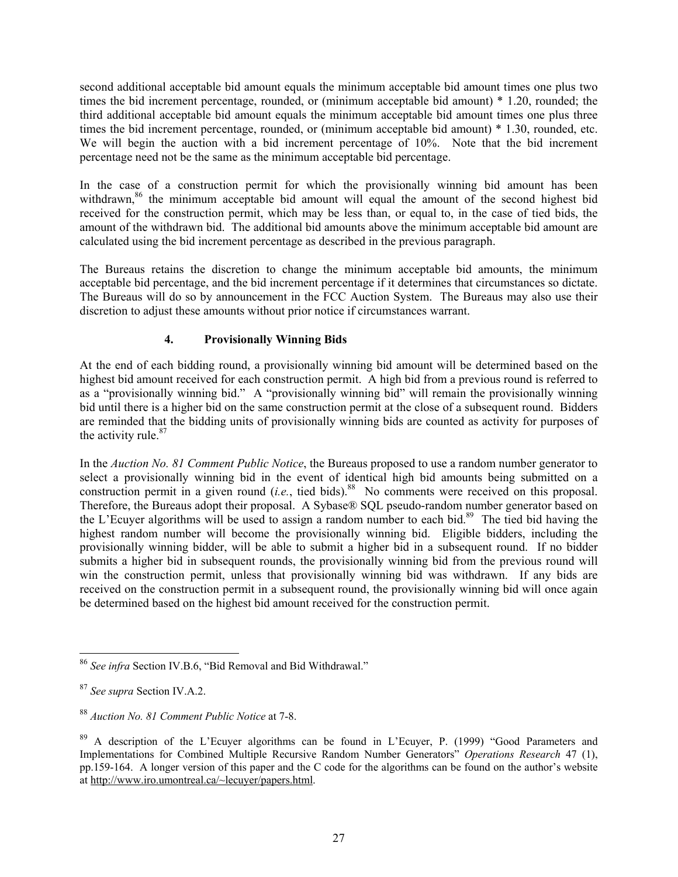second additional acceptable bid amount equals the minimum acceptable bid amount times one plus two times the bid increment percentage, rounded, or (minimum acceptable bid amount) \* 1.20, rounded; the third additional acceptable bid amount equals the minimum acceptable bid amount times one plus three times the bid increment percentage, rounded, or (minimum acceptable bid amount) \* 1.30, rounded, etc. We will begin the auction with a bid increment percentage of 10%. Note that the bid increment percentage need not be the same as the minimum acceptable bid percentage.

In the case of a construction permit for which the provisionally winning bid amount has been withdrawn,<sup>86</sup> the minimum acceptable bid amount will equal the amount of the second highest bid received for the construction permit, which may be less than, or equal to, in the case of tied bids, the amount of the withdrawn bid. The additional bid amounts above the minimum acceptable bid amount are calculated using the bid increment percentage as described in the previous paragraph.

The Bureaus retains the discretion to change the minimum acceptable bid amounts, the minimum acceptable bid percentage, and the bid increment percentage if it determines that circumstances so dictate. The Bureaus will do so by announcement in the FCC Auction System. The Bureaus may also use their discretion to adjust these amounts without prior notice if circumstances warrant.

### **4. Provisionally Winning Bids**

At the end of each bidding round, a provisionally winning bid amount will be determined based on the highest bid amount received for each construction permit. A high bid from a previous round is referred to as a "provisionally winning bid." A "provisionally winning bid" will remain the provisionally winning bid until there is a higher bid on the same construction permit at the close of a subsequent round. Bidders are reminded that the bidding units of provisionally winning bids are counted as activity for purposes of the activity rule.<sup>87</sup>

In the *Auction No. 81 Comment Public Notice*, the Bureaus proposed to use a random number generator to select a provisionally winning bid in the event of identical high bid amounts being submitted on a construction permit in a given round (*i.e.*, tied bids).<sup>88</sup> No comments were received on this proposal. Therefore, the Bureaus adopt their proposal. A Sybase® SQL pseudo-random number generator based on the L'Ecuyer algorithms will be used to assign a random number to each bid.<sup>89</sup> The tied bid having the highest random number will become the provisionally winning bid. Eligible bidders, including the provisionally winning bidder, will be able to submit a higher bid in a subsequent round. If no bidder submits a higher bid in subsequent rounds, the provisionally winning bid from the previous round will win the construction permit, unless that provisionally winning bid was withdrawn. If any bids are received on the construction permit in a subsequent round, the provisionally winning bid will once again be determined based on the highest bid amount received for the construction permit.

<sup>86</sup> *See infra* Section IV.B.6, "Bid Removal and Bid Withdrawal."

<sup>87</sup> *See supra* Section IV.A.2.

<sup>88</sup> *Auction No. 81 Comment Public Notice* at 7-8.

<sup>&</sup>lt;sup>89</sup> A description of the L'Ecuver algorithms can be found in L'Ecuver, P. (1999) "Good Parameters and Implementations for Combined Multiple Recursive Random Number Generators" *Operations Research* 47 (1), pp.159-164. A longer version of this paper and the C code for the algorithms can be found on the author's website at http://www.iro.umontreal.ca/~lecuyer/papers.html.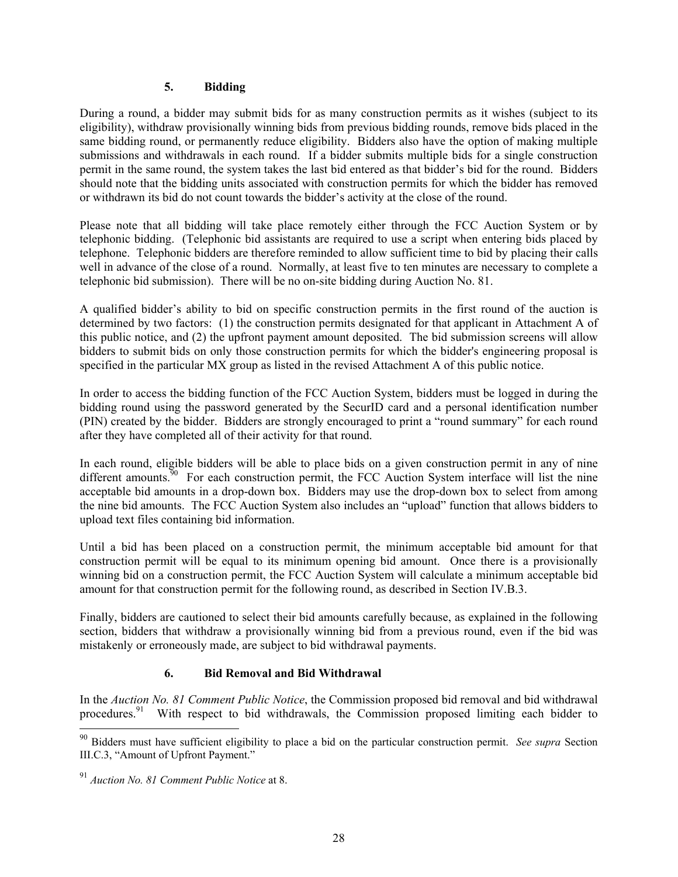#### **5. Bidding**

During a round, a bidder may submit bids for as many construction permits as it wishes (subject to its eligibility), withdraw provisionally winning bids from previous bidding rounds, remove bids placed in the same bidding round, or permanently reduce eligibility. Bidders also have the option of making multiple submissions and withdrawals in each round. If a bidder submits multiple bids for a single construction permit in the same round, the system takes the last bid entered as that bidder's bid for the round. Bidders should note that the bidding units associated with construction permits for which the bidder has removed or withdrawn its bid do not count towards the bidder's activity at the close of the round.

Please note that all bidding will take place remotely either through the FCC Auction System or by telephonic bidding. (Telephonic bid assistants are required to use a script when entering bids placed by telephone. Telephonic bidders are therefore reminded to allow sufficient time to bid by placing their calls well in advance of the close of a round. Normally, at least five to ten minutes are necessary to complete a telephonic bid submission). There will be no on-site bidding during Auction No. 81.

A qualified bidder's ability to bid on specific construction permits in the first round of the auction is determined by two factors: (1) the construction permits designated for that applicant in Attachment A of this public notice, and (2) the upfront payment amount deposited. The bid submission screens will allow bidders to submit bids on only those construction permits for which the bidder's engineering proposal is specified in the particular MX group as listed in the revised Attachment A of this public notice.

In order to access the bidding function of the FCC Auction System, bidders must be logged in during the bidding round using the password generated by the SecurID card and a personal identification number (PIN) created by the bidder. Bidders are strongly encouraged to print a "round summary" for each round after they have completed all of their activity for that round.

In each round, eligible bidders will be able to place bids on a given construction permit in any of nine different amounts.<sup>90</sup> For each construction permit, the FCC Auction System interface will list the nine acceptable bid amounts in a drop-down box. Bidders may use the drop-down box to select from among the nine bid amounts. The FCC Auction System also includes an "upload" function that allows bidders to upload text files containing bid information.

Until a bid has been placed on a construction permit, the minimum acceptable bid amount for that construction permit will be equal to its minimum opening bid amount. Once there is a provisionally winning bid on a construction permit, the FCC Auction System will calculate a minimum acceptable bid amount for that construction permit for the following round, as described in Section IV.B.3.

Finally, bidders are cautioned to select their bid amounts carefully because, as explained in the following section, bidders that withdraw a provisionally winning bid from a previous round, even if the bid was mistakenly or erroneously made, are subject to bid withdrawal payments.

#### **6. Bid Removal and Bid Withdrawal**

In the *Auction No. 81 Comment Public Notice*, the Commission proposed bid removal and bid withdrawal procedures.<sup>91</sup> With respect to bid withdrawals, the Commission proposed limiting each bidder to

<sup>90</sup> Bidders must have sufficient eligibility to place a bid on the particular construction permit. *See supra* Section III.C.3, "Amount of Upfront Payment."

<sup>91</sup> *Auction No. 81 Comment Public Notice* at 8.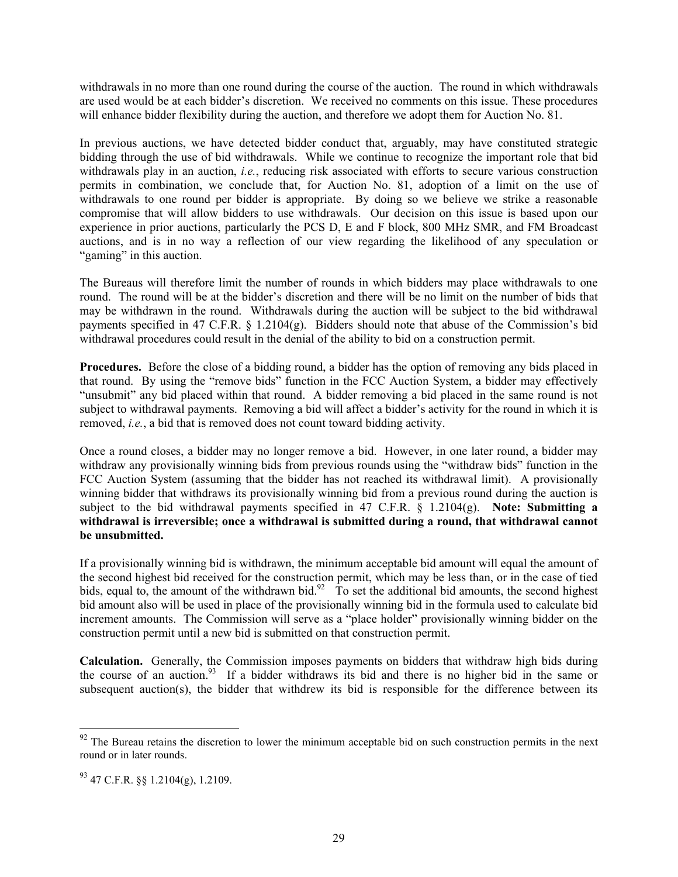withdrawals in no more than one round during the course of the auction. The round in which withdrawals are used would be at each bidder's discretion. We received no comments on this issue. These procedures will enhance bidder flexibility during the auction, and therefore we adopt them for Auction No. 81.

In previous auctions, we have detected bidder conduct that, arguably, may have constituted strategic bidding through the use of bid withdrawals. While we continue to recognize the important role that bid withdrawals play in an auction, *i.e.*, reducing risk associated with efforts to secure various construction permits in combination, we conclude that, for Auction No. 81, adoption of a limit on the use of withdrawals to one round per bidder is appropriate. By doing so we believe we strike a reasonable compromise that will allow bidders to use withdrawals. Our decision on this issue is based upon our experience in prior auctions, particularly the PCS D, E and F block, 800 MHz SMR, and FM Broadcast auctions, and is in no way a reflection of our view regarding the likelihood of any speculation or "gaming" in this auction.

The Bureaus will therefore limit the number of rounds in which bidders may place withdrawals to one round. The round will be at the bidder's discretion and there will be no limit on the number of bids that may be withdrawn in the round. Withdrawals during the auction will be subject to the bid withdrawal payments specified in 47 C.F.R.  $\S$  1.2104(g). Bidders should note that abuse of the Commission's bid withdrawal procedures could result in the denial of the ability to bid on a construction permit.

**Procedures.** Before the close of a bidding round, a bidder has the option of removing any bids placed in that round. By using the "remove bids" function in the FCC Auction System, a bidder may effectively "unsubmit" any bid placed within that round. A bidder removing a bid placed in the same round is not subject to withdrawal payments. Removing a bid will affect a bidder's activity for the round in which it is removed, *i.e.*, a bid that is removed does not count toward bidding activity.

Once a round closes, a bidder may no longer remove a bid. However, in one later round, a bidder may withdraw any provisionally winning bids from previous rounds using the "withdraw bids" function in the FCC Auction System (assuming that the bidder has not reached its withdrawal limit). A provisionally winning bidder that withdraws its provisionally winning bid from a previous round during the auction is subject to the bid withdrawal payments specified in 47 C.F.R. § 1.2104(g). **Note: Submitting a withdrawal is irreversible; once a withdrawal is submitted during a round, that withdrawal cannot be unsubmitted.** 

If a provisionally winning bid is withdrawn, the minimum acceptable bid amount will equal the amount of the second highest bid received for the construction permit, which may be less than, or in the case of tied bids, equal to, the amount of the withdrawn bid.<sup>92</sup> To set the additional bid amounts, the second highest bid amount also will be used in place of the provisionally winning bid in the formula used to calculate bid increment amounts. The Commission will serve as a "place holder" provisionally winning bidder on the construction permit until a new bid is submitted on that construction permit.

**Calculation.** Generally, the Commission imposes payments on bidders that withdraw high bids during the course of an auction.<sup>93</sup> If a bidder withdraws its bid and there is no higher bid in the same or subsequent auction(s), the bidder that withdrew its bid is responsible for the difference between its

 $92$  The Bureau retains the discretion to lower the minimum acceptable bid on such construction permits in the next round or in later rounds.

 $^{93}$  47 C.F.R.  $\$ \ 1.2104(g), 1.2109.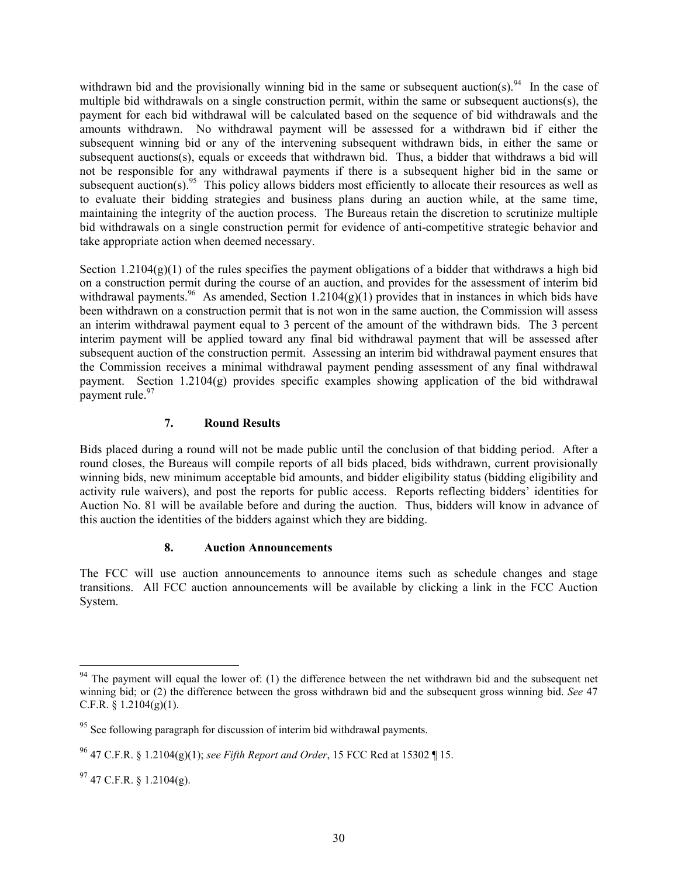withdrawn bid and the provisionally winning bid in the same or subsequent auction(s).<sup>94</sup> In the case of multiple bid withdrawals on a single construction permit, within the same or subsequent auctions(s), the payment for each bid withdrawal will be calculated based on the sequence of bid withdrawals and the amounts withdrawn. No withdrawal payment will be assessed for a withdrawn bid if either the subsequent winning bid or any of the intervening subsequent withdrawn bids, in either the same or subsequent auctions(s), equals or exceeds that withdrawn bid. Thus, a bidder that withdraws a bid will not be responsible for any withdrawal payments if there is a subsequent higher bid in the same or subsequent auction(s).<sup>95</sup> This policy allows bidders most efficiently to allocate their resources as well as to evaluate their bidding strategies and business plans during an auction while, at the same time, maintaining the integrity of the auction process. The Bureaus retain the discretion to scrutinize multiple bid withdrawals on a single construction permit for evidence of anti-competitive strategic behavior and take appropriate action when deemed necessary.

Section 1.2104 $(g)(1)$  of the rules specifies the payment obligations of a bidder that withdraws a high bid on a construction permit during the course of an auction, and provides for the assessment of interim bid withdrawal payments.<sup>96</sup> As amended, Section 1.2104(g)(1) provides that in instances in which bids have been withdrawn on a construction permit that is not won in the same auction, the Commission will assess an interim withdrawal payment equal to 3 percent of the amount of the withdrawn bids. The 3 percent interim payment will be applied toward any final bid withdrawal payment that will be assessed after subsequent auction of the construction permit. Assessing an interim bid withdrawal payment ensures that the Commission receives a minimal withdrawal payment pending assessment of any final withdrawal payment. Section 1.2104(g) provides specific examples showing application of the bid withdrawal payment rule.<sup>97</sup>

#### **7. Round Results**

Bids placed during a round will not be made public until the conclusion of that bidding period. After a round closes, the Bureaus will compile reports of all bids placed, bids withdrawn, current provisionally winning bids, new minimum acceptable bid amounts, and bidder eligibility status (bidding eligibility and activity rule waivers), and post the reports for public access. Reports reflecting bidders' identities for Auction No. 81 will be available before and during the auction. Thus, bidders will know in advance of this auction the identities of the bidders against which they are bidding.

#### **8. Auction Announcements**

The FCC will use auction announcements to announce items such as schedule changes and stage transitions. All FCC auction announcements will be available by clicking a link in the FCC Auction System.

-

 $94$  The payment will equal the lower of: (1) the difference between the net withdrawn bid and the subsequent net winning bid; or (2) the difference between the gross withdrawn bid and the subsequent gross winning bid. *See* 47 C.F.R.  $\S$  1.2104(g)(1).

<sup>&</sup>lt;sup>95</sup> See following paragraph for discussion of interim bid withdrawal payments.

<sup>96 47</sup> C.F.R. § 1.2104(g)(1); *see Fifth Report and Order*, 15 FCC Rcd at 15302 ¶ 15.

 $^{97}$  47 C.F.R. § 1.2104(g).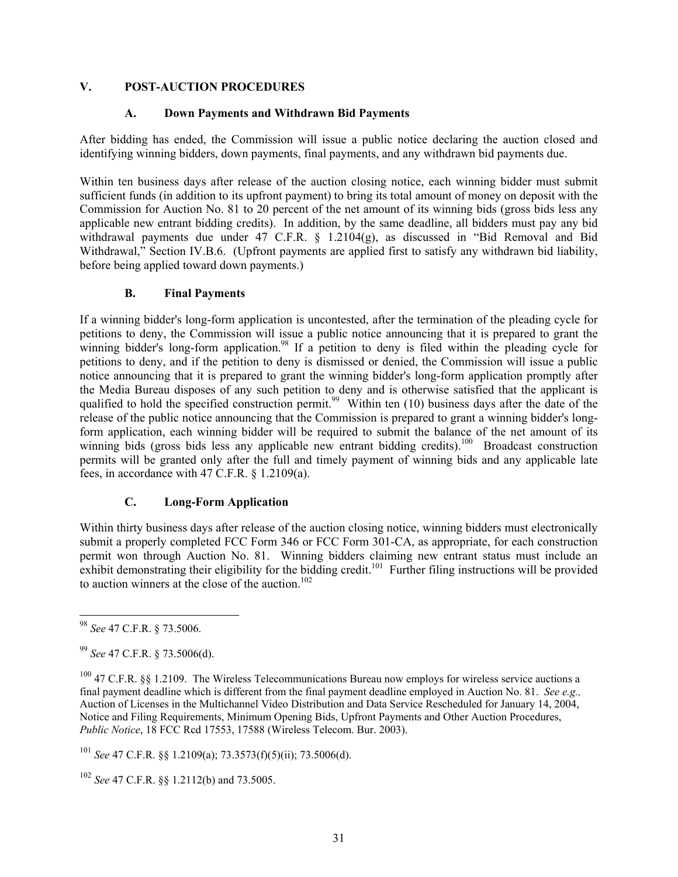#### **V. POST-AUCTION PROCEDURES**

#### **A. Down Payments and Withdrawn Bid Payments**

After bidding has ended, the Commission will issue a public notice declaring the auction closed and identifying winning bidders, down payments, final payments, and any withdrawn bid payments due.

Within ten business days after release of the auction closing notice, each winning bidder must submit sufficient funds (in addition to its upfront payment) to bring its total amount of money on deposit with the Commission for Auction No. 81 to 20 percent of the net amount of its winning bids (gross bids less any applicable new entrant bidding credits). In addition, by the same deadline, all bidders must pay any bid withdrawal payments due under 47 C.F.R. § 1.2104(g), as discussed in "Bid Removal and Bid Withdrawal," Section IV.B.6. (Upfront payments are applied first to satisfy any withdrawn bid liability, before being applied toward down payments.)

#### **B. Final Payments**

If a winning bidder's long-form application is uncontested, after the termination of the pleading cycle for petitions to deny, the Commission will issue a public notice announcing that it is prepared to grant the winning bidder's long-form application.<sup>98</sup> If a petition to deny is filed within the pleading cycle for petitions to deny, and if the petition to deny is dismissed or denied, the Commission will issue a public notice announcing that it is prepared to grant the winning bidder's long-form application promptly after the Media Bureau disposes of any such petition to deny and is otherwise satisfied that the applicant is qualified to hold the specified construction permit.<sup>99</sup> Within ten (10) business days after the date of the release of the public notice announcing that the Commission is prepared to grant a winning bidder's longform application, each winning bidder will be required to submit the balance of the net amount of its winning bids (gross bids less any applicable new entrant bidding credits).<sup>100</sup> Broadcast construction permits will be granted only after the full and timely payment of winning bids and any applicable late fees, in accordance with 47 C.F.R. § 1.2109(a).

#### **C. Long-Form Application**

Within thirty business days after release of the auction closing notice, winning bidders must electronically submit a properly completed FCC Form 346 or FCC Form 301-CA, as appropriate, for each construction permit won through Auction No. 81. Winning bidders claiming new entrant status must include an exhibit demonstrating their eligibility for the bidding credit.<sup>101</sup> Further filing instructions will be provided to auction winners at the close of the auction.<sup>102</sup>

l

<sup>101</sup> *See* 47 C.F.R. §§ 1.2109(a); 73.3573(f)(5)(ii); 73.5006(d).

<sup>98</sup> *See* 47 C.F.R. § 73.5006.

<sup>99</sup> *See* 47 C.F.R. § 73.5006(d).

<sup>&</sup>lt;sup>100</sup> 47 C.F.R. §§ 1.2109. The Wireless Telecommunications Bureau now employs for wireless service auctions a final payment deadline which is different from the final payment deadline employed in Auction No. 81. *See e.g.,* Auction of Licenses in the Multichannel Video Distribution and Data Service Rescheduled for January 14, 2004, Notice and Filing Requirements, Minimum Opening Bids, Upfront Payments and Other Auction Procedures, *Public Notice*, 18 FCC Rcd 17553, 17588 (Wireless Telecom. Bur. 2003).

<sup>102</sup> *See* 47 C.F.R. §§ 1.2112(b) and 73.5005.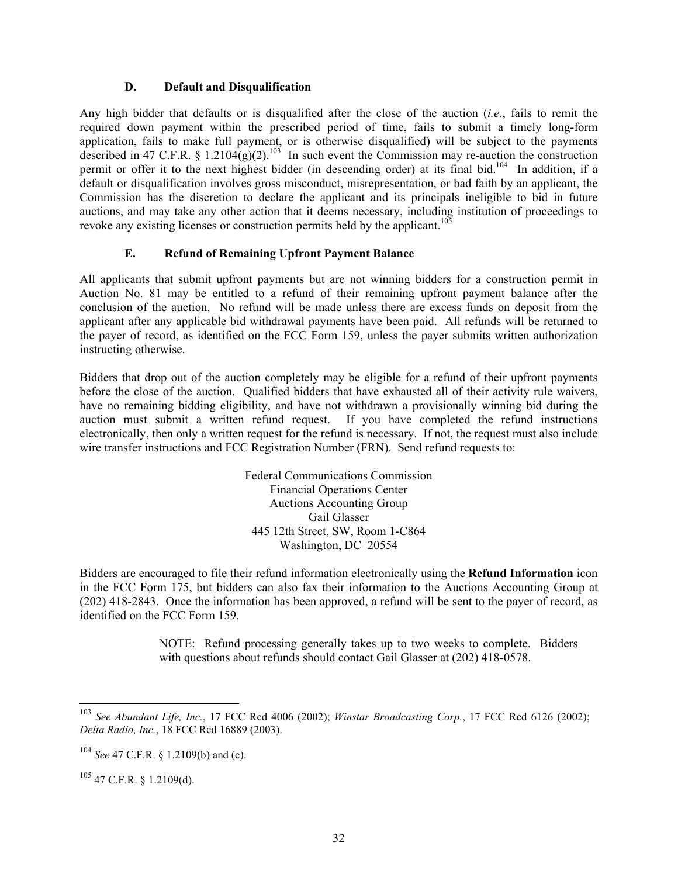#### **D. Default and Disqualification**

Any high bidder that defaults or is disqualified after the close of the auction (*i.e.*, fails to remit the required down payment within the prescribed period of time, fails to submit a timely long-form application, fails to make full payment, or is otherwise disqualified) will be subject to the payments described in 47 C.F.R. §  $1.2104(g)(2)$ .<sup>103</sup> In such event the Commission may re-auction the construction permit or offer it to the next highest bidder (in descending order) at its final bid.104 In addition, if a default or disqualification involves gross misconduct, misrepresentation, or bad faith by an applicant, the Commission has the discretion to declare the applicant and its principals ineligible to bid in future auctions, and may take any other action that it deems necessary, including institution of proceedings to revoke any existing licenses or construction permits held by the applicant.<sup>105</sup>

#### **E. Refund of Remaining Upfront Payment Balance**

All applicants that submit upfront payments but are not winning bidders for a construction permit in Auction No. 81 may be entitled to a refund of their remaining upfront payment balance after the conclusion of the auction. No refund will be made unless there are excess funds on deposit from the applicant after any applicable bid withdrawal payments have been paid. All refunds will be returned to the payer of record, as identified on the FCC Form 159, unless the payer submits written authorization instructing otherwise.

Bidders that drop out of the auction completely may be eligible for a refund of their upfront payments before the close of the auction. Qualified bidders that have exhausted all of their activity rule waivers, have no remaining bidding eligibility, and have not withdrawn a provisionally winning bid during the auction must submit a written refund request. If you have completed the refund instructions electronically, then only a written request for the refund is necessary. If not, the request must also include wire transfer instructions and FCC Registration Number (FRN). Send refund requests to:

> Federal Communications Commission Financial Operations Center Auctions Accounting Group Gail Glasser 445 12th Street, SW, Room 1-C864 Washington, DC 20554

Bidders are encouraged to file their refund information electronically using the **Refund Information** icon in the FCC Form 175, but bidders can also fax their information to the Auctions Accounting Group at (202) 418-2843. Once the information has been approved, a refund will be sent to the payer of record, as identified on the FCC Form 159.

> NOTE: Refund processing generally takes up to two weeks to complete. Bidders with questions about refunds should contact Gail Glasser at (202) 418-0578.

-

<sup>103</sup> *See Abundant Life, Inc.*, 17 FCC Rcd 4006 (2002); *Winstar Broadcasting Corp.*, 17 FCC Rcd 6126 (2002); *Delta Radio, Inc.*, 18 FCC Rcd 16889 (2003).

<sup>104</sup> *See* 47 C.F.R. § 1.2109(b) and (c).

 $105$  47 C.F.R. § 1.2109(d).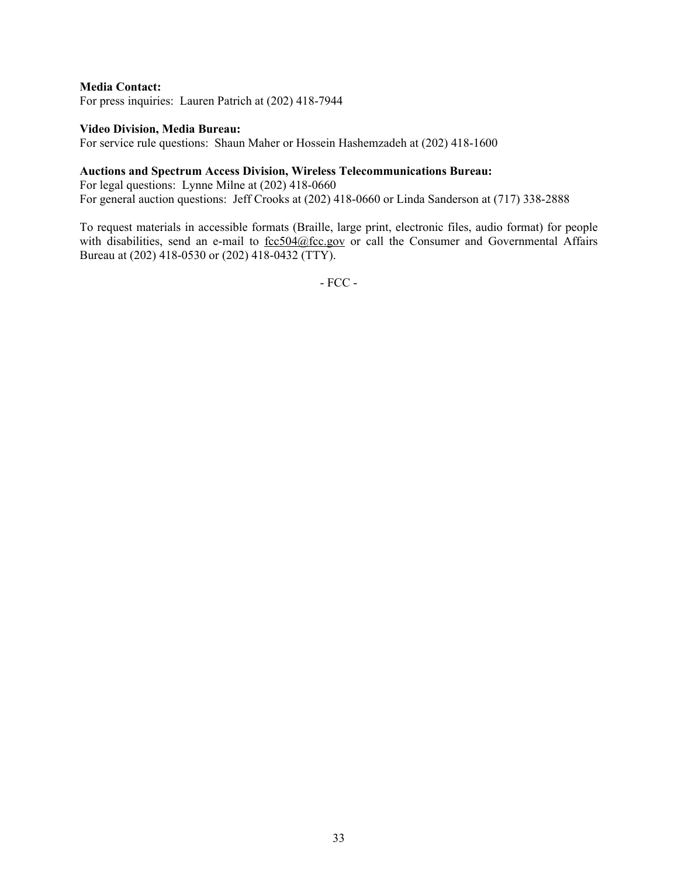#### **Media Contact:**

For press inquiries: Lauren Patrich at (202) 418-7944

#### **Video Division, Media Bureau:**

For service rule questions: Shaun Maher or Hossein Hashemzadeh at (202) 418-1600

#### **Auctions and Spectrum Access Division, Wireless Telecommunications Bureau:**

For legal questions: Lynne Milne at (202) 418-0660 For general auction questions: Jeff Crooks at (202) 418-0660 or Linda Sanderson at (717) 338-2888

To request materials in accessible formats (Braille, large print, electronic files, audio format) for people with disabilities, send an e-mail to  $fcc504@$  fcc.gov or call the Consumer and Governmental Affairs Bureau at (202) 418-0530 or (202) 418-0432 (TTY).

- FCC -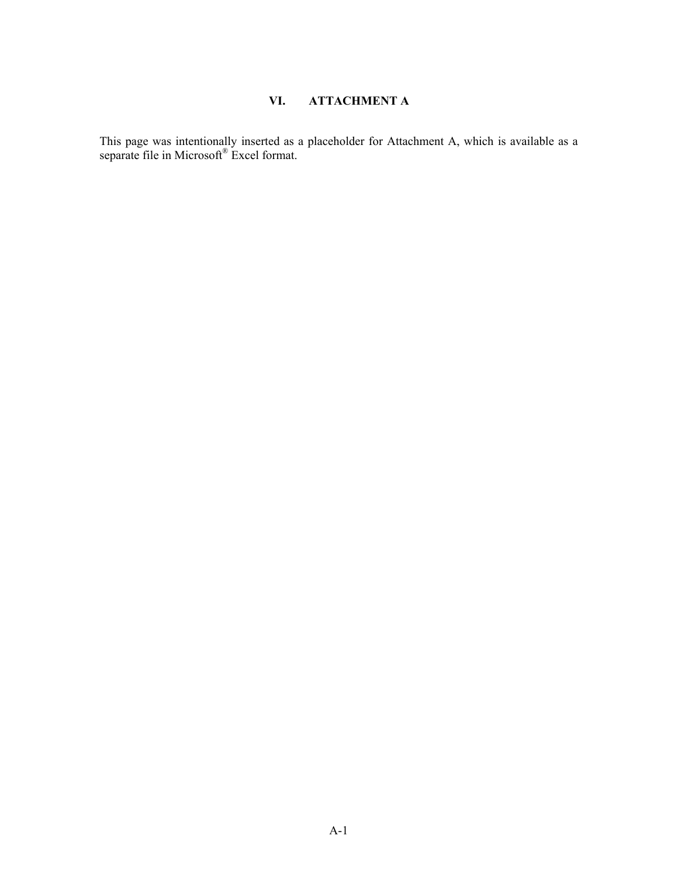## **VI. ATTACHMENT A**

This page was intentionally inserted as a placeholder for Attachment A, which is available as a separate file in Microsoft® Excel format.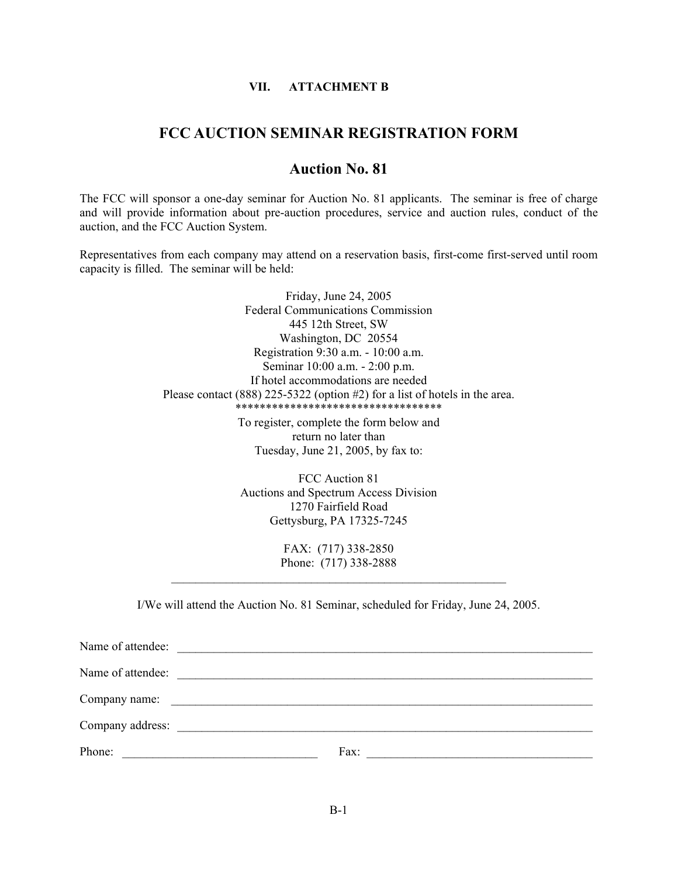#### **VII. ATTACHMENT B**

#### **FCC AUCTION SEMINAR REGISTRATION FORM**

#### **Auction No. 81**

The FCC will sponsor a one-day seminar for Auction No. 81 applicants. The seminar is free of charge and will provide information about pre-auction procedures, service and auction rules, conduct of the auction, and the FCC Auction System.

Representatives from each company may attend on a reservation basis, first-come first-served until room capacity is filled. The seminar will be held:

> Friday, June 24, 2005 Federal Communications Commission 445 12th Street, SW Washington, DC 20554 Registration 9:30 a.m. - 10:00 a.m. Seminar 10:00 a.m. - 2:00 p.m. If hotel accommodations are needed Please contact (888) 225-5322 (option #2) for a list of hotels in the area. \*\*\*\*\*\*\*\*\*\*\*\*\*\*\*\*\*\*\*\*\*\*\*\*\*\*\*\*\*\*\*\*\*\*

> > To register, complete the form below and return no later than Tuesday, June 21, 2005, by fax to:

FCC Auction 81 Auctions and Spectrum Access Division 1270 Fairfield Road Gettysburg, PA 17325-7245

FAX: (717) 338-2850 Phone: (717) 338-2888  $\mathcal{L}_\text{max}$  and the contract of the contract of the contract of the contract of the contract of the contract of the contract of the contract of the contract of the contract of the contract of the contract of the contrac

I/We will attend the Auction No. 81 Seminar, scheduled for Friday, June 24, 2005.

| Name of attendee:                                                                                                               |                                                                  |
|---------------------------------------------------------------------------------------------------------------------------------|------------------------------------------------------------------|
| Name of attendee:                                                                                                               |                                                                  |
|                                                                                                                                 |                                                                  |
|                                                                                                                                 |                                                                  |
| Phone:<br><u> 1989 - Johann Barn, mars ann an t-Amhain an t-Amhain an t-Amhain an t-Amhain an t-Amhain an t-Amhain an t-Amh</u> | Fax:<br><u> 1980 - Jan Stein Berlin, Amerikaansk politiker (</u> |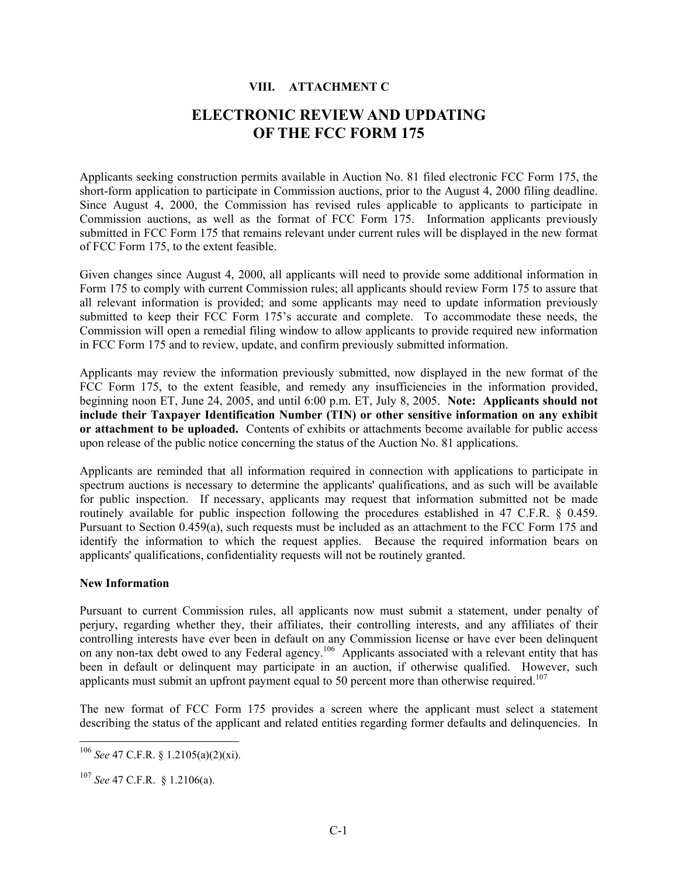#### **VIII. ATTACHMENT C**

# **ELECTRONIC REVIEW AND UPDATING OF THE FCC FORM 175**

Applicants seeking construction permits available in Auction No. 81 filed electronic FCC Form 175, the short-form application to participate in Commission auctions, prior to the August 4, 2000 filing deadline. Since August 4, 2000, the Commission has revised rules applicable to applicants to participate in Commission auctions, as well as the format of FCC Form 175. Information applicants previously submitted in FCC Form 175 that remains relevant under current rules will be displayed in the new format of FCC Form 175, to the extent feasible.

Given changes since August 4, 2000, all applicants will need to provide some additional information in Form 175 to comply with current Commission rules; all applicants should review Form 175 to assure that all relevant information is provided; and some applicants may need to update information previously submitted to keep their FCC Form 175's accurate and complete. To accommodate these needs, the Commission will open a remedial filing window to allow applicants to provide required new information in FCC Form 175 and to review, update, and confirm previously submitted information.

Applicants may review the information previously submitted, now displayed in the new format of the FCC Form 175, to the extent feasible, and remedy any insufficiencies in the information provided, beginning noon ET, June 24, 2005, and until 6:00 p.m. ET, July 8, 2005. **Note: Applicants should not include their Taxpayer Identification Number (TIN) or other sensitive information on any exhibit or attachment to be uploaded.** Contents of exhibits or attachments become available for public access upon release of the public notice concerning the status of the Auction No. 81 applications.

Applicants are reminded that all information required in connection with applications to participate in spectrum auctions is necessary to determine the applicants' qualifications, and as such will be available for public inspection. If necessary, applicants may request that information submitted not be made routinely available for public inspection following the procedures established in 47 C.F.R. § 0.459. Pursuant to Section 0.459(a), such requests must be included as an attachment to the FCC Form 175 and identify the information to which the request applies. Because the required information bears on applicants' qualifications, confidentiality requests will not be routinely granted.

#### **New Information**

Pursuant to current Commission rules, all applicants now must submit a statement, under penalty of perjury, regarding whether they, their affiliates, their controlling interests, and any affiliates of their controlling interests have ever been in default on any Commission license or have ever been delinquent on any non-tax debt owed to any Federal agency.<sup>106</sup> Applicants associated with a relevant entity that has been in default or delinquent may participate in an auction, if otherwise qualified. However, such applicants must submit an upfront payment equal to 50 percent more than otherwise required.<sup>107</sup>

The new format of FCC Form 175 provides a screen where the applicant must select a statement describing the status of the applicant and related entities regarding former defaults and delinquencies. In

<sup>106</sup> *See* 47 C.F.R. § 1.2105(a)(2)(xi).

<sup>107</sup> *See* 47 C.F.R. § 1.2106(a).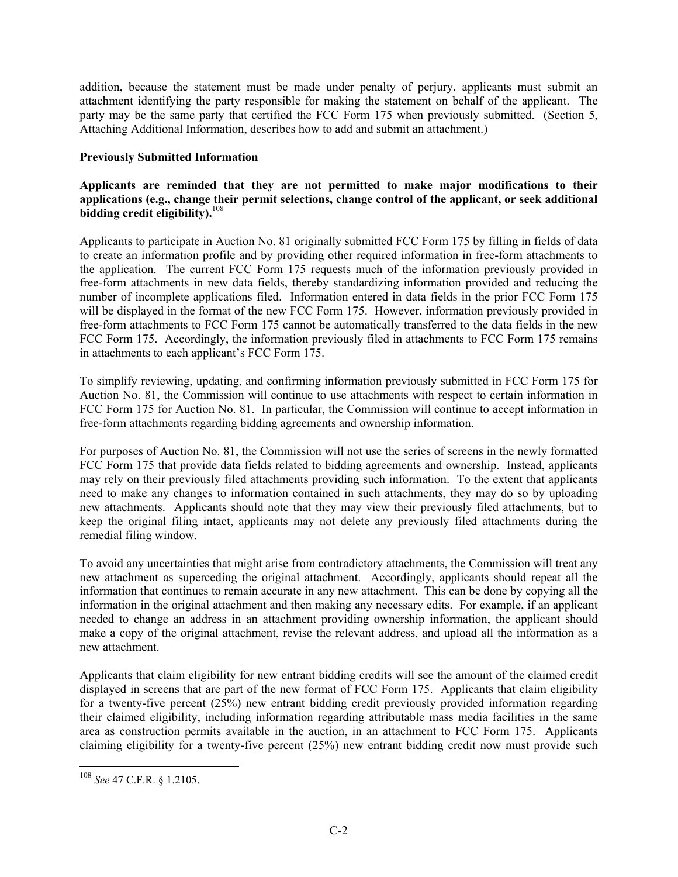addition, because the statement must be made under penalty of perjury, applicants must submit an attachment identifying the party responsible for making the statement on behalf of the applicant. The party may be the same party that certified the FCC Form 175 when previously submitted. (Section 5, Attaching Additional Information, describes how to add and submit an attachment.)

#### **Previously Submitted Information**

#### **Applicants are reminded that they are not permitted to make major modifications to their applications (e.g., change their permit selections, change control of the applicant, or seek additional bidding credit eligibility).**108

Applicants to participate in Auction No. 81 originally submitted FCC Form 175 by filling in fields of data to create an information profile and by providing other required information in free-form attachments to the application. The current FCC Form 175 requests much of the information previously provided in free-form attachments in new data fields, thereby standardizing information provided and reducing the number of incomplete applications filed. Information entered in data fields in the prior FCC Form 175 will be displayed in the format of the new FCC Form 175. However, information previously provided in free-form attachments to FCC Form 175 cannot be automatically transferred to the data fields in the new FCC Form 175. Accordingly, the information previously filed in attachments to FCC Form 175 remains in attachments to each applicant's FCC Form 175.

To simplify reviewing, updating, and confirming information previously submitted in FCC Form 175 for Auction No. 81, the Commission will continue to use attachments with respect to certain information in FCC Form 175 for Auction No. 81. In particular, the Commission will continue to accept information in free-form attachments regarding bidding agreements and ownership information.

For purposes of Auction No. 81, the Commission will not use the series of screens in the newly formatted FCC Form 175 that provide data fields related to bidding agreements and ownership. Instead, applicants may rely on their previously filed attachments providing such information. To the extent that applicants need to make any changes to information contained in such attachments, they may do so by uploading new attachments. Applicants should note that they may view their previously filed attachments, but to keep the original filing intact, applicants may not delete any previously filed attachments during the remedial filing window.

To avoid any uncertainties that might arise from contradictory attachments, the Commission will treat any new attachment as superceding the original attachment. Accordingly, applicants should repeat all the information that continues to remain accurate in any new attachment. This can be done by copying all the information in the original attachment and then making any necessary edits. For example, if an applicant needed to change an address in an attachment providing ownership information, the applicant should make a copy of the original attachment, revise the relevant address, and upload all the information as a new attachment.

Applicants that claim eligibility for new entrant bidding credits will see the amount of the claimed credit displayed in screens that are part of the new format of FCC Form 175. Applicants that claim eligibility for a twenty-five percent (25%) new entrant bidding credit previously provided information regarding their claimed eligibility, including information regarding attributable mass media facilities in the same area as construction permits available in the auction, in an attachment to FCC Form 175. Applicants claiming eligibility for a twenty-five percent (25%) new entrant bidding credit now must provide such

1

<sup>108</sup> *See* 47 C.F.R. § 1.2105.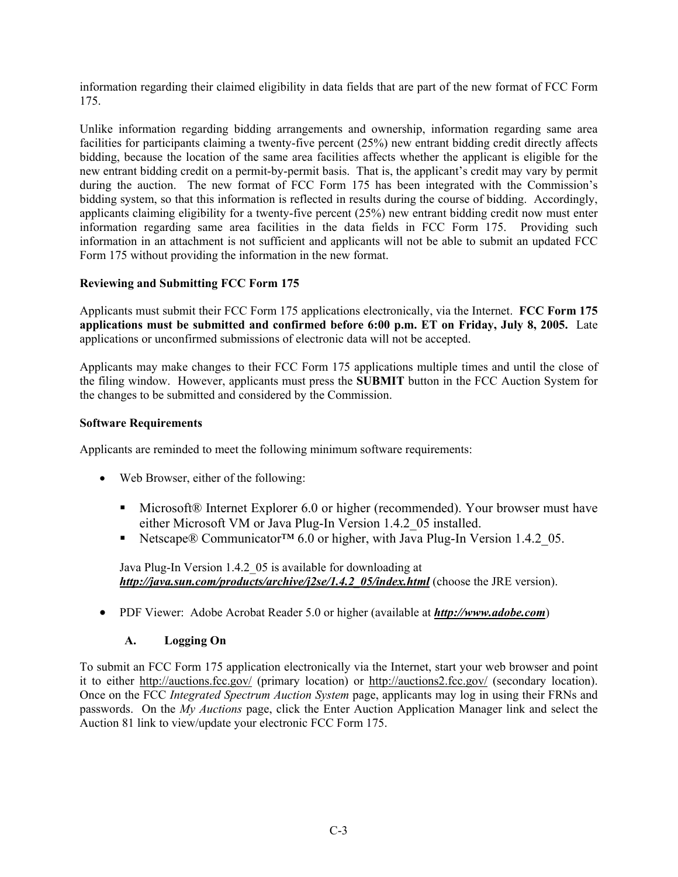information regarding their claimed eligibility in data fields that are part of the new format of FCC Form 175.

Unlike information regarding bidding arrangements and ownership, information regarding same area facilities for participants claiming a twenty-five percent (25%) new entrant bidding credit directly affects bidding, because the location of the same area facilities affects whether the applicant is eligible for the new entrant bidding credit on a permit-by-permit basis. That is, the applicant's credit may vary by permit during the auction. The new format of FCC Form 175 has been integrated with the Commission's bidding system, so that this information is reflected in results during the course of bidding. Accordingly, applicants claiming eligibility for a twenty-five percent (25%) new entrant bidding credit now must enter information regarding same area facilities in the data fields in FCC Form 175. Providing such information in an attachment is not sufficient and applicants will not be able to submit an updated FCC Form 175 without providing the information in the new format.

#### **Reviewing and Submitting FCC Form 175**

Applicants must submit their FCC Form 175 applications electronically, via the Internet. **FCC Form 175 applications must be submitted and confirmed before 6:00 p.m. ET on Friday, July 8, 2005.** Late applications or unconfirmed submissions of electronic data will not be accepted.

Applicants may make changes to their FCC Form 175 applications multiple times and until the close of the filing window. However, applicants must press the **SUBMIT** button in the FCC Auction System for the changes to be submitted and considered by the Commission.

#### **Software Requirements**

Applicants are reminded to meet the following minimum software requirements:

- Web Browser, either of the following:
	- Microsoft® Internet Explorer 6.0 or higher (recommended). Your browser must have either Microsoft VM or Java Plug-In Version 1.4.2\_05 installed.
	- Netscape® Communicator<sup>™</sup> 6.0 or higher, with Java Plug-In Version 1.4.2 05.

Java Plug-In Version 1.4.2\_05 is available for downloading at *http://java.sun.com/products/archive/j2se/1.4.2\_05/index.html* (choose the JRE version).

• PDF Viewer: Adobe Acrobat Reader 5.0 or higher (available at *http://www.adobe.com*)

#### **A. Logging On**

To submit an FCC Form 175 application electronically via the Internet, start your web browser and point it to either http://auctions.fcc.gov/ (primary location) or http://auctions2.fcc.gov/ (secondary location). Once on the FCC *Integrated Spectrum Auction System* page, applicants may log in using their FRNs and passwords. On the *My Auctions* page, click the Enter Auction Application Manager link and select the Auction 81 link to view/update your electronic FCC Form 175.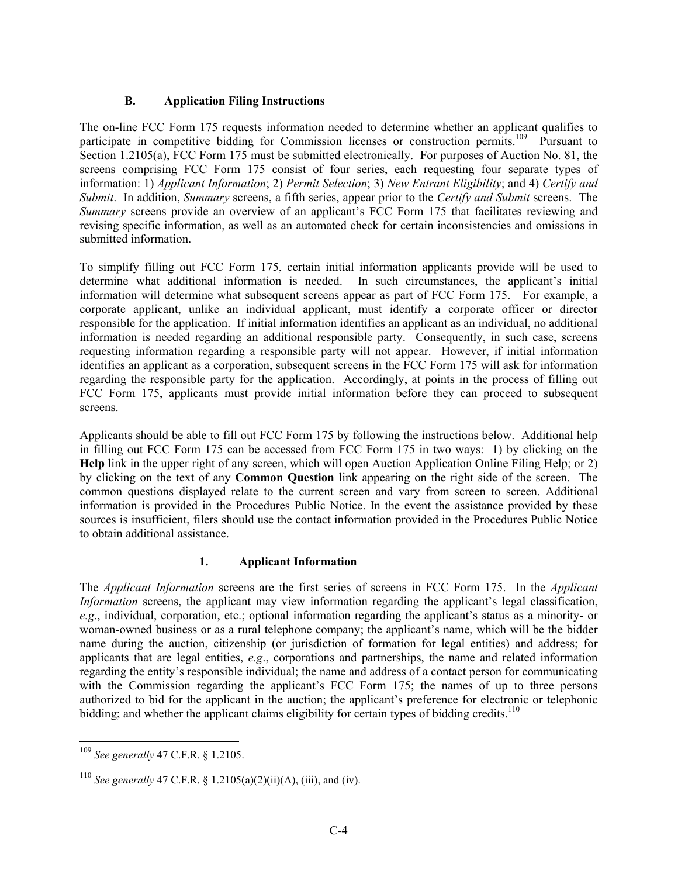#### **B. Application Filing Instructions**

The on-line FCC Form 175 requests information needed to determine whether an applicant qualifies to participate in competitive bidding for Commission licenses or construction permits.<sup>109</sup> Pursuant to Section 1.2105(a), FCC Form 175 must be submitted electronically. For purposes of Auction No. 81, the screens comprising FCC Form 175 consist of four series, each requesting four separate types of information: 1) *Applicant Information*; 2) *Permit Selection*; 3) *New Entrant Eligibility*; and 4) *Certify and Submit*. In addition, *Summary* screens, a fifth series, appear prior to the *Certify and Submit* screens. The *Summary* screens provide an overview of an applicant's FCC Form 175 that facilitates reviewing and revising specific information, as well as an automated check for certain inconsistencies and omissions in submitted information.

To simplify filling out FCC Form 175, certain initial information applicants provide will be used to determine what additional information is needed. In such circumstances, the applicant's initial information will determine what subsequent screens appear as part of FCC Form 175. For example, a corporate applicant, unlike an individual applicant, must identify a corporate officer or director responsible for the application. If initial information identifies an applicant as an individual, no additional information is needed regarding an additional responsible party. Consequently, in such case, screens requesting information regarding a responsible party will not appear. However, if initial information identifies an applicant as a corporation, subsequent screens in the FCC Form 175 will ask for information regarding the responsible party for the application. Accordingly, at points in the process of filling out FCC Form 175, applicants must provide initial information before they can proceed to subsequent screens.

Applicants should be able to fill out FCC Form 175 by following the instructions below. Additional help in filling out FCC Form 175 can be accessed from FCC Form 175 in two ways: 1) by clicking on the **Help** link in the upper right of any screen, which will open Auction Application Online Filing Help; or 2) by clicking on the text of any **Common Question** link appearing on the right side of the screen. The common questions displayed relate to the current screen and vary from screen to screen. Additional information is provided in the Procedures Public Notice. In the event the assistance provided by these sources is insufficient, filers should use the contact information provided in the Procedures Public Notice to obtain additional assistance.

#### **1. Applicant Information**

The *Applicant Information* screens are the first series of screens in FCC Form 175. In the *Applicant Information* screens, the applicant may view information regarding the applicant's legal classification, *e.g*., individual, corporation, etc.; optional information regarding the applicant's status as a minority- or woman-owned business or as a rural telephone company; the applicant's name, which will be the bidder name during the auction, citizenship (or jurisdiction of formation for legal entities) and address; for applicants that are legal entities, *e.g*., corporations and partnerships, the name and related information regarding the entity's responsible individual; the name and address of a contact person for communicating with the Commission regarding the applicant's FCC Form 175; the names of up to three persons authorized to bid for the applicant in the auction; the applicant's preference for electronic or telephonic bidding; and whether the applicant claims eligibility for certain types of bidding credits.<sup>110</sup>

l <sup>109</sup> *See generally* 47 C.F.R. § 1.2105.

<sup>110</sup> *See generally* 47 C.F.R. § 1.2105(a)(2)(ii)(A), (iii), and (iv).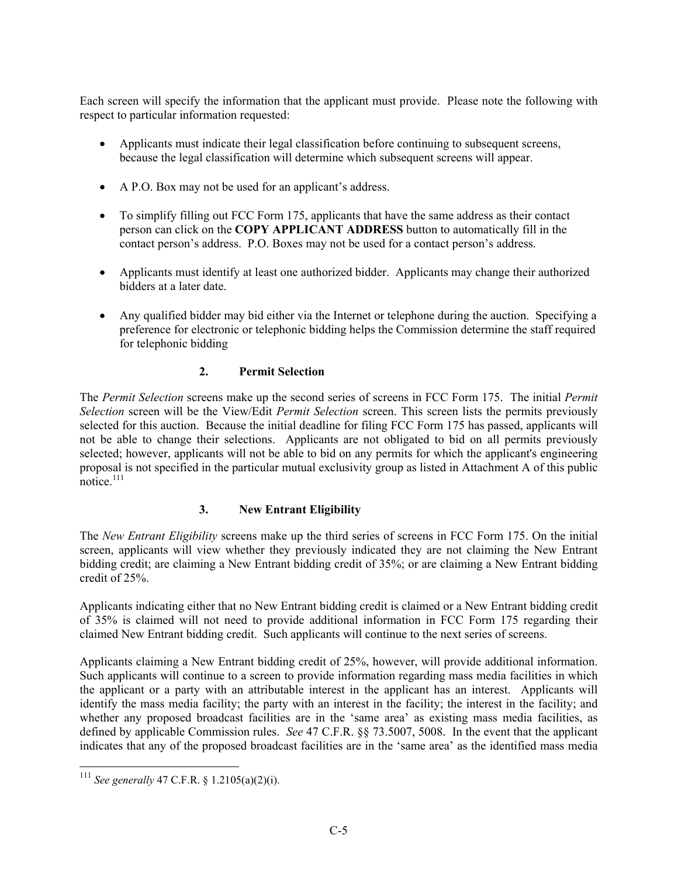Each screen will specify the information that the applicant must provide. Please note the following with respect to particular information requested:

- Applicants must indicate their legal classification before continuing to subsequent screens, because the legal classification will determine which subsequent screens will appear.
- A P.O. Box may not be used for an applicant's address.
- To simplify filling out FCC Form 175, applicants that have the same address as their contact person can click on the **COPY APPLICANT ADDRESS** button to automatically fill in the contact person's address. P.O. Boxes may not be used for a contact person's address.
- Applicants must identify at least one authorized bidder. Applicants may change their authorized bidders at a later date.
- Any qualified bidder may bid either via the Internet or telephone during the auction. Specifying a preference for electronic or telephonic bidding helps the Commission determine the staff required for telephonic bidding

#### **2. Permit Selection**

The *Permit Selection* screens make up the second series of screens in FCC Form 175. The initial *Permit Selection* screen will be the View/Edit *Permit Selection* screen. This screen lists the permits previously selected for this auction. Because the initial deadline for filing FCC Form 175 has passed, applicants will not be able to change their selections. Applicants are not obligated to bid on all permits previously selected; however, applicants will not be able to bid on any permits for which the applicant's engineering proposal is not specified in the particular mutual exclusivity group as listed in Attachment A of this public notice. $111$ 

### **3. New Entrant Eligibility**

The *New Entrant Eligibility* screens make up the third series of screens in FCC Form 175. On the initial screen, applicants will view whether they previously indicated they are not claiming the New Entrant bidding credit; are claiming a New Entrant bidding credit of 35%; or are claiming a New Entrant bidding credit of 25%.

Applicants indicating either that no New Entrant bidding credit is claimed or a New Entrant bidding credit of 35% is claimed will not need to provide additional information in FCC Form 175 regarding their claimed New Entrant bidding credit. Such applicants will continue to the next series of screens.

Applicants claiming a New Entrant bidding credit of 25%, however, will provide additional information. Such applicants will continue to a screen to provide information regarding mass media facilities in which the applicant or a party with an attributable interest in the applicant has an interest. Applicants will identify the mass media facility; the party with an interest in the facility; the interest in the facility; and whether any proposed broadcast facilities are in the 'same area' as existing mass media facilities, as defined by applicable Commission rules. *See* 47 C.F.R. §§ 73.5007, 5008. In the event that the applicant indicates that any of the proposed broadcast facilities are in the 'same area' as the identified mass media

1

<sup>111</sup> *See generally* 47 C.F.R. § 1.2105(a)(2)(i).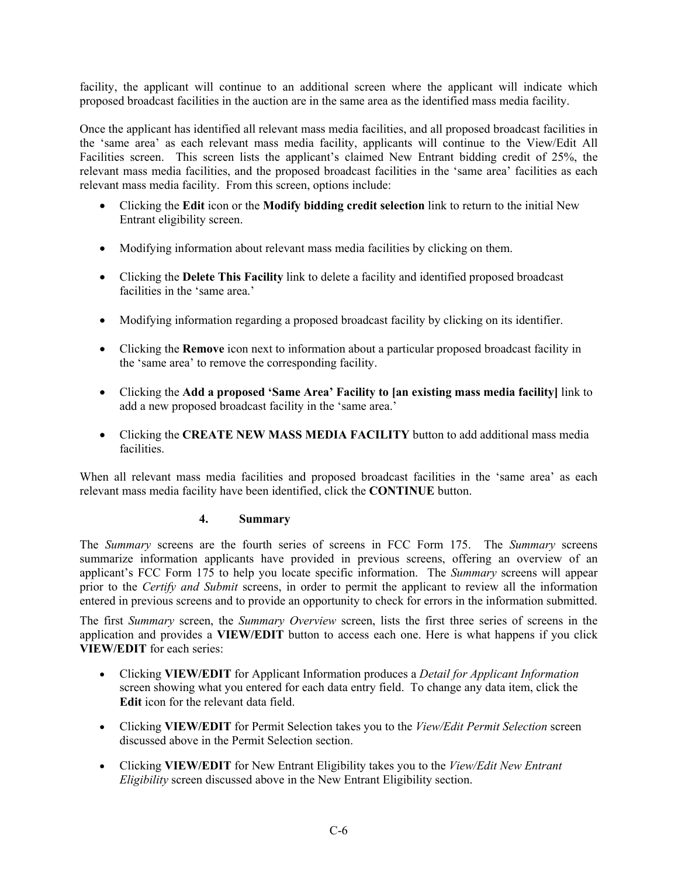facility, the applicant will continue to an additional screen where the applicant will indicate which proposed broadcast facilities in the auction are in the same area as the identified mass media facility.

Once the applicant has identified all relevant mass media facilities, and all proposed broadcast facilities in the 'same area' as each relevant mass media facility, applicants will continue to the View/Edit All Facilities screen. This screen lists the applicant's claimed New Entrant bidding credit of 25%, the relevant mass media facilities, and the proposed broadcast facilities in the 'same area' facilities as each relevant mass media facility. From this screen, options include:

- Clicking the **Edit** icon or the **Modify bidding credit selection** link to return to the initial New Entrant eligibility screen.
- Modifying information about relevant mass media facilities by clicking on them.
- Clicking the **Delete This Facility** link to delete a facility and identified proposed broadcast facilities in the 'same area.'
- Modifying information regarding a proposed broadcast facility by clicking on its identifier.
- Clicking the **Remove** icon next to information about a particular proposed broadcast facility in the 'same area' to remove the corresponding facility.
- Clicking the **Add a proposed 'Same Area' Facility to [an existing mass media facility]** link to add a new proposed broadcast facility in the 'same area.'
- Clicking the **CREATE NEW MASS MEDIA FACILITY** button to add additional mass media facilities.

When all relevant mass media facilities and proposed broadcast facilities in the 'same area' as each relevant mass media facility have been identified, click the **CONTINUE** button.

#### **4. Summary**

The *Summary* screens are the fourth series of screens in FCC Form 175. The *Summary* screens summarize information applicants have provided in previous screens, offering an overview of an applicant's FCC Form 175 to help you locate specific information. The *Summary* screens will appear prior to the *Certify and Submit* screens, in order to permit the applicant to review all the information entered in previous screens and to provide an opportunity to check for errors in the information submitted.

The first *Summary* screen, the *Summary Overview* screen, lists the first three series of screens in the application and provides a **VIEW/EDIT** button to access each one. Here is what happens if you click **VIEW/EDIT** for each series:

- Clicking **VIEW/EDIT** for Applicant Information produces a *Detail for Applicant Information* screen showing what you entered for each data entry field. To change any data item, click the **Edit** icon for the relevant data field.
- Clicking **VIEW/EDIT** for Permit Selection takes you to the *View/Edit Permit Selection* screen discussed above in the Permit Selection section.
- Clicking **VIEW/EDIT** for New Entrant Eligibility takes you to the *View/Edit New Entrant Eligibility* screen discussed above in the New Entrant Eligibility section.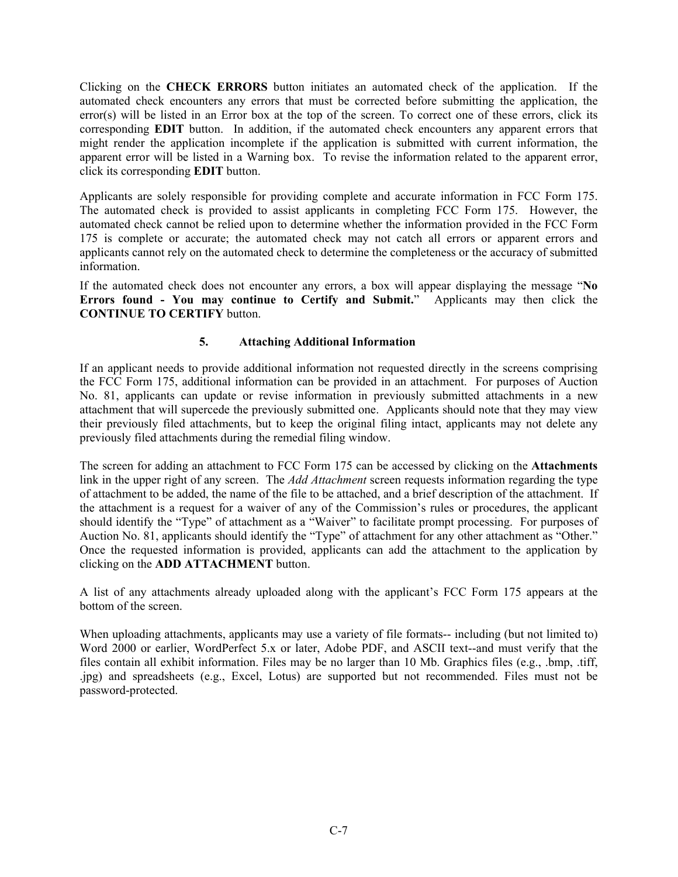Clicking on the **CHECK ERRORS** button initiates an automated check of the application. If the automated check encounters any errors that must be corrected before submitting the application, the error(s) will be listed in an Error box at the top of the screen. To correct one of these errors, click its corresponding **EDIT** button. In addition, if the automated check encounters any apparent errors that might render the application incomplete if the application is submitted with current information, the apparent error will be listed in a Warning box. To revise the information related to the apparent error, click its corresponding **EDIT** button.

Applicants are solely responsible for providing complete and accurate information in FCC Form 175. The automated check is provided to assist applicants in completing FCC Form 175. However, the automated check cannot be relied upon to determine whether the information provided in the FCC Form 175 is complete or accurate; the automated check may not catch all errors or apparent errors and applicants cannot rely on the automated check to determine the completeness or the accuracy of submitted information.

If the automated check does not encounter any errors, a box will appear displaying the message "**No Errors found - You may continue to Certify and Submit.**" Applicants may then click the **CONTINUE TO CERTIFY** button.

#### **5. Attaching Additional Information**

If an applicant needs to provide additional information not requested directly in the screens comprising the FCC Form 175, additional information can be provided in an attachment. For purposes of Auction No. 81, applicants can update or revise information in previously submitted attachments in a new attachment that will supercede the previously submitted one. Applicants should note that they may view their previously filed attachments, but to keep the original filing intact, applicants may not delete any previously filed attachments during the remedial filing window.

The screen for adding an attachment to FCC Form 175 can be accessed by clicking on the **Attachments**  link in the upper right of any screen. The *Add Attachment* screen requests information regarding the type of attachment to be added, the name of the file to be attached, and a brief description of the attachment. If the attachment is a request for a waiver of any of the Commission's rules or procedures, the applicant should identify the "Type" of attachment as a "Waiver" to facilitate prompt processing. For purposes of Auction No. 81, applicants should identify the "Type" of attachment for any other attachment as "Other." Once the requested information is provided, applicants can add the attachment to the application by clicking on the **ADD ATTACHMENT** button.

A list of any attachments already uploaded along with the applicant's FCC Form 175 appears at the bottom of the screen.

When uploading attachments, applicants may use a variety of file formats-- including (but not limited to) Word 2000 or earlier, WordPerfect 5.x or later, Adobe PDF, and ASCII text--and must verify that the files contain all exhibit information. Files may be no larger than 10 Mb. Graphics files (e.g., .bmp, .tiff, .jpg) and spreadsheets (e.g., Excel, Lotus) are supported but not recommended. Files must not be password-protected.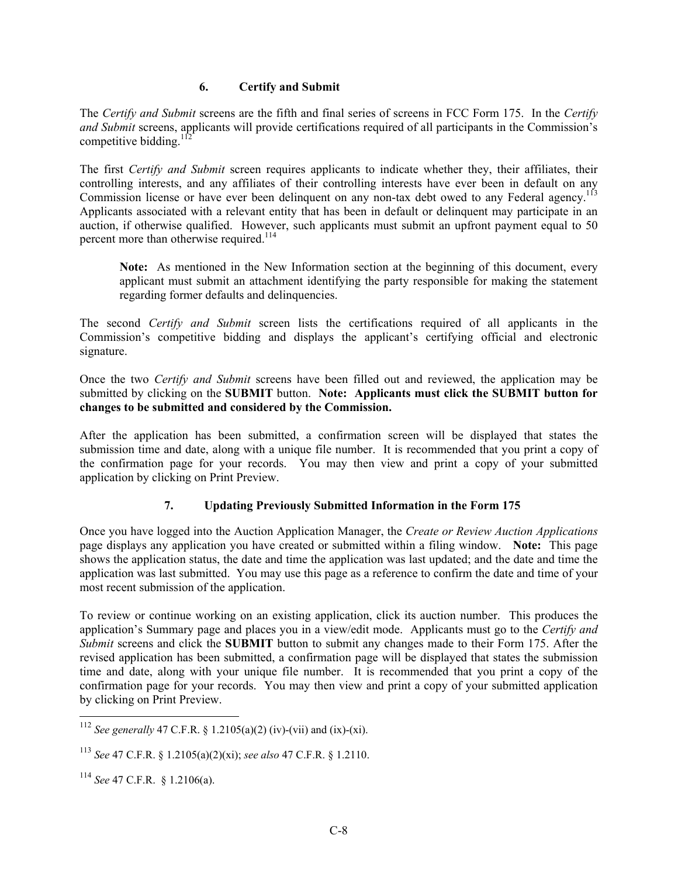#### **6. Certify and Submit**

The *Certify and Submit* screens are the fifth and final series of screens in FCC Form 175. In the *Certify and Submit* screens, applicants will provide certifications required of all participants in the Commission's competitive bidding. $<sup>1</sup>$ </sup>

The first *Certify and Submit* screen requires applicants to indicate whether they, their affiliates, their controlling interests, and any affiliates of their controlling interests have ever been in default on any Commission license or have ever been delinquent on any non-tax debt owed to any Federal agency.<sup>113</sup> Applicants associated with a relevant entity that has been in default or delinquent may participate in an auction, if otherwise qualified. However, such applicants must submit an upfront payment equal to 50 percent more than otherwise required.<sup>114</sup>

**Note:** As mentioned in the New Information section at the beginning of this document, every applicant must submit an attachment identifying the party responsible for making the statement regarding former defaults and delinquencies.

The second *Certify and Submit* screen lists the certifications required of all applicants in the Commission's competitive bidding and displays the applicant's certifying official and electronic signature.

Once the two *Certify and Submit* screens have been filled out and reviewed, the application may be submitted by clicking on the **SUBMIT** button. **Note: Applicants must click the SUBMIT button for changes to be submitted and considered by the Commission.** 

After the application has been submitted, a confirmation screen will be displayed that states the submission time and date, along with a unique file number. It is recommended that you print a copy of the confirmation page for your records. You may then view and print a copy of your submitted application by clicking on Print Preview.

#### **7. Updating Previously Submitted Information in the Form 175**

Once you have logged into the Auction Application Manager, the *Create or Review Auction Applications* page displays any application you have created or submitted within a filing window. **Note:** This page shows the application status, the date and time the application was last updated; and the date and time the application was last submitted. You may use this page as a reference to confirm the date and time of your most recent submission of the application.

To review or continue working on an existing application, click its auction number. This produces the application's Summary page and places you in a view/edit mode. Applicants must go to the *Certify and Submit* screens and click the **SUBMIT** button to submit any changes made to their Form 175. After the revised application has been submitted, a confirmation page will be displayed that states the submission time and date, along with your unique file number. It is recommended that you print a copy of the confirmation page for your records. You may then view and print a copy of your submitted application by clicking on Print Preview.

1

<sup>112</sup> *See generally* 47 C.F.R. § 1.2105(a)(2) (iv)-(vii) and (ix)-(xi).

<sup>113</sup> *See* 47 C.F.R. § 1.2105(a)(2)(xi); *see also* 47 C.F.R. § 1.2110.

<sup>114</sup> *See* 47 C.F.R. § 1.2106(a).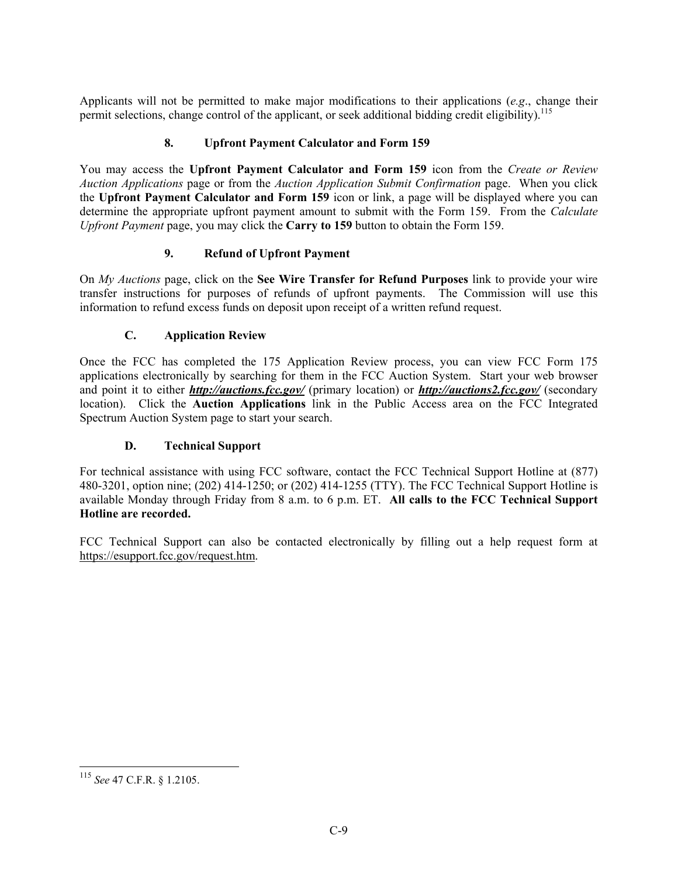Applicants will not be permitted to make major modifications to their applications (*e.g*., change their permit selections, change control of the applicant, or seek additional bidding credit eligibility).<sup>115</sup>

#### **8. Upfront Payment Calculator and Form 159**

You may access the **Upfront Payment Calculator and Form 159** icon from the *Create or Review Auction Applications* page or from the *Auction Application Submit Confirmation* page. When you click the **Upfront Payment Calculator and Form 159** icon or link, a page will be displayed where you can determine the appropriate upfront payment amount to submit with the Form 159. From the *Calculate Upfront Payment* page, you may click the **Carry to 159** button to obtain the Form 159.

#### **9. Refund of Upfront Payment**

On *My Auctions* page, click on the **See Wire Transfer for Refund Purposes** link to provide your wire transfer instructions for purposes of refunds of upfront payments. The Commission will use this information to refund excess funds on deposit upon receipt of a written refund request.

#### **C. Application Review**

Once the FCC has completed the 175 Application Review process, you can view FCC Form 175 applications electronically by searching for them in the FCC Auction System. Start your web browser and point it to either *http://auctions.fcc.gov/* (primary location) or *http://auctions2.fcc.gov/* (secondary location). Click the **Auction Applications** link in the Public Access area on the FCC Integrated Spectrum Auction System page to start your search.

#### **D. Technical Support**

For technical assistance with using FCC software, contact the FCC Technical Support Hotline at (877) 480-3201, option nine; (202) 414-1250; or (202) 414-1255 (TTY). The FCC Technical Support Hotline is available Monday through Friday from 8 a.m. to 6 p.m. ET. **All calls to the FCC Technical Support Hotline are recorded.** 

FCC Technical Support can also be contacted electronically by filling out a help request form at https://esupport.fcc.gov/request.htm.

1

<sup>115</sup> *See* 47 C.F.R. § 1.2105.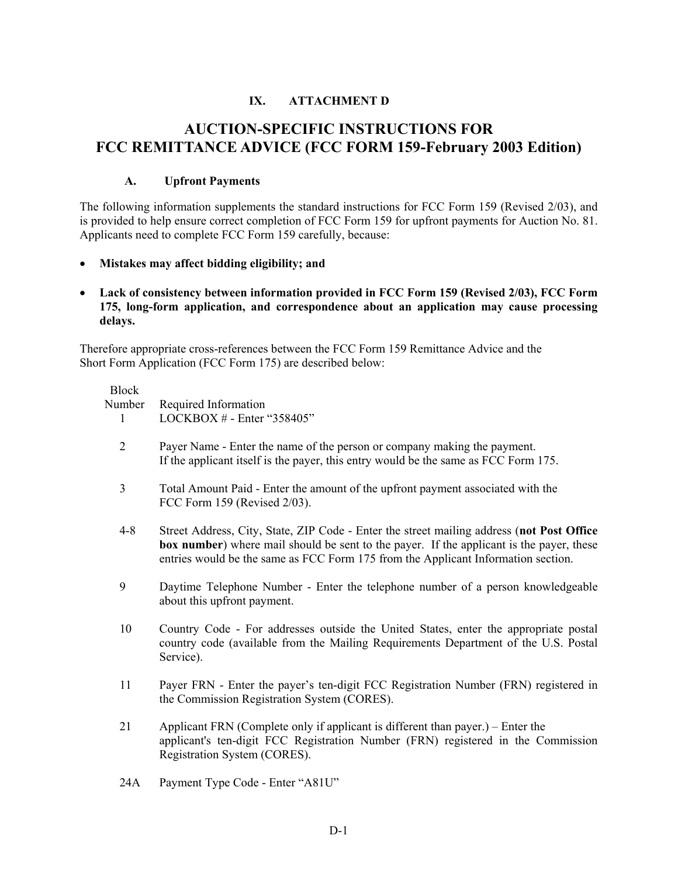#### **IX. ATTACHMENT D**

# **AUCTION-SPECIFIC INSTRUCTIONS FOR FCC REMITTANCE ADVICE (FCC FORM 159-February 2003 Edition)**

#### **A. Upfront Payments**

The following information supplements the standard instructions for FCC Form 159 (Revised 2/03), and is provided to help ensure correct completion of FCC Form 159 for upfront payments for Auction No. 81. Applicants need to complete FCC Form 159 carefully, because:

- **Mistakes may affect bidding eligibility; and**
- **Lack of consistency between information provided in FCC Form 159 (Revised 2/03), FCC Form 175, long-form application, and correspondence about an application may cause processing delays.**

Therefore appropriate cross-references between the FCC Form 159 Remittance Advice and the Short Form Application (FCC Form 175) are described below:

| <b>Block</b><br>Number<br>1 | Required Information<br>LOCKBOX # - Enter "358405"                                                                                                                                                                                                                                 |
|-----------------------------|------------------------------------------------------------------------------------------------------------------------------------------------------------------------------------------------------------------------------------------------------------------------------------|
| $\overline{2}$              | Payer Name - Enter the name of the person or company making the payment.<br>If the applicant itself is the payer, this entry would be the same as FCC Form 175.                                                                                                                    |
| $\overline{3}$              | Total Amount Paid - Enter the amount of the upfront payment associated with the<br>FCC Form 159 (Revised 2/03).                                                                                                                                                                    |
| $4 - 8$                     | Street Address, City, State, ZIP Code - Enter the street mailing address (not Post Office<br><b>box number</b> ) where mail should be sent to the payer. If the applicant is the payer, these<br>entries would be the same as FCC Form 175 from the Applicant Information section. |
| 9                           | Daytime Telephone Number - Enter the telephone number of a person knowledgeable<br>about this upfront payment.                                                                                                                                                                     |
| 10                          | Country Code - For addresses outside the United States, enter the appropriate postal<br>country code (available from the Mailing Requirements Department of the U.S. Postal<br>Service).                                                                                           |
| 11                          | Payer FRN - Enter the payer's ten-digit FCC Registration Number (FRN) registered in<br>the Commission Registration System (CORES).                                                                                                                                                 |
| 21                          | Applicant FRN (Complete only if applicant is different than payer.) – Enter the<br>applicant's ten-digit FCC Registration Number (FRN) registered in the Commission<br>Registration System (CORES).                                                                                |
| 24A                         | Payment Type Code - Enter "A81U"                                                                                                                                                                                                                                                   |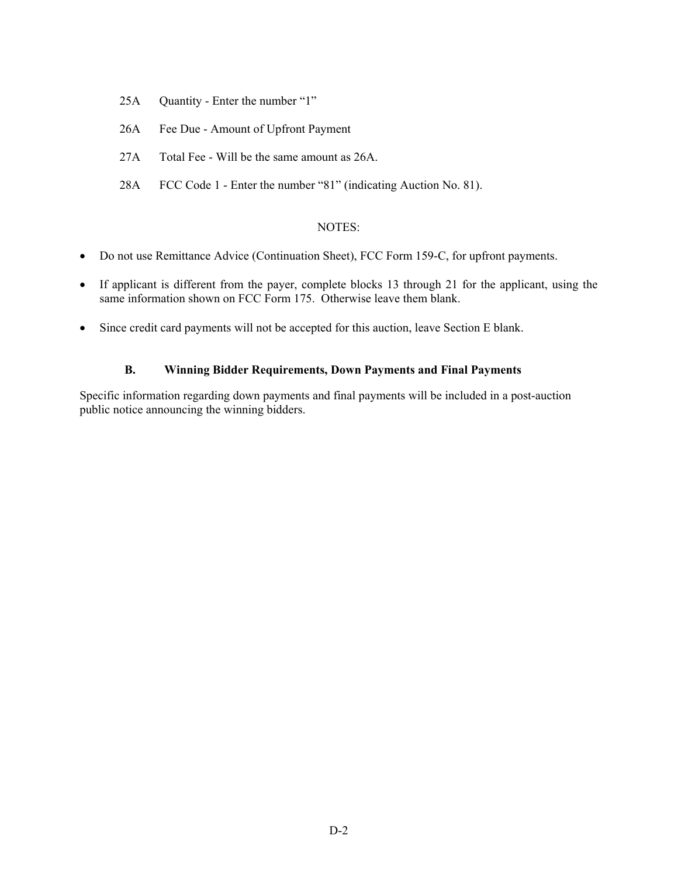- 25A Ouantity Enter the number "1"
- 26A Fee Due Amount of Upfront Payment
- 27A Total Fee Will be the same amount as 26A.
- 28A FCC Code 1 Enter the number "81" (indicating Auction No. 81).

#### NOTES:

- Do not use Remittance Advice (Continuation Sheet), FCC Form 159-C, for upfront payments.
- If applicant is different from the payer, complete blocks 13 through 21 for the applicant, using the same information shown on FCC Form 175. Otherwise leave them blank.
- Since credit card payments will not be accepted for this auction, leave Section E blank.

#### **B. Winning Bidder Requirements, Down Payments and Final Payments**

Specific information regarding down payments and final payments will be included in a post-auction public notice announcing the winning bidders.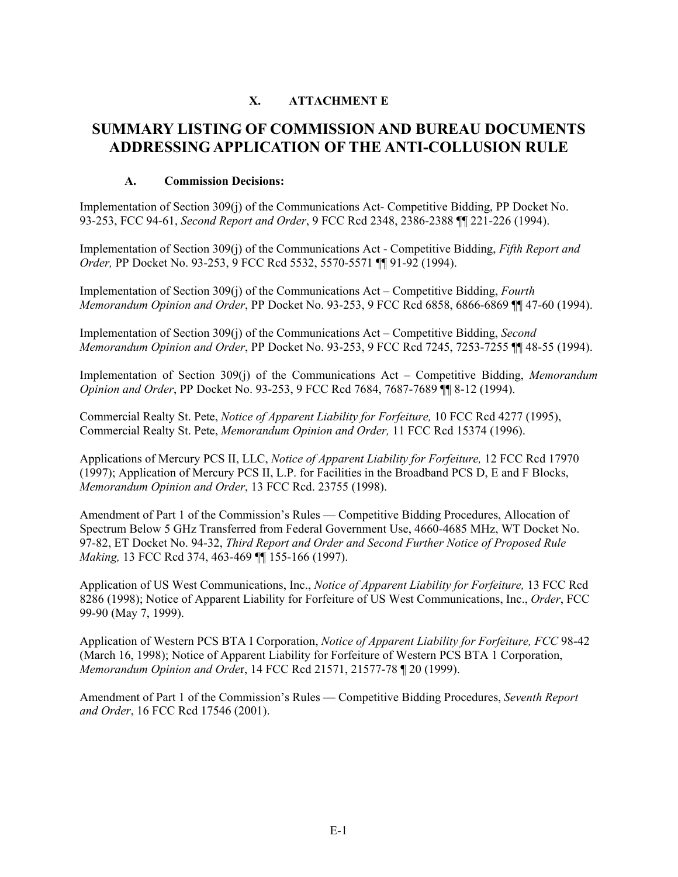#### **X. ATTACHMENT E**

# **SUMMARY LISTING OF COMMISSION AND BUREAU DOCUMENTS ADDRESSING APPLICATION OF THE ANTI-COLLUSION RULE**

#### **A. Commission Decisions:**

Implementation of Section 309(j) of the Communications Act- Competitive Bidding, PP Docket No. 93-253, FCC 94-61, *Second Report and Order*, 9 FCC Rcd 2348, 2386-2388 ¶¶ 221-226 (1994).

Implementation of Section 309(j) of the Communications Act - Competitive Bidding, *Fifth Report and Order,* PP Docket No. 93-253, 9 FCC Rcd 5532, 5570-5571 ¶¶ 91-92 (1994).

Implementation of Section 309(j) of the Communications Act – Competitive Bidding, *Fourth Memorandum Opinion and Order*, PP Docket No. 93-253, 9 FCC Rcd 6858, 6866-6869 ¶¶ 47-60 (1994).

Implementation of Section 309(j) of the Communications Act – Competitive Bidding, *Second Memorandum Opinion and Order*, PP Docket No. 93-253, 9 FCC Rcd 7245, 7253-7255 ¶¶ 48-55 (1994).

Implementation of Section 309(j) of the Communications Act – Competitive Bidding, *Memorandum Opinion and Order*, PP Docket No. 93-253, 9 FCC Rcd 7684, 7687-7689 ¶¶ 8-12 (1994).

Commercial Realty St. Pete, *Notice of Apparent Liability for Forfeiture,* 10 FCC Rcd 4277 (1995), Commercial Realty St. Pete, *Memorandum Opinion and Order,* 11 FCC Rcd 15374 (1996).

Applications of Mercury PCS II, LLC, *Notice of Apparent Liability for Forfeiture,* 12 FCC Rcd 17970 (1997); Application of Mercury PCS II, L.P. for Facilities in the Broadband PCS D, E and F Blocks, *Memorandum Opinion and Order*, 13 FCC Rcd. 23755 (1998).

Amendment of Part 1 of the Commission's Rules — Competitive Bidding Procedures, Allocation of Spectrum Below 5 GHz Transferred from Federal Government Use, 4660-4685 MHz, WT Docket No. 97-82, ET Docket No. 94-32, *Third Report and Order and Second Further Notice of Proposed Rule Making,* 13 FCC Rcd 374, 463-469 ¶¶ 155-166 (1997).

Application of US West Communications, Inc., *Notice of Apparent Liability for Forfeiture,* 13 FCC Rcd 8286 (1998); Notice of Apparent Liability for Forfeiture of US West Communications, Inc., *Order*, FCC 99-90 (May 7, 1999).

Application of Western PCS BTA I Corporation, *Notice of Apparent Liability for Forfeiture, FCC* 98-42 (March 16, 1998); Notice of Apparent Liability for Forfeiture of Western PCS BTA 1 Corporation, *Memorandum Opinion and Orde*r, 14 FCC Rcd 21571, 21577-78 ¶ 20 (1999).

Amendment of Part 1 of the Commission's Rules — Competitive Bidding Procedures, *Seventh Report and Order*, 16 FCC Rcd 17546 (2001).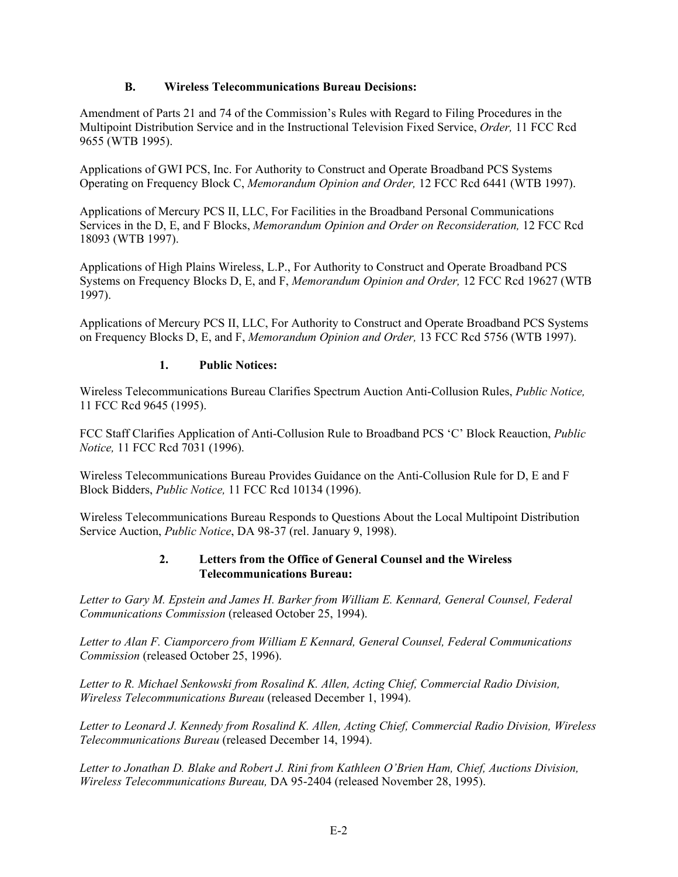#### **B. Wireless Telecommunications Bureau Decisions:**

Amendment of Parts 21 and 74 of the Commission's Rules with Regard to Filing Procedures in the Multipoint Distribution Service and in the Instructional Television Fixed Service, *Order,* 11 FCC Rcd 9655 (WTB 1995).

Applications of GWI PCS, Inc. For Authority to Construct and Operate Broadband PCS Systems Operating on Frequency Block C, *Memorandum Opinion and Order,* 12 FCC Rcd 6441 (WTB 1997).

Applications of Mercury PCS II, LLC, For Facilities in the Broadband Personal Communications Services in the D, E, and F Blocks, *Memorandum Opinion and Order on Reconsideration,* 12 FCC Rcd 18093 (WTB 1997).

Applications of High Plains Wireless, L.P., For Authority to Construct and Operate Broadband PCS Systems on Frequency Blocks D, E, and F, *Memorandum Opinion and Order,* 12 FCC Rcd 19627 (WTB 1997).

Applications of Mercury PCS II, LLC, For Authority to Construct and Operate Broadband PCS Systems on Frequency Blocks D, E, and F, *Memorandum Opinion and Order,* 13 FCC Rcd 5756 (WTB 1997).

#### **1. Public Notices:**

Wireless Telecommunications Bureau Clarifies Spectrum Auction Anti-Collusion Rules, *Public Notice,*  11 FCC Rcd 9645 (1995).

FCC Staff Clarifies Application of Anti-Collusion Rule to Broadband PCS 'C' Block Reauction, *Public Notice,* 11 FCC Rcd 7031 (1996).

Wireless Telecommunications Bureau Provides Guidance on the Anti-Collusion Rule for D, E and F Block Bidders, *Public Notice,* 11 FCC Rcd 10134 (1996).

Wireless Telecommunications Bureau Responds to Questions About the Local Multipoint Distribution Service Auction, *Public Notice*, DA 98-37 (rel. January 9, 1998).

#### **2. Letters from the Office of General Counsel and the Wireless Telecommunications Bureau:**

*Letter to Gary M. Epstein and James H. Barker from William E. Kennard, General Counsel, Federal Communications Commission* (released October 25, 1994).

*Letter to Alan F. Ciamporcero from William E Kennard, General Counsel, Federal Communications Commission* (released October 25, 1996).

*Letter to R. Michael Senkowski from Rosalind K. Allen, Acting Chief, Commercial Radio Division, Wireless Telecommunications Bureau* (released December 1, 1994).

*Letter to Leonard J. Kennedy from Rosalind K. Allen, Acting Chief, Commercial Radio Division, Wireless Telecommunications Bureau* (released December 14, 1994).

*Letter to Jonathan D. Blake and Robert J. Rini from Kathleen O'Brien Ham, Chief, Auctions Division, Wireless Telecommunications Bureau,* DA 95-2404 (released November 28, 1995).